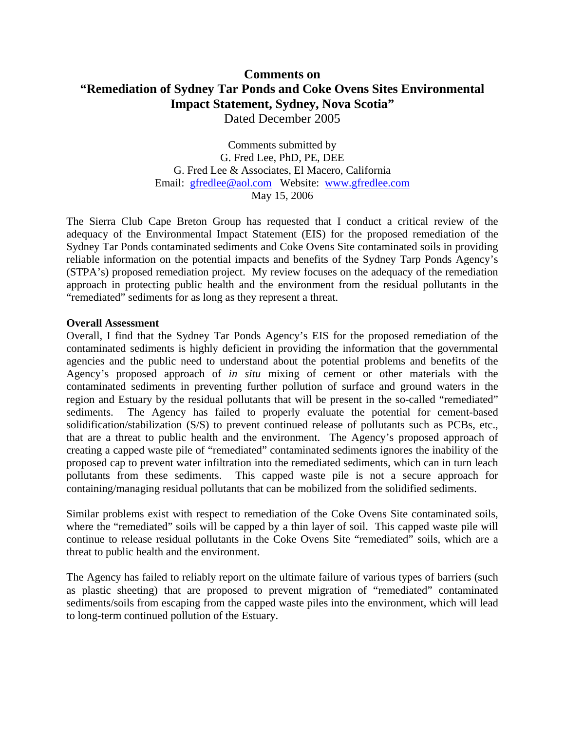# **Comments on "Remediation of Sydney Tar Ponds and Coke Ovens Sites Environmental Impact Statement, Sydney, Nova Scotia"**  Dated December 2005

Comments submitted by G. Fred Lee, PhD, PE, DEE G. Fred Lee & Associates, El Macero, California Email: gfredlee@aol.com Website: www.gfredlee.com May 15, 2006

The Sierra Club Cape Breton Group has requested that I conduct a critical review of the adequacy of the Environmental Impact Statement (EIS) for the proposed remediation of the Sydney Tar Ponds contaminated sediments and Coke Ovens Site contaminated soils in providing reliable information on the potential impacts and benefits of the Sydney Tarp Ponds Agency's (STPA's) proposed remediation project. My review focuses on the adequacy of the remediation approach in protecting public health and the environment from the residual pollutants in the "remediated" sediments for as long as they represent a threat.

#### **Overall Assessment**

Overall, I find that the Sydney Tar Ponds Agency's EIS for the proposed remediation of the contaminated sediments is highly deficient in providing the information that the governmental agencies and the public need to understand about the potential problems and benefits of the Agency's proposed approach of *in situ* mixing of cement or other materials with the contaminated sediments in preventing further pollution of surface and ground waters in the region and Estuary by the residual pollutants that will be present in the so-called "remediated" sediments. The Agency has failed to properly evaluate the potential for cement-based solidification/stabilization (S/S) to prevent continued release of pollutants such as PCBs, etc., that are a threat to public health and the environment. The Agency's proposed approach of creating a capped waste pile of "remediated" contaminated sediments ignores the inability of the proposed cap to prevent water infiltration into the remediated sediments, which can in turn leach pollutants from these sediments. This capped waste pile is not a secure approach for containing/managing residual pollutants that can be mobilized from the solidified sediments.

Similar problems exist with respect to remediation of the Coke Ovens Site contaminated soils, where the "remediated" soils will be capped by a thin layer of soil. This capped waste pile will continue to release residual pollutants in the Coke Ovens Site "remediated" soils, which are a threat to public health and the environment.

The Agency has failed to reliably report on the ultimate failure of various types of barriers (such as plastic sheeting) that are proposed to prevent migration of "remediated" contaminated sediments/soils from escaping from the capped waste piles into the environment, which will lead to long-term continued pollution of the Estuary.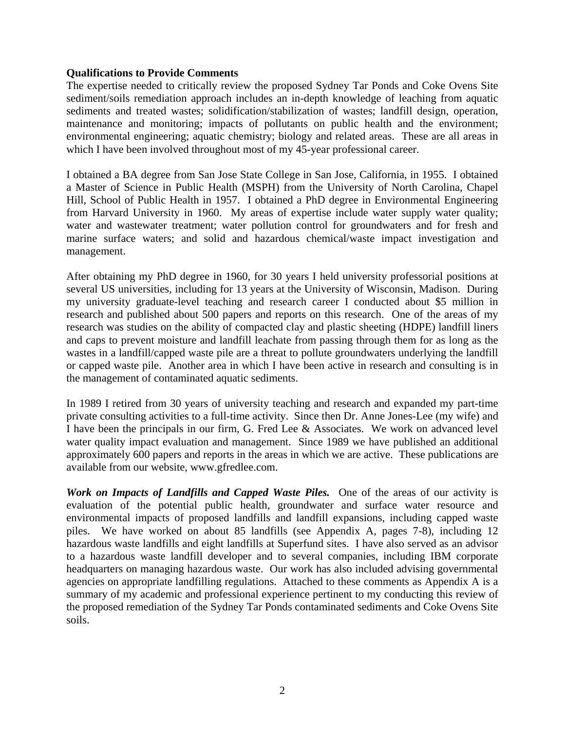#### **Qualifications to Provide Comments**

The expertise needed to critically review the proposed Sydney Tar Ponds and Coke Ovens Site sediment/soils remediation approach includes an in-depth knowledge of leaching from aquatic sediments and treated wastes; solidification/stabilization of wastes; landfill design, operation, maintenance and monitoring; impacts of pollutants on public health and the environment; environmental engineering; aquatic chemistry; biology and related areas. These are all areas in which I have been involved throughout most of my 45-year professional career.

I obtained a BA degree from San Jose State College in San Jose, California, in 1955. I obtained a Master of Science in Public Health (MSPH) from the University of North Carolina, Chapel Hill, School of Public Health in 1957. I obtained a PhD degree in Environmental Engineering from Harvard University in 1960. My areas of expertise include water supply water quality; water and wastewater treatment; water pollution control for groundwaters and for fresh and marine surface waters; and solid and hazardous chemical/waste impact investigation and management.

After obtaining my PhD degree in 1960, for 30 years I held university professorial positions at several US universities, including for 13 years at the University of Wisconsin, Madison. During my university graduate-level teaching and research career I conducted about \$5 million in research and published about 500 papers and reports on this research. One of the areas of my research was studies on the ability of compacted clay and plastic sheeting (HDPE) landfill liners and caps to prevent moisture and landfill leachate from passing through them for as long as the wastes in a landfill/capped waste pile are a threat to pollute groundwaters underlying the landfill or capped waste pile. Another area in which I have been active in research and consulting is in the management of contaminated aquatic sediments.

In 1989 I retired from 30 years of university teaching and research and expanded my part-time private consulting activities to a full-time activity. Since then Dr. Anne Jones-Lee (my wife) and I have been the principals in our firm, G. Fred Lee & Associates. We work on advanced level water quality impact evaluation and management. Since 1989 we have published an additional approximately 600 papers and reports in the areas in which we are active. These publications are available from our website, www.gfredlee.com.

*Work on Impacts of Landfills and Capped Waste Piles.* One of the areas of our activity is evaluation of the potential public health, groundwater and surface water resource and environmental impacts of proposed landfills and landfill expansions, including capped waste piles. We have worked on about 85 landfills (see Appendix A, pages 7-8), including 12 hazardous waste landfills and eight landfills at Superfund sites. I have also served as an advisor to a hazardous waste landfill developer and to several companies, including IBM corporate headquarters on managing hazardous waste. Our work has also included advising governmental agencies on appropriate landfilling regulations. Attached to these comments as Appendix A is a summary of my academic and professional experience pertinent to my conducting this review of the proposed remediation of the Sydney Tar Ponds contaminated sediments and Coke Ovens Site soils.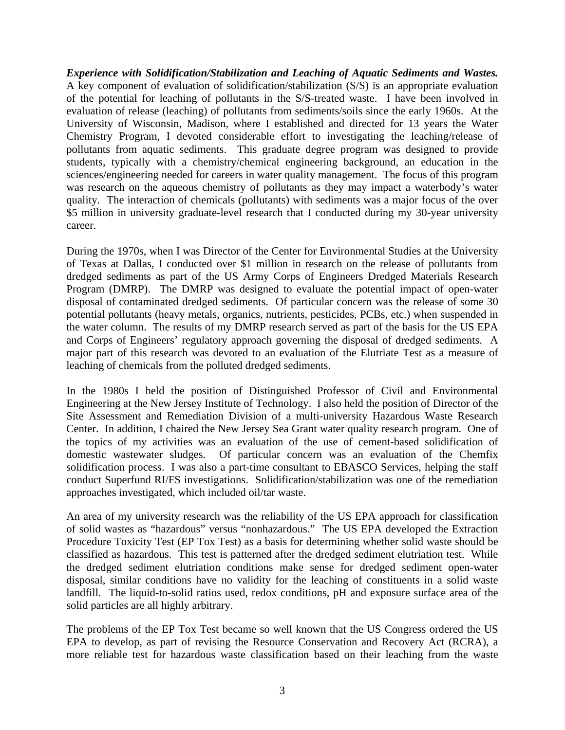*Experience with Solidification/Stabilization and Leaching of Aquatic Sediments and Wastes.*  A key component of evaluation of solidification/stabilization (S/S) is an appropriate evaluation of the potential for leaching of pollutants in the S/S-treated waste. I have been involved in evaluation of release (leaching) of pollutants from sediments/soils since the early 1960s. At the University of Wisconsin, Madison, where I established and directed for 13 years the Water Chemistry Program, I devoted considerable effort to investigating the leaching/release of pollutants from aquatic sediments. This graduate degree program was designed to provide students, typically with a chemistry/chemical engineering background, an education in the sciences/engineering needed for careers in water quality management. The focus of this program was research on the aqueous chemistry of pollutants as they may impact a waterbody's water quality. The interaction of chemicals (pollutants) with sediments was a major focus of the over \$5 million in university graduate-level research that I conducted during my 30-year university career.

During the 1970s, when I was Director of the Center for Environmental Studies at the University of Texas at Dallas, I conducted over \$1 million in research on the release of pollutants from dredged sediments as part of the US Army Corps of Engineers Dredged Materials Research Program (DMRP). The DMRP was designed to evaluate the potential impact of open-water disposal of contaminated dredged sediments. Of particular concern was the release of some 30 potential pollutants (heavy metals, organics, nutrients, pesticides, PCBs, etc.) when suspended in the water column. The results of my DMRP research served as part of the basis for the US EPA and Corps of Engineers' regulatory approach governing the disposal of dredged sediments. A major part of this research was devoted to an evaluation of the Elutriate Test as a measure of leaching of chemicals from the polluted dredged sediments.

In the 1980s I held the position of Distinguished Professor of Civil and Environmental Engineering at the New Jersey Institute of Technology. I also held the position of Director of the Site Assessment and Remediation Division of a multi-university Hazardous Waste Research Center. In addition, I chaired the New Jersey Sea Grant water quality research program. One of the topics of my activities was an evaluation of the use of cement-based solidification of domestic wastewater sludges. Of particular concern was an evaluation of the Chemfix solidification process. I was also a part-time consultant to EBASCO Services, helping the staff conduct Superfund RI/FS investigations. Solidification/stabilization was one of the remediation approaches investigated, which included oil/tar waste.

An area of my university research was the reliability of the US EPA approach for classification of solid wastes as "hazardous" versus "nonhazardous." The US EPA developed the Extraction Procedure Toxicity Test (EP Tox Test) as a basis for determining whether solid waste should be classified as hazardous. This test is patterned after the dredged sediment elutriation test. While the dredged sediment elutriation conditions make sense for dredged sediment open-water disposal, similar conditions have no validity for the leaching of constituents in a solid waste landfill. The liquid-to-solid ratios used, redox conditions, pH and exposure surface area of the solid particles are all highly arbitrary.

The problems of the EP Tox Test became so well known that the US Congress ordered the US EPA to develop, as part of revising the Resource Conservation and Recovery Act (RCRA), a more reliable test for hazardous waste classification based on their leaching from the waste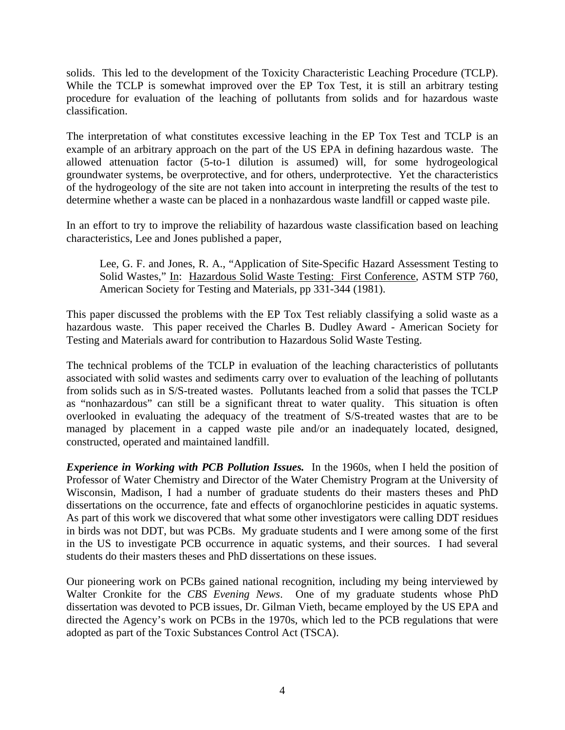solids. This led to the development of the Toxicity Characteristic Leaching Procedure (TCLP). While the TCLP is somewhat improved over the EP Tox Test, it is still an arbitrary testing procedure for evaluation of the leaching of pollutants from solids and for hazardous waste classification.

The interpretation of what constitutes excessive leaching in the EP Tox Test and TCLP is an example of an arbitrary approach on the part of the US EPA in defining hazardous waste. The allowed attenuation factor (5-to-1 dilution is assumed) will, for some hydrogeological groundwater systems, be overprotective, and for others, underprotective. Yet the characteristics of the hydrogeology of the site are not taken into account in interpreting the results of the test to determine whether a waste can be placed in a nonhazardous waste landfill or capped waste pile.

In an effort to try to improve the reliability of hazardous waste classification based on leaching characteristics, Lee and Jones published a paper,

Lee, G. F. and Jones, R. A., "Application of Site-Specific Hazard Assessment Testing to Solid Wastes," In: Hazardous Solid Waste Testing: First Conference, ASTM STP 760, American Society for Testing and Materials, pp 331-344 (1981).

This paper discussed the problems with the EP Tox Test reliably classifying a solid waste as a hazardous waste. This paper received the Charles B. Dudley Award - American Society for Testing and Materials award for contribution to Hazardous Solid Waste Testing.

The technical problems of the TCLP in evaluation of the leaching characteristics of pollutants associated with solid wastes and sediments carry over to evaluation of the leaching of pollutants from solids such as in S/S-treated wastes. Pollutants leached from a solid that passes the TCLP as "nonhazardous" can still be a significant threat to water quality. This situation is often overlooked in evaluating the adequacy of the treatment of S/S-treated wastes that are to be managed by placement in a capped waste pile and/or an inadequately located, designed, constructed, operated and maintained landfill.

*Experience in Working with PCB Pollution Issues.* In the 1960s, when I held the position of Professor of Water Chemistry and Director of the Water Chemistry Program at the University of Wisconsin, Madison, I had a number of graduate students do their masters theses and PhD dissertations on the occurrence, fate and effects of organochlorine pesticides in aquatic systems. As part of this work we discovered that what some other investigators were calling DDT residues in birds was not DDT, but was PCBs. My graduate students and I were among some of the first in the US to investigate PCB occurrence in aquatic systems, and their sources. I had several students do their masters theses and PhD dissertations on these issues.

Our pioneering work on PCBs gained national recognition, including my being interviewed by Walter Cronkite for the *CBS Evening News*. One of my graduate students whose PhD dissertation was devoted to PCB issues, Dr. Gilman Vieth, became employed by the US EPA and directed the Agency's work on PCBs in the 1970s, which led to the PCB regulations that were adopted as part of the Toxic Substances Control Act (TSCA).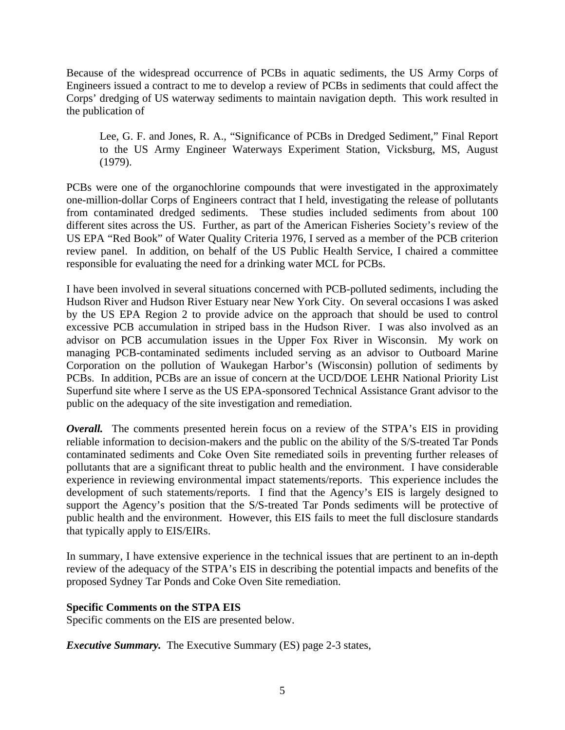Because of the widespread occurrence of PCBs in aquatic sediments, the US Army Corps of Engineers issued a contract to me to develop a review of PCBs in sediments that could affect the Corps' dredging of US waterway sediments to maintain navigation depth. This work resulted in the publication of

Lee, G. F. and Jones, R. A., "Significance of PCBs in Dredged Sediment," Final Report to the US Army Engineer Waterways Experiment Station, Vicksburg, MS, August (1979).

PCBs were one of the organochlorine compounds that were investigated in the approximately one-million-dollar Corps of Engineers contract that I held, investigating the release of pollutants from contaminated dredged sediments. These studies included sediments from about 100 different sites across the US. Further, as part of the American Fisheries Society's review of the US EPA "Red Book" of Water Quality Criteria 1976, I served as a member of the PCB criterion review panel. In addition, on behalf of the US Public Health Service, I chaired a committee responsible for evaluating the need for a drinking water MCL for PCBs.

I have been involved in several situations concerned with PCB-polluted sediments, including the Hudson River and Hudson River Estuary near New York City. On several occasions I was asked by the US EPA Region 2 to provide advice on the approach that should be used to control excessive PCB accumulation in striped bass in the Hudson River. I was also involved as an advisor on PCB accumulation issues in the Upper Fox River in Wisconsin. My work on managing PCB-contaminated sediments included serving as an advisor to Outboard Marine Corporation on the pollution of Waukegan Harbor's (Wisconsin) pollution of sediments by PCBs. In addition, PCBs are an issue of concern at the UCD/DOE LEHR National Priority List Superfund site where I serve as the US EPA-sponsored Technical Assistance Grant advisor to the public on the adequacy of the site investigation and remediation.

*Overall.* The comments presented herein focus on a review of the STPA's EIS in providing reliable information to decision-makers and the public on the ability of the S/S-treated Tar Ponds contaminated sediments and Coke Oven Site remediated soils in preventing further releases of pollutants that are a significant threat to public health and the environment. I have considerable experience in reviewing environmental impact statements/reports. This experience includes the development of such statements/reports. I find that the Agency's EIS is largely designed to support the Agency's position that the S/S-treated Tar Ponds sediments will be protective of public health and the environment. However, this EIS fails to meet the full disclosure standards that typically apply to EIS/EIRs.

In summary, I have extensive experience in the technical issues that are pertinent to an in-depth review of the adequacy of the STPA's EIS in describing the potential impacts and benefits of the proposed Sydney Tar Ponds and Coke Oven Site remediation.

# **Specific Comments on the STPA EIS**

Specific comments on the EIS are presented below.

*Executive Summary.* The Executive Summary (ES) page 2-3 states,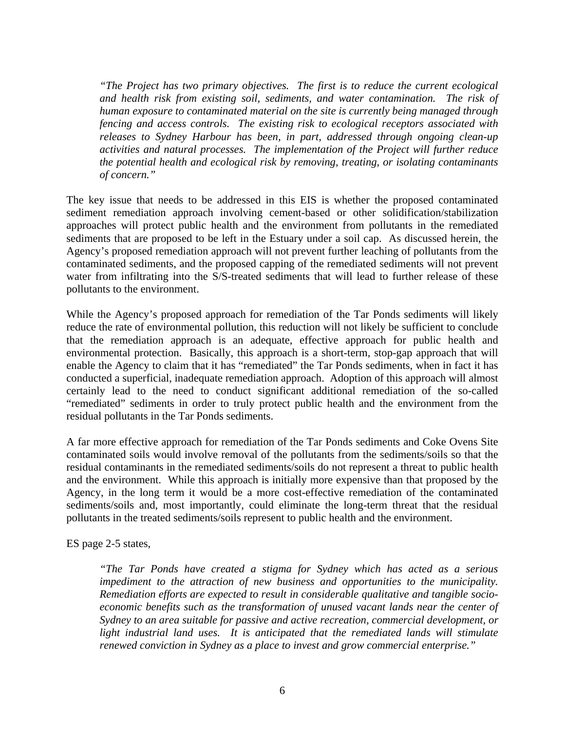*"The Project has two primary objectives. The first is to reduce the current ecological and health risk from existing soil, sediments, and water contamination. The risk of human exposure to contaminated material on the site is currently being managed through fencing and access controls. The existing risk to ecological receptors associated with releases to Sydney Harbour has been, in part, addressed through ongoing clean-up activities and natural processes. The implementation of the Project will further reduce the potential health and ecological risk by removing, treating, or isolating contaminants of concern."* 

The key issue that needs to be addressed in this EIS is whether the proposed contaminated sediment remediation approach involving cement-based or other solidification/stabilization approaches will protect public health and the environment from pollutants in the remediated sediments that are proposed to be left in the Estuary under a soil cap. As discussed herein, the Agency's proposed remediation approach will not prevent further leaching of pollutants from the contaminated sediments, and the proposed capping of the remediated sediments will not prevent water from infiltrating into the S/S-treated sediments that will lead to further release of these pollutants to the environment.

While the Agency's proposed approach for remediation of the Tar Ponds sediments will likely reduce the rate of environmental pollution, this reduction will not likely be sufficient to conclude that the remediation approach is an adequate, effective approach for public health and environmental protection. Basically, this approach is a short-term, stop-gap approach that will enable the Agency to claim that it has "remediated" the Tar Ponds sediments, when in fact it has conducted a superficial, inadequate remediation approach. Adoption of this approach will almost certainly lead to the need to conduct significant additional remediation of the so-called "remediated" sediments in order to truly protect public health and the environment from the residual pollutants in the Tar Ponds sediments.

A far more effective approach for remediation of the Tar Ponds sediments and Coke Ovens Site contaminated soils would involve removal of the pollutants from the sediments/soils so that the residual contaminants in the remediated sediments/soils do not represent a threat to public health and the environment. While this approach is initially more expensive than that proposed by the Agency, in the long term it would be a more cost-effective remediation of the contaminated sediments/soils and, most importantly, could eliminate the long-term threat that the residual pollutants in the treated sediments/soils represent to public health and the environment.

ES page 2-5 states,

*"The Tar Ponds have created a stigma for Sydney which has acted as a serious impediment to the attraction of new business and opportunities to the municipality. Remediation efforts are expected to result in considerable qualitative and tangible socioeconomic benefits such as the transformation of unused vacant lands near the center of Sydney to an area suitable for passive and active recreation, commercial development, or light industrial land uses. It is anticipated that the remediated lands will stimulate renewed conviction in Sydney as a place to invest and grow commercial enterprise."*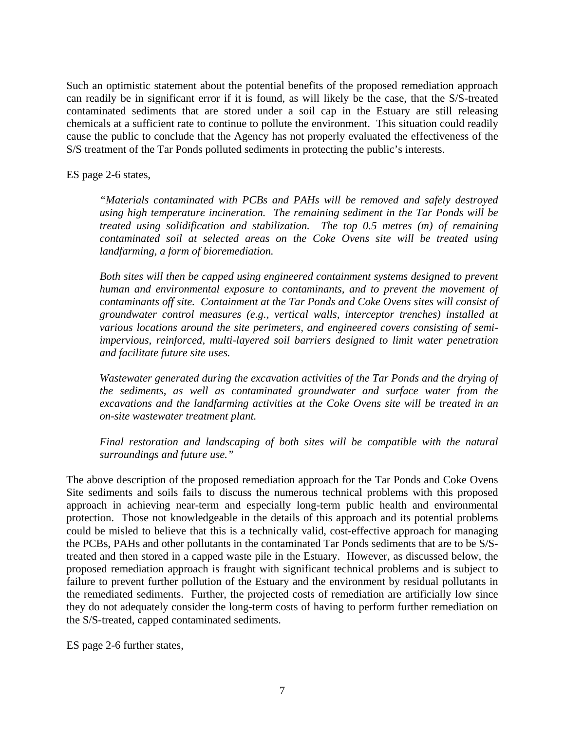Such an optimistic statement about the potential benefits of the proposed remediation approach can readily be in significant error if it is found, as will likely be the case, that the S/S-treated contaminated sediments that are stored under a soil cap in the Estuary are still releasing chemicals at a sufficient rate to continue to pollute the environment. This situation could readily cause the public to conclude that the Agency has not properly evaluated the effectiveness of the S/S treatment of the Tar Ponds polluted sediments in protecting the public's interests.

ES page 2-6 states,

*"Materials contaminated with PCBs and PAHs will be removed and safely destroyed using high temperature incineration. The remaining sediment in the Tar Ponds will be treated using solidification and stabilization. The top 0.5 metres (m) of remaining contaminated soil at selected areas on the Coke Ovens site will be treated using landfarming, a form of bioremediation.* 

*Both sites will then be capped using engineered containment systems designed to prevent human and environmental exposure to contaminants, and to prevent the movement of contaminants off site. Containment at the Tar Ponds and Coke Ovens sites will consist of groundwater control measures (e.g., vertical walls, interceptor trenches) installed at various locations around the site perimeters, and engineered covers consisting of semiimpervious, reinforced, multi-layered soil barriers designed to limit water penetration and facilitate future site uses.* 

*Wastewater generated during the excavation activities of the Tar Ponds and the drying of the sediments, as well as contaminated groundwater and surface water from the excavations and the landfarming activities at the Coke Ovens site will be treated in an on-site wastewater treatment plant.* 

*Final restoration and landscaping of both sites will be compatible with the natural surroundings and future use."* 

The above description of the proposed remediation approach for the Tar Ponds and Coke Ovens Site sediments and soils fails to discuss the numerous technical problems with this proposed approach in achieving near-term and especially long-term public health and environmental protection. Those not knowledgeable in the details of this approach and its potential problems could be misled to believe that this is a technically valid, cost-effective approach for managing the PCBs, PAHs and other pollutants in the contaminated Tar Ponds sediments that are to be S/Streated and then stored in a capped waste pile in the Estuary. However, as discussed below, the proposed remediation approach is fraught with significant technical problems and is subject to failure to prevent further pollution of the Estuary and the environment by residual pollutants in the remediated sediments. Further, the projected costs of remediation are artificially low since they do not adequately consider the long-term costs of having to perform further remediation on the S/S-treated, capped contaminated sediments.

ES page 2-6 further states,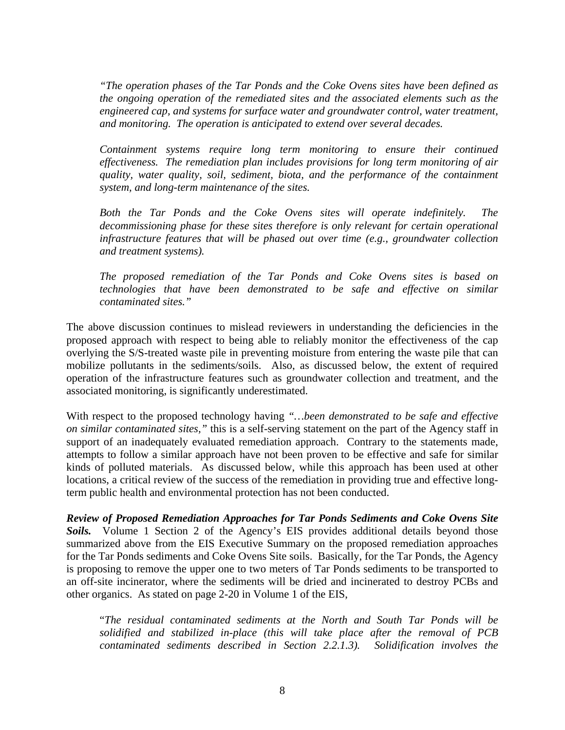*"The operation phases of the Tar Ponds and the Coke Ovens sites have been defined as the ongoing operation of the remediated sites and the associated elements such as the engineered cap, and systems for surface water and groundwater control, water treatment, and monitoring. The operation is anticipated to extend over several decades.* 

*Containment systems require long term monitoring to ensure their continued effectiveness. The remediation plan includes provisions for long term monitoring of air quality, water quality, soil, sediment, biota, and the performance of the containment system, and long-term maintenance of the sites.* 

*Both the Tar Ponds and the Coke Ovens sites will operate indefinitely. The decommissioning phase for these sites therefore is only relevant for certain operational infrastructure features that will be phased out over time (e.g., groundwater collection and treatment systems).* 

*The proposed remediation of the Tar Ponds and Coke Ovens sites is based on technologies that have been demonstrated to be safe and effective on similar contaminated sites."* 

The above discussion continues to mislead reviewers in understanding the deficiencies in the proposed approach with respect to being able to reliably monitor the effectiveness of the cap overlying the S/S-treated waste pile in preventing moisture from entering the waste pile that can mobilize pollutants in the sediments/soils. Also, as discussed below, the extent of required operation of the infrastructure features such as groundwater collection and treatment, and the associated monitoring, is significantly underestimated.

With respect to the proposed technology having *"…been demonstrated to be safe and effective on similar contaminated sites,"* this is a self-serving statement on the part of the Agency staff in support of an inadequately evaluated remediation approach. Contrary to the statements made, attempts to follow a similar approach have not been proven to be effective and safe for similar kinds of polluted materials. As discussed below, while this approach has been used at other locations, a critical review of the success of the remediation in providing true and effective longterm public health and environmental protection has not been conducted.

*Review of Proposed Remediation Approaches for Tar Ponds Sediments and Coke Ovens Site*  Soils. Volume 1 Section 2 of the Agency's EIS provides additional details beyond those summarized above from the EIS Executive Summary on the proposed remediation approaches for the Tar Ponds sediments and Coke Ovens Site soils. Basically, for the Tar Ponds, the Agency is proposing to remove the upper one to two meters of Tar Ponds sediments to be transported to an off-site incinerator, where the sediments will be dried and incinerated to destroy PCBs and other organics. As stated on page 2-20 in Volume 1 of the EIS,

"*The residual contaminated sediments at the North and South Tar Ponds will be solidified and stabilized in-place (this will take place after the removal of PCB contaminated sediments described in Section 2.2.1.3). Solidification involves the*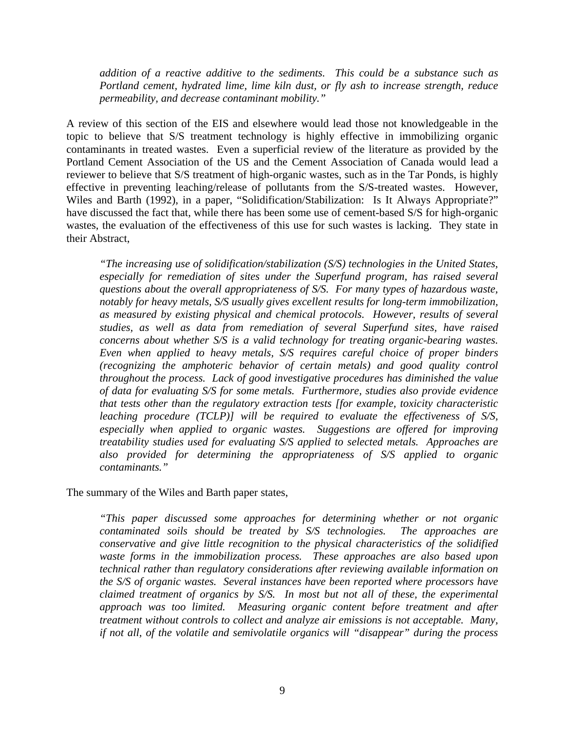*addition of a reactive additive to the sediments. This could be a substance such as Portland cement, hydrated lime, lime kiln dust, or fly ash to increase strength, reduce permeability, and decrease contaminant mobility."*

A review of this section of the EIS and elsewhere would lead those not knowledgeable in the topic to believe that S/S treatment technology is highly effective in immobilizing organic contaminants in treated wastes. Even a superficial review of the literature as provided by the Portland Cement Association of the US and the Cement Association of Canada would lead a reviewer to believe that S/S treatment of high-organic wastes, such as in the Tar Ponds, is highly effective in preventing leaching/release of pollutants from the S/S-treated wastes. However, Wiles and Barth (1992), in a paper, "Solidification/Stabilization: Is It Always Appropriate?" have discussed the fact that, while there has been some use of cement-based S/S for high-organic wastes, the evaluation of the effectiveness of this use for such wastes is lacking. They state in their Abstract,

*"The increasing use of solidification/stabilization (S/S) technologies in the United States,*  especially for remediation of sites under the Superfund program, has raised several *questions about the overall appropriateness of S/S. For many types of hazardous waste, notably for heavy metals, S/S usually gives excellent results for long-term immobilization, as measured by existing physical and chemical protocols. However, results of several studies, as well as data from remediation of several Superfund sites, have raised concerns about whether S/S is a valid technology for treating organic-bearing wastes. Even when applied to heavy metals, S/S requires careful choice of proper binders (recognizing the amphoteric behavior of certain metals) and good quality control throughout the process. Lack of good investigative procedures has diminished the value of data for evaluating S/S for some metals. Furthermore, studies also provide evidence that tests other than the regulatory extraction tests [for example, toxicity characteristic leaching procedure (TCLP)] will be required to evaluate the effectiveness of S/S, especially when applied to organic wastes. Suggestions are offered for improving treatability studies used for evaluating S/S applied to selected metals. Approaches are also provided for determining the appropriateness of S/S applied to organic contaminants."* 

The summary of the Wiles and Barth paper states,

*"This paper discussed some approaches for determining whether or not organic contaminated soils should be treated by S/S technologies. The approaches are conservative and give little recognition to the physical characteristics of the solidified waste forms in the immobilization process. These approaches are also based upon technical rather than regulatory considerations after reviewing available information on the S/S of organic wastes. Several instances have been reported where processors have claimed treatment of organics by S/S. In most but not all of these, the experimental approach was too limited. Measuring organic content before treatment and after treatment without controls to collect and analyze air emissions is not acceptable. Many, if not all, of the volatile and semivolatile organics will "disappear" during the process*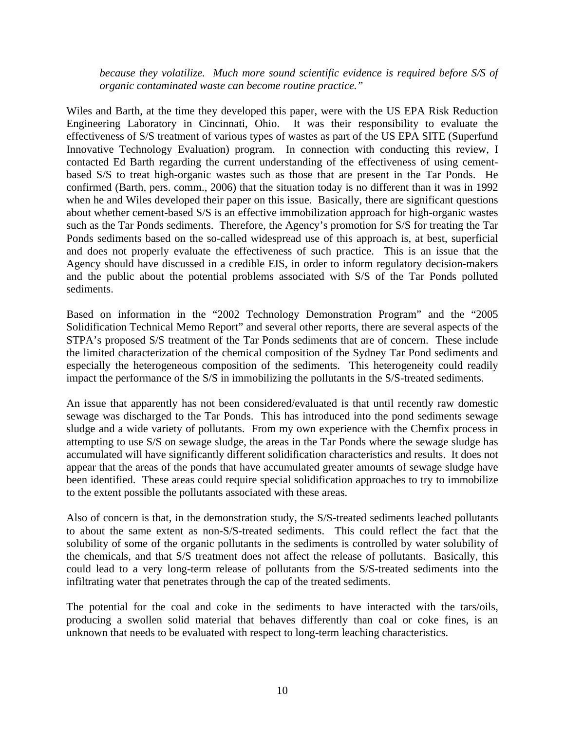*because they volatilize. Much more sound scientific evidence is required before S/S of organic contaminated waste can become routine practice."* 

Wiles and Barth, at the time they developed this paper, were with the US EPA Risk Reduction Engineering Laboratory in Cincinnati, Ohio. It was their responsibility to evaluate the effectiveness of S/S treatment of various types of wastes as part of the US EPA SITE (Superfund Innovative Technology Evaluation) program. In connection with conducting this review, I contacted Ed Barth regarding the current understanding of the effectiveness of using cementbased S/S to treat high-organic wastes such as those that are present in the Tar Ponds. He confirmed (Barth, pers. comm., 2006) that the situation today is no different than it was in 1992 when he and Wiles developed their paper on this issue. Basically, there are significant questions about whether cement-based S/S is an effective immobilization approach for high-organic wastes such as the Tar Ponds sediments. Therefore, the Agency's promotion for S/S for treating the Tar Ponds sediments based on the so-called widespread use of this approach is, at best, superficial and does not properly evaluate the effectiveness of such practice. This is an issue that the Agency should have discussed in a credible EIS, in order to inform regulatory decision-makers and the public about the potential problems associated with S/S of the Tar Ponds polluted sediments.

Based on information in the "2002 Technology Demonstration Program" and the "2005 Solidification Technical Memo Report" and several other reports, there are several aspects of the STPA's proposed S/S treatment of the Tar Ponds sediments that are of concern. These include the limited characterization of the chemical composition of the Sydney Tar Pond sediments and especially the heterogeneous composition of the sediments. This heterogeneity could readily impact the performance of the S/S in immobilizing the pollutants in the S/S-treated sediments.

An issue that apparently has not been considered/evaluated is that until recently raw domestic sewage was discharged to the Tar Ponds. This has introduced into the pond sediments sewage sludge and a wide variety of pollutants. From my own experience with the Chemfix process in attempting to use S/S on sewage sludge, the areas in the Tar Ponds where the sewage sludge has accumulated will have significantly different solidification characteristics and results. It does not appear that the areas of the ponds that have accumulated greater amounts of sewage sludge have been identified. These areas could require special solidification approaches to try to immobilize to the extent possible the pollutants associated with these areas.

Also of concern is that, in the demonstration study, the S/S-treated sediments leached pollutants to about the same extent as non-S/S-treated sediments. This could reflect the fact that the solubility of some of the organic pollutants in the sediments is controlled by water solubility of the chemicals, and that S/S treatment does not affect the release of pollutants. Basically, this could lead to a very long-term release of pollutants from the S/S-treated sediments into the infiltrating water that penetrates through the cap of the treated sediments.

The potential for the coal and coke in the sediments to have interacted with the tars/oils, producing a swollen solid material that behaves differently than coal or coke fines, is an unknown that needs to be evaluated with respect to long-term leaching characteristics.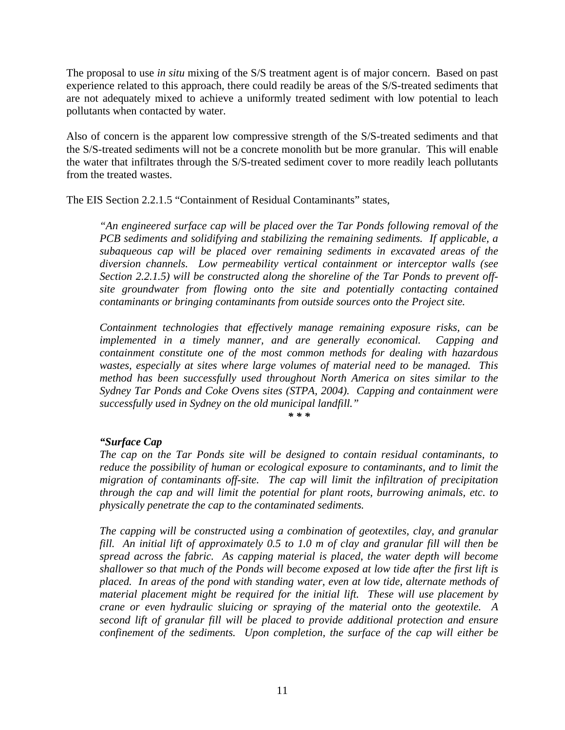The proposal to use *in situ* mixing of the S/S treatment agent is of major concern. Based on past experience related to this approach, there could readily be areas of the S/S-treated sediments that are not adequately mixed to achieve a uniformly treated sediment with low potential to leach pollutants when contacted by water.

Also of concern is the apparent low compressive strength of the S/S-treated sediments and that the S/S-treated sediments will not be a concrete monolith but be more granular. This will enable the water that infiltrates through the S/S-treated sediment cover to more readily leach pollutants from the treated wastes.

The EIS Section 2.2.1.5 "Containment of Residual Contaminants" states,

*"An engineered surface cap will be placed over the Tar Ponds following removal of the PCB sediments and solidifying and stabilizing the remaining sediments. If applicable, a subaqueous cap will be placed over remaining sediments in excavated areas of the diversion channels. Low permeability vertical containment or interceptor walls (see Section 2.2.1.5) will be constructed along the shoreline of the Tar Ponds to prevent offsite groundwater from flowing onto the site and potentially contacting contained contaminants or bringing contaminants from outside sources onto the Project site.* 

*Containment technologies that effectively manage remaining exposure risks, can be implemented in a timely manner, and are generally economical. Capping and containment constitute one of the most common methods for dealing with hazardous wastes, especially at sites where large volumes of material need to be managed. This method has been successfully used throughout North America on sites similar to the Sydney Tar Ponds and Coke Ovens sites (STPA, 2004). Capping and containment were successfully used in Sydney on the old municipal landfill."* 

*\* \* \** 

#### *"Surface Cap*

*The cap on the Tar Ponds site will be designed to contain residual contaminants, to reduce the possibility of human or ecological exposure to contaminants, and to limit the migration of contaminants off-site. The cap will limit the infiltration of precipitation through the cap and will limit the potential for plant roots, burrowing animals, etc. to physically penetrate the cap to the contaminated sediments.* 

*The capping will be constructed using a combination of geotextiles, clay, and granular fill. An initial lift of approximately 0.5 to 1.0 m of clay and granular fill will then be spread across the fabric. As capping material is placed, the water depth will become shallower so that much of the Ponds will become exposed at low tide after the first lift is placed. In areas of the pond with standing water, even at low tide, alternate methods of material placement might be required for the initial lift. These will use placement by crane or even hydraulic sluicing or spraying of the material onto the geotextile. A second lift of granular fill will be placed to provide additional protection and ensure confinement of the sediments. Upon completion, the surface of the cap will either be*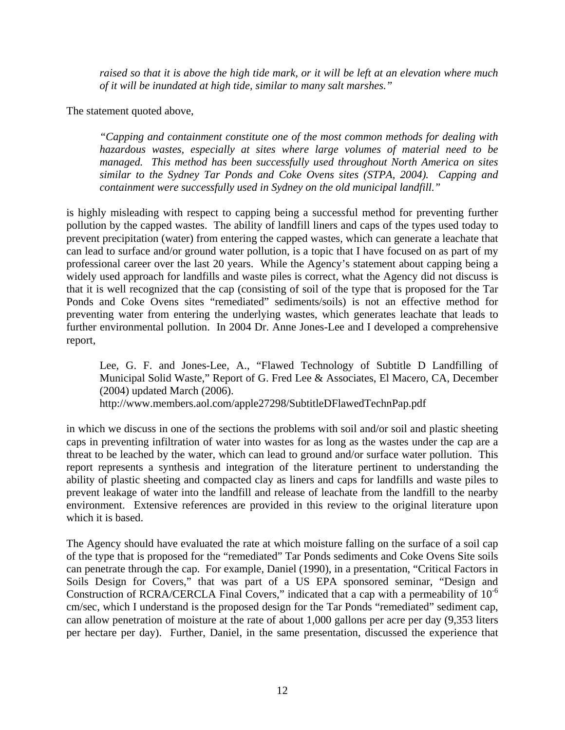*raised so that it is above the high tide mark, or it will be left at an elevation where much of it will be inundated at high tide, similar to many salt marshes."* 

The statement quoted above,

*"Capping and containment constitute one of the most common methods for dealing with hazardous wastes, especially at sites where large volumes of material need to be managed. This method has been successfully used throughout North America on sites similar to the Sydney Tar Ponds and Coke Ovens sites (STPA, 2004). Capping and containment were successfully used in Sydney on the old municipal landfill."* 

is highly misleading with respect to capping being a successful method for preventing further pollution by the capped wastes. The ability of landfill liners and caps of the types used today to prevent precipitation (water) from entering the capped wastes, which can generate a leachate that can lead to surface and/or ground water pollution, is a topic that I have focused on as part of my professional career over the last 20 years. While the Agency's statement about capping being a widely used approach for landfills and waste piles is correct, what the Agency did not discuss is that it is well recognized that the cap (consisting of soil of the type that is proposed for the Tar Ponds and Coke Ovens sites "remediated" sediments/soils) is not an effective method for preventing water from entering the underlying wastes, which generates leachate that leads to further environmental pollution. In 2004 Dr. Anne Jones-Lee and I developed a comprehensive report,

Lee, G. F. and Jones-Lee, A., "Flawed Technology of Subtitle D Landfilling of Municipal Solid Waste," Report of G. Fred Lee & Associates, El Macero, CA, December (2004) updated March (2006).

http://www.members.aol.com/apple27298/SubtitleDFlawedTechnPap.pdf

in which we discuss in one of the sections the problems with soil and/or soil and plastic sheeting caps in preventing infiltration of water into wastes for as long as the wastes under the cap are a threat to be leached by the water, which can lead to ground and/or surface water pollution. This report represents a synthesis and integration of the literature pertinent to understanding the ability of plastic sheeting and compacted clay as liners and caps for landfills and waste piles to prevent leakage of water into the landfill and release of leachate from the landfill to the nearby environment. Extensive references are provided in this review to the original literature upon which it is based.

The Agency should have evaluated the rate at which moisture falling on the surface of a soil cap of the type that is proposed for the "remediated" Tar Ponds sediments and Coke Ovens Site soils can penetrate through the cap. For example, Daniel (1990), in a presentation, "Critical Factors in Soils Design for Covers," that was part of a US EPA sponsored seminar, "Design and Construction of RCRA/CERCLA Final Covers," indicated that a cap with a permeability of 10<sup>-6</sup> cm/sec, which I understand is the proposed design for the Tar Ponds "remediated" sediment cap, can allow penetration of moisture at the rate of about 1,000 gallons per acre per day (9,353 liters per hectare per day). Further, Daniel, in the same presentation, discussed the experience that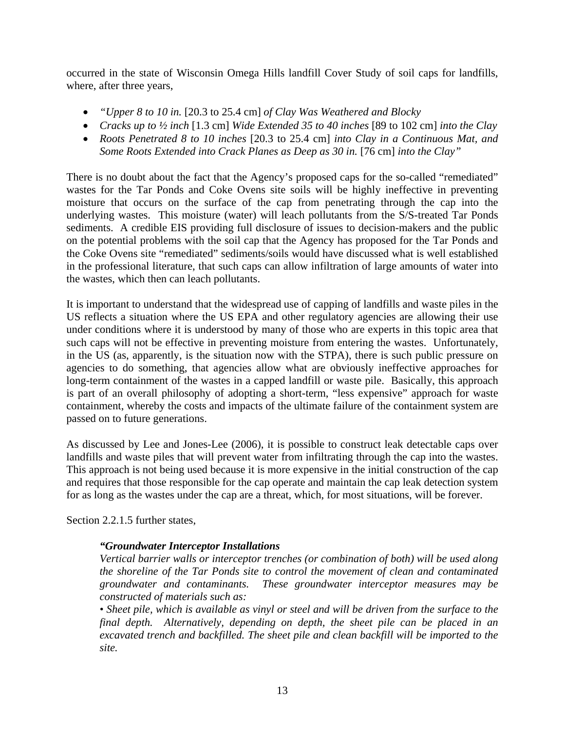occurred in the state of Wisconsin Omega Hills landfill Cover Study of soil caps for landfills, where, after three years,

- *"Upper 8 to 10 in.* [20.3 to 25.4 cm] *of Clay Was Weathered and Blocky*
- *Cracks up to ½ inch* [1.3 cm] *Wide Extended 35 to 40 inches* [89 to 102 cm] *into the Clay*
- *Roots Penetrated 8 to 10 inches* [20.3 to 25.4 cm] *into Clay in a Continuous Mat, and Some Roots Extended into Crack Planes as Deep as 30 in.* [76 cm] *into the Clay*"

There is no doubt about the fact that the Agency's proposed caps for the so-called "remediated" wastes for the Tar Ponds and Coke Ovens site soils will be highly ineffective in preventing moisture that occurs on the surface of the cap from penetrating through the cap into the underlying wastes. This moisture (water) will leach pollutants from the S/S-treated Tar Ponds sediments. A credible EIS providing full disclosure of issues to decision-makers and the public on the potential problems with the soil cap that the Agency has proposed for the Tar Ponds and the Coke Ovens site "remediated" sediments/soils would have discussed what is well established in the professional literature, that such caps can allow infiltration of large amounts of water into the wastes, which then can leach pollutants.

It is important to understand that the widespread use of capping of landfills and waste piles in the US reflects a situation where the US EPA and other regulatory agencies are allowing their use under conditions where it is understood by many of those who are experts in this topic area that such caps will not be effective in preventing moisture from entering the wastes. Unfortunately, in the US (as, apparently, is the situation now with the STPA), there is such public pressure on agencies to do something, that agencies allow what are obviously ineffective approaches for long-term containment of the wastes in a capped landfill or waste pile. Basically, this approach is part of an overall philosophy of adopting a short-term, "less expensive" approach for waste containment, whereby the costs and impacts of the ultimate failure of the containment system are passed on to future generations.

As discussed by Lee and Jones-Lee (2006), it is possible to construct leak detectable caps over landfills and waste piles that will prevent water from infiltrating through the cap into the wastes. This approach is not being used because it is more expensive in the initial construction of the cap and requires that those responsible for the cap operate and maintain the cap leak detection system for as long as the wastes under the cap are a threat, which, for most situations, will be forever.

Section 2.2.1.5 further states,

#### *"Groundwater Interceptor Installations*

*Vertical barrier walls or interceptor trenches (or combination of both) will be used along the shoreline of the Tar Ponds site to control the movement of clean and contaminated groundwater and contaminants. These groundwater interceptor measures may be constructed of materials such as:* 

• Sheet pile, which is available as vinyl or steel and will be driven from the surface to the *final depth. Alternatively, depending on depth, the sheet pile can be placed in an excavated trench and backfilled. The sheet pile and clean backfill will be imported to the site.*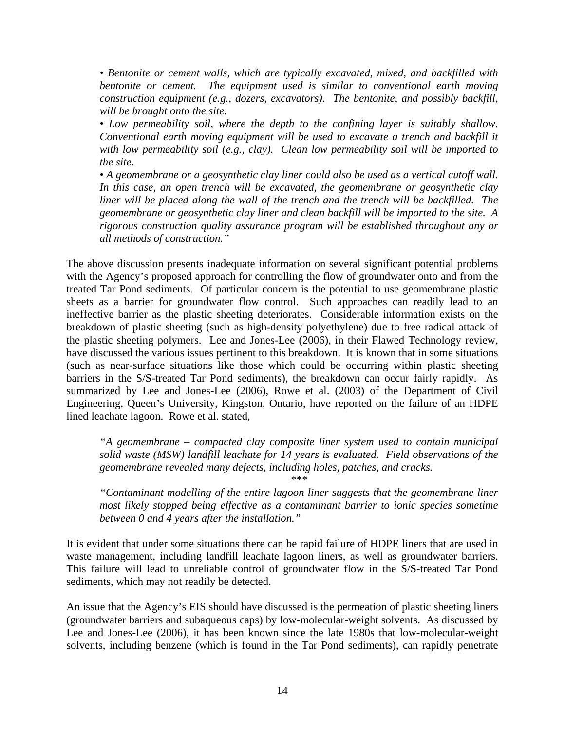*• Bentonite or cement walls, which are typically excavated, mixed, and backfilled with bentonite or cement. The equipment used is similar to conventional earth moving construction equipment (e.g., dozers, excavators). The bentonite, and possibly backfill, will be brought onto the site.* 

*• Low permeability soil, where the depth to the confining layer is suitably shallow. Conventional earth moving equipment will be used to excavate a trench and backfill it with low permeability soil (e.g., clay). Clean low permeability soil will be imported to the site.* 

*• A geomembrane or a geosynthetic clay liner could also be used as a vertical cutoff wall. In this case, an open trench will be excavated, the geomembrane or geosynthetic clay liner will be placed along the wall of the trench and the trench will be backfilled. The geomembrane or geosynthetic clay liner and clean backfill will be imported to the site. A rigorous construction quality assurance program will be established throughout any or all methods of construction."* 

The above discussion presents inadequate information on several significant potential problems with the Agency's proposed approach for controlling the flow of groundwater onto and from the treated Tar Pond sediments. Of particular concern is the potential to use geomembrane plastic sheets as a barrier for groundwater flow control. Such approaches can readily lead to an ineffective barrier as the plastic sheeting deteriorates. Considerable information exists on the breakdown of plastic sheeting (such as high-density polyethylene) due to free radical attack of the plastic sheeting polymers. Lee and Jones-Lee (2006), in their Flawed Technology review, have discussed the various issues pertinent to this breakdown. It is known that in some situations (such as near-surface situations like those which could be occurring within plastic sheeting barriers in the S/S-treated Tar Pond sediments), the breakdown can occur fairly rapidly. As summarized by Lee and Jones-Lee (2006), Rowe et al. (2003) of the Department of Civil Engineering, Queen's University, Kingston, Ontario, have reported on the failure of an HDPE lined leachate lagoon. Rowe et al. stated,

*"A geomembrane – compacted clay composite liner system used to contain municipal solid waste (MSW) landfill leachate for 14 years is evaluated. Field observations of the geomembrane revealed many defects, including holes, patches, and cracks.* 

*\*\*\** 

*"Contaminant modelling of the entire lagoon liner suggests that the geomembrane liner most likely stopped being effective as a contaminant barrier to ionic species sometime between 0 and 4 years after the installation."* 

It is evident that under some situations there can be rapid failure of HDPE liners that are used in waste management, including landfill leachate lagoon liners, as well as groundwater barriers. This failure will lead to unreliable control of groundwater flow in the S/S-treated Tar Pond sediments, which may not readily be detected.

An issue that the Agency's EIS should have discussed is the permeation of plastic sheeting liners (groundwater barriers and subaqueous caps) by low-molecular-weight solvents. As discussed by Lee and Jones-Lee (2006), it has been known since the late 1980s that low-molecular-weight solvents, including benzene (which is found in the Tar Pond sediments), can rapidly penetrate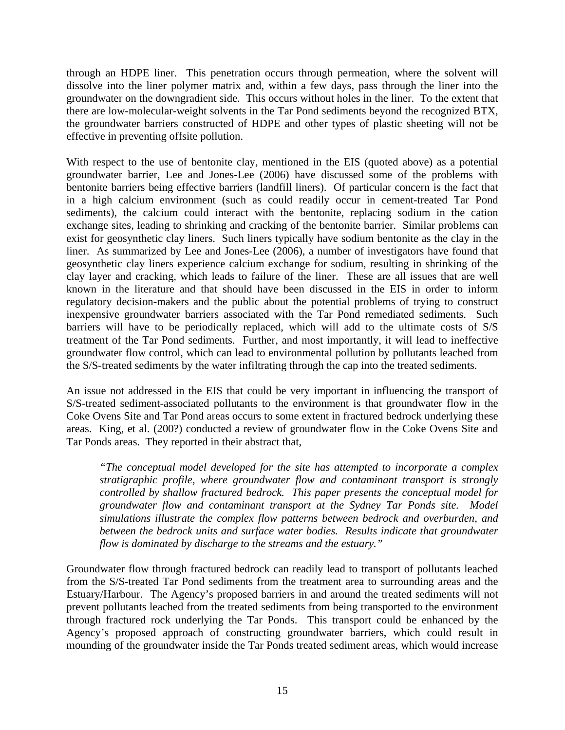through an HDPE liner. This penetration occurs through permeation, where the solvent will dissolve into the liner polymer matrix and, within a few days, pass through the liner into the groundwater on the downgradient side. This occurs without holes in the liner. To the extent that there are low-molecular-weight solvents in the Tar Pond sediments beyond the recognized BTX, the groundwater barriers constructed of HDPE and other types of plastic sheeting will not be effective in preventing offsite pollution.

With respect to the use of bentonite clay, mentioned in the EIS (quoted above) as a potential groundwater barrier, Lee and Jones-Lee (2006) have discussed some of the problems with bentonite barriers being effective barriers (landfill liners). Of particular concern is the fact that in a high calcium environment (such as could readily occur in cement-treated Tar Pond sediments), the calcium could interact with the bentonite, replacing sodium in the cation exchange sites, leading to shrinking and cracking of the bentonite barrier. Similar problems can exist for geosynthetic clay liners. Such liners typically have sodium bentonite as the clay in the liner. As summarized by Lee and Jones-Lee (2006), a number of investigators have found that geosynthetic clay liners experience calcium exchange for sodium, resulting in shrinking of the clay layer and cracking, which leads to failure of the liner. These are all issues that are well known in the literature and that should have been discussed in the EIS in order to inform regulatory decision-makers and the public about the potential problems of trying to construct inexpensive groundwater barriers associated with the Tar Pond remediated sediments. Such barriers will have to be periodically replaced, which will add to the ultimate costs of S/S treatment of the Tar Pond sediments. Further, and most importantly, it will lead to ineffective groundwater flow control, which can lead to environmental pollution by pollutants leached from the S/S-treated sediments by the water infiltrating through the cap into the treated sediments.

An issue not addressed in the EIS that could be very important in influencing the transport of S/S-treated sediment-associated pollutants to the environment is that groundwater flow in the Coke Ovens Site and Tar Pond areas occurs to some extent in fractured bedrock underlying these areas. King, et al. (200?) conducted a review of groundwater flow in the Coke Ovens Site and Tar Ponds areas. They reported in their abstract that,

*"The conceptual model developed for the site has attempted to incorporate a complex stratigraphic profile, where groundwater flow and contaminant transport is strongly controlled by shallow fractured bedrock. This paper presents the conceptual model for groundwater flow and contaminant transport at the Sydney Tar Ponds site. Model simulations illustrate the complex flow patterns between bedrock and overburden, and between the bedrock units and surface water bodies. Results indicate that groundwater flow is dominated by discharge to the streams and the estuary."* 

Groundwater flow through fractured bedrock can readily lead to transport of pollutants leached from the S/S-treated Tar Pond sediments from the treatment area to surrounding areas and the Estuary/Harbour. The Agency's proposed barriers in and around the treated sediments will not prevent pollutants leached from the treated sediments from being transported to the environment through fractured rock underlying the Tar Ponds. This transport could be enhanced by the Agency's proposed approach of constructing groundwater barriers, which could result in mounding of the groundwater inside the Tar Ponds treated sediment areas, which would increase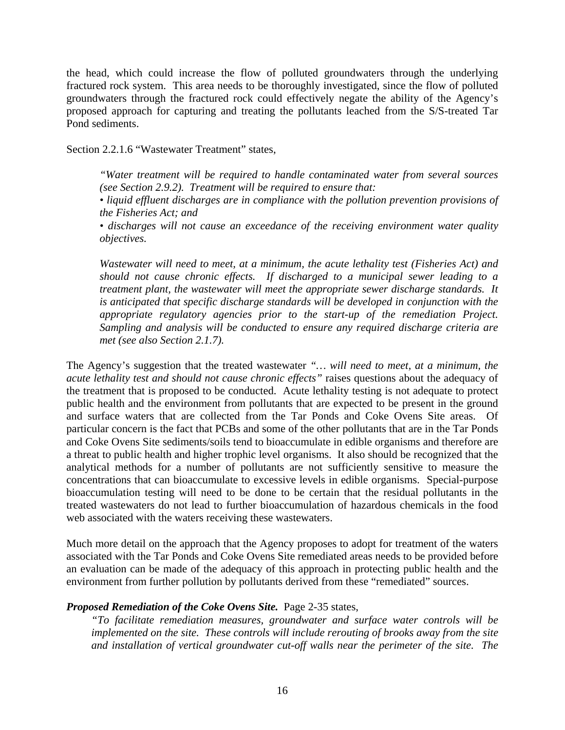the head, which could increase the flow of polluted groundwaters through the underlying fractured rock system. This area needs to be thoroughly investigated, since the flow of polluted groundwaters through the fractured rock could effectively negate the ability of the Agency's proposed approach for capturing and treating the pollutants leached from the S/S-treated Tar Pond sediments.

Section 2.2.1.6 "Wastewater Treatment" states,

*"Water treatment will be required to handle contaminated water from several sources (see Section 2.9.2). Treatment will be required to ensure that:* 

*• liquid effluent discharges are in compliance with the pollution prevention provisions of the Fisheries Act; and* 

*• discharges will not cause an exceedance of the receiving environment water quality objectives.* 

*Wastewater will need to meet, at a minimum, the acute lethality test (Fisheries Act) and should not cause chronic effects. If discharged to a municipal sewer leading to a treatment plant, the wastewater will meet the appropriate sewer discharge standards. It is anticipated that specific discharge standards will be developed in conjunction with the appropriate regulatory agencies prior to the start-up of the remediation Project. Sampling and analysis will be conducted to ensure any required discharge criteria are met (see also Section 2.1.7).* 

The Agency's suggestion that the treated wastewater *"… will need to meet, at a minimum, the acute lethality test and should not cause chronic effects"* raises questions about the adequacy of the treatment that is proposed to be conducted. Acute lethality testing is not adequate to protect public health and the environment from pollutants that are expected to be present in the ground and surface waters that are collected from the Tar Ponds and Coke Ovens Site areas. Of particular concern is the fact that PCBs and some of the other pollutants that are in the Tar Ponds and Coke Ovens Site sediments/soils tend to bioaccumulate in edible organisms and therefore are a threat to public health and higher trophic level organisms. It also should be recognized that the analytical methods for a number of pollutants are not sufficiently sensitive to measure the concentrations that can bioaccumulate to excessive levels in edible organisms. Special-purpose bioaccumulation testing will need to be done to be certain that the residual pollutants in the treated wastewaters do not lead to further bioaccumulation of hazardous chemicals in the food web associated with the waters receiving these wastewaters.

Much more detail on the approach that the Agency proposes to adopt for treatment of the waters associated with the Tar Ponds and Coke Ovens Site remediated areas needs to be provided before an evaluation can be made of the adequacy of this approach in protecting public health and the environment from further pollution by pollutants derived from these "remediated" sources.

#### *Proposed Remediation of the Coke Ovens Site.* Page 2-35 states,

*"To facilitate remediation measures, groundwater and surface water controls will be implemented on the site. These controls will include rerouting of brooks away from the site and installation of vertical groundwater cut-off walls near the perimeter of the site. The*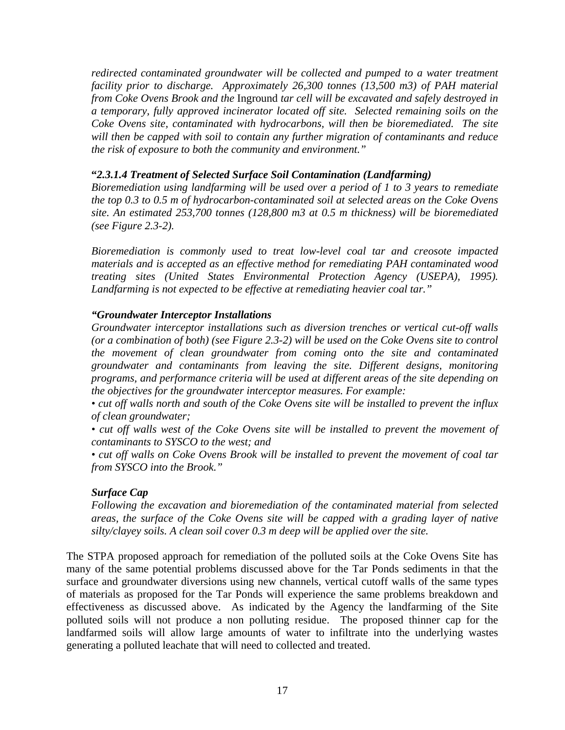*redirected contaminated groundwater will be collected and pumped to a water treatment facility prior to discharge. Approximately 26,300 tonnes (13,500 m3) of PAH material from Coke Ovens Brook and the* Inground *tar cell will be excavated and safely destroyed in a temporary, fully approved incinerator located off site. Selected remaining soils on the Coke Ovens site, contaminated with hydrocarbons, will then be bioremediated. The site will then be capped with soil to contain any further migration of contaminants and reduce the risk of exposure to both the community and environment."* 

#### **"***2.3.1.4 Treatment of Selected Surface Soil Contamination (Landfarming)*

*Bioremediation using landfarming will be used over a period of 1 to 3 years to remediate the top 0.3 to 0.5 m of hydrocarbon-contaminated soil at selected areas on the Coke Ovens site. An estimated 253,700 tonnes (128,800 m3 at 0.5 m thickness) will be bioremediated (see Figure 2.3-2).* 

*Bioremediation is commonly used to treat low-level coal tar and creosote impacted materials and is accepted as an effective method for remediating PAH contaminated wood treating sites (United States Environmental Protection Agency (USEPA), 1995). Landfarming is not expected to be effective at remediating heavier coal tar."* 

## *"Groundwater Interceptor Installations*

*Groundwater interceptor installations such as diversion trenches or vertical cut-off walls (or a combination of both) (see Figure 2.3-2) will be used on the Coke Ovens site to control the movement of clean groundwater from coming onto the site and contaminated groundwater and contaminants from leaving the site. Different designs, monitoring programs, and performance criteria will be used at different areas of the site depending on the objectives for the groundwater interceptor measures. For example:* 

*• cut off walls north and south of the Coke Ovens site will be installed to prevent the influx of clean groundwater;* 

*• cut off walls west of the Coke Ovens site will be installed to prevent the movement of contaminants to SYSCO to the west; and* 

*• cut off walls on Coke Ovens Brook will be installed to prevent the movement of coal tar from SYSCO into the Brook."* 

#### *Surface Cap*

*Following the excavation and bioremediation of the contaminated material from selected areas, the surface of the Coke Ovens site will be capped with a grading layer of native silty/clayey soils. A clean soil cover 0.3 m deep will be applied over the site.* 

The STPA proposed approach for remediation of the polluted soils at the Coke Ovens Site has many of the same potential problems discussed above for the Tar Ponds sediments in that the surface and groundwater diversions using new channels, vertical cutoff walls of the same types of materials as proposed for the Tar Ponds will experience the same problems breakdown and effectiveness as discussed above. As indicated by the Agency the landfarming of the Site polluted soils will not produce a non polluting residue. The proposed thinner cap for the landfarmed soils will allow large amounts of water to infiltrate into the underlying wastes generating a polluted leachate that will need to collected and treated.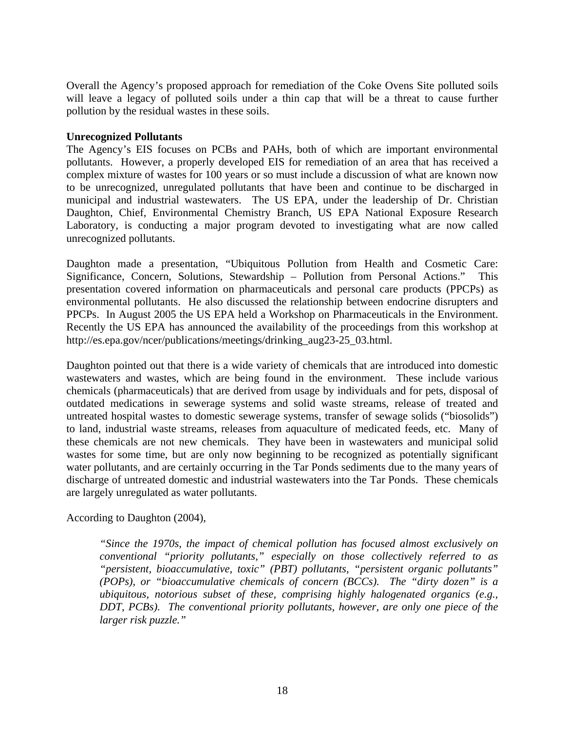Overall the Agency's proposed approach for remediation of the Coke Ovens Site polluted soils will leave a legacy of polluted soils under a thin cap that will be a threat to cause further pollution by the residual wastes in these soils.

#### **Unrecognized Pollutants**

The Agency's EIS focuses on PCBs and PAHs, both of which are important environmental pollutants. However, a properly developed EIS for remediation of an area that has received a complex mixture of wastes for 100 years or so must include a discussion of what are known now to be unrecognized, unregulated pollutants that have been and continue to be discharged in municipal and industrial wastewaters. The US EPA, under the leadership of Dr. Christian Daughton, Chief, Environmental Chemistry Branch, US EPA National Exposure Research Laboratory, is conducting a major program devoted to investigating what are now called unrecognized pollutants.

Daughton made a presentation, "Ubiquitous Pollution from Health and Cosmetic Care: Significance, Concern, Solutions, Stewardship – Pollution from Personal Actions." This presentation covered information on pharmaceuticals and personal care products (PPCPs) as environmental pollutants. He also discussed the relationship between endocrine disrupters and PPCPs. In August 2005 the US EPA held a Workshop on Pharmaceuticals in the Environment. Recently the US EPA has announced the availability of the proceedings from this workshop at http://es.epa.gov/ncer/publications/meetings/drinking\_aug23-25\_03.html.

Daughton pointed out that there is a wide variety of chemicals that are introduced into domestic wastewaters and wastes, which are being found in the environment. These include various chemicals (pharmaceuticals) that are derived from usage by individuals and for pets, disposal of outdated medications in sewerage systems and solid waste streams, release of treated and untreated hospital wastes to domestic sewerage systems, transfer of sewage solids ("biosolids") to land, industrial waste streams, releases from aquaculture of medicated feeds, etc. Many of these chemicals are not new chemicals. They have been in wastewaters and municipal solid wastes for some time, but are only now beginning to be recognized as potentially significant water pollutants, and are certainly occurring in the Tar Ponds sediments due to the many years of discharge of untreated domestic and industrial wastewaters into the Tar Ponds. These chemicals are largely unregulated as water pollutants.

According to Daughton (2004),

*"Since the 1970s, the impact of chemical pollution has focused almost exclusively on conventional "priority pollutants," especially on those collectively referred to as "persistent, bioaccumulative, toxic" (PBT) pollutants, "persistent organic pollutants" (POPs), or "bioaccumulative chemicals of concern (BCCs). The "dirty dozen" is a ubiquitous, notorious subset of these, comprising highly halogenated organics (e.g., DDT, PCBs). The conventional priority pollutants, however, are only one piece of the larger risk puzzle."*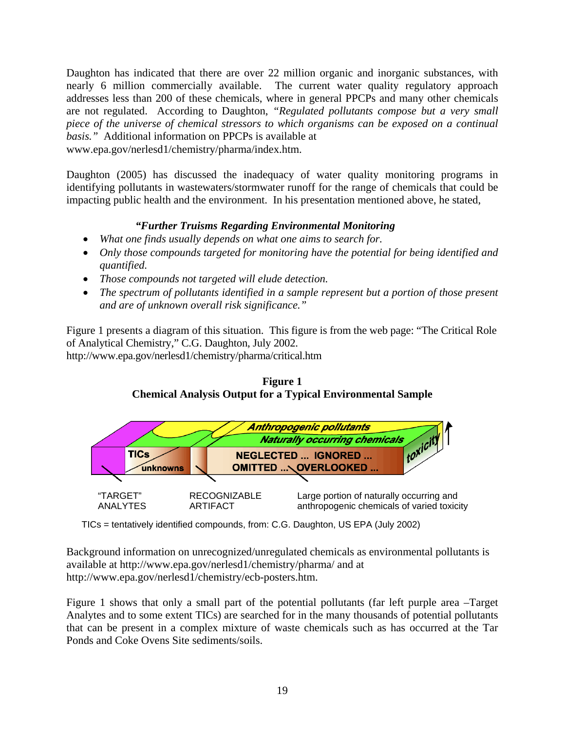Daughton has indicated that there are over 22 million organic and inorganic substances, with nearly 6 million commercially available. The current water quality regulatory approach addresses less than 200 of these chemicals, where in general PPCPs and many other chemicals are not regulated. According to Daughton, *"Regulated pollutants compose but a very small piece of the universe of chemical stressors to which organisms can be exposed on a continual basis."* Additional information on PPCPs is available at

www.epa.gov/nerlesd1/chemistry/pharma/index.htm.

Daughton (2005) has discussed the inadequacy of water quality monitoring programs in identifying pollutants in wastewaters/stormwater runoff for the range of chemicals that could be impacting public health and the environment. In his presentation mentioned above, he stated,

# *"Further Truisms Regarding Environmental Monitoring*

- *What one finds usually depends on what one aims to search for.*
- *Only those compounds targeted for monitoring have the potential for being identified and quantified.*
- *Those compounds not targeted will elude detection.*
- *The spectrum of pollutants identified in a sample represent but a portion of those present and are of unknown overall risk significance."*

Figure 1 presents a diagram of this situation. This figure is from the web page: "The Critical Role of Analytical Chemistry," C.G. Daughton, July 2002. http://www.epa.gov/nerlesd1/chemistry/pharma/critical.htm

**Figure 1 Chemical Analysis Output for a Typical Environmental Sample** 



TICs = tentatively identified compounds, from: C.G. Daughton, US EPA (July 2002)

Background information on unrecognized/unregulated chemicals as environmental pollutants is available at http://www.epa.gov/nerlesd1/chemistry/pharma/ and at http://www.epa.gov/nerlesd1/chemistry/ecb-posters.htm.

Figure 1 shows that only a small part of the potential pollutants (far left purple area –Target Analytes and to some extent TICs) are searched for in the many thousands of potential pollutants that can be present in a complex mixture of waste chemicals such as has occurred at the Tar Ponds and Coke Ovens Site sediments/soils.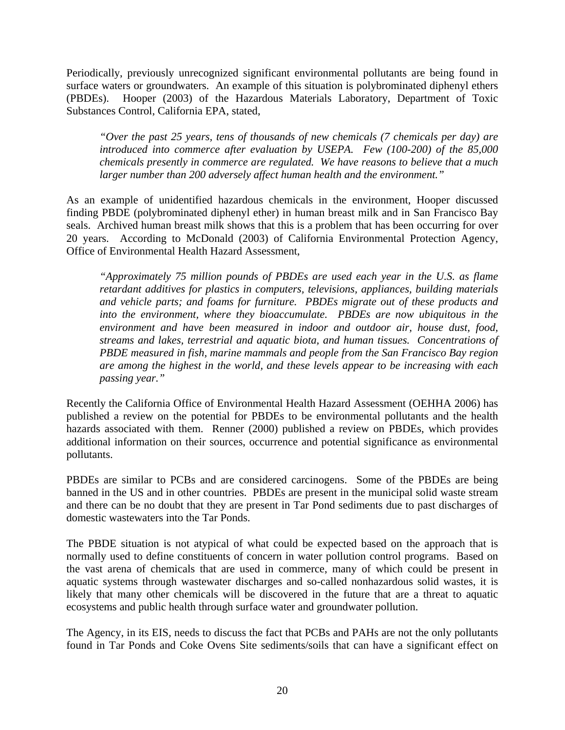Periodically, previously unrecognized significant environmental pollutants are being found in surface waters or groundwaters. An example of this situation is polybrominated diphenyl ethers (PBDEs). Hooper (2003) of the Hazardous Materials Laboratory, Department of Toxic Substances Control, California EPA, stated,

*"Over the past 25 years, tens of thousands of new chemicals (7 chemicals per day) are introduced into commerce after evaluation by USEPA. Few (100-200) of the 85,000 chemicals presently in commerce are regulated. We have reasons to believe that a much larger number than 200 adversely affect human health and the environment."* 

As an example of unidentified hazardous chemicals in the environment, Hooper discussed finding PBDE (polybrominated diphenyl ether) in human breast milk and in San Francisco Bay seals. Archived human breast milk shows that this is a problem that has been occurring for over 20 years. According to McDonald (2003) of California Environmental Protection Agency, Office of Environmental Health Hazard Assessment,

*"Approximately 75 million pounds of PBDEs are used each year in the U.S. as flame retardant additives for plastics in computers, televisions, appliances, building materials and vehicle parts; and foams for furniture. PBDEs migrate out of these products and into the environment, where they bioaccumulate. PBDEs are now ubiquitous in the environment and have been measured in indoor and outdoor air, house dust, food, streams and lakes, terrestrial and aquatic biota, and human tissues. Concentrations of PBDE measured in fish, marine mammals and people from the San Francisco Bay region are among the highest in the world, and these levels appear to be increasing with each passing year."* 

Recently the California Office of Environmental Health Hazard Assessment (OEHHA 2006) has published a review on the potential for PBDEs to be environmental pollutants and the health hazards associated with them. Renner (2000) published a review on PBDEs, which provides additional information on their sources, occurrence and potential significance as environmental pollutants.

PBDEs are similar to PCBs and are considered carcinogens. Some of the PBDEs are being banned in the US and in other countries. PBDEs are present in the municipal solid waste stream and there can be no doubt that they are present in Tar Pond sediments due to past discharges of domestic wastewaters into the Tar Ponds.

The PBDE situation is not atypical of what could be expected based on the approach that is normally used to define constituents of concern in water pollution control programs. Based on the vast arena of chemicals that are used in commerce, many of which could be present in aquatic systems through wastewater discharges and so-called nonhazardous solid wastes, it is likely that many other chemicals will be discovered in the future that are a threat to aquatic ecosystems and public health through surface water and groundwater pollution.

The Agency, in its EIS, needs to discuss the fact that PCBs and PAHs are not the only pollutants found in Tar Ponds and Coke Ovens Site sediments/soils that can have a significant effect on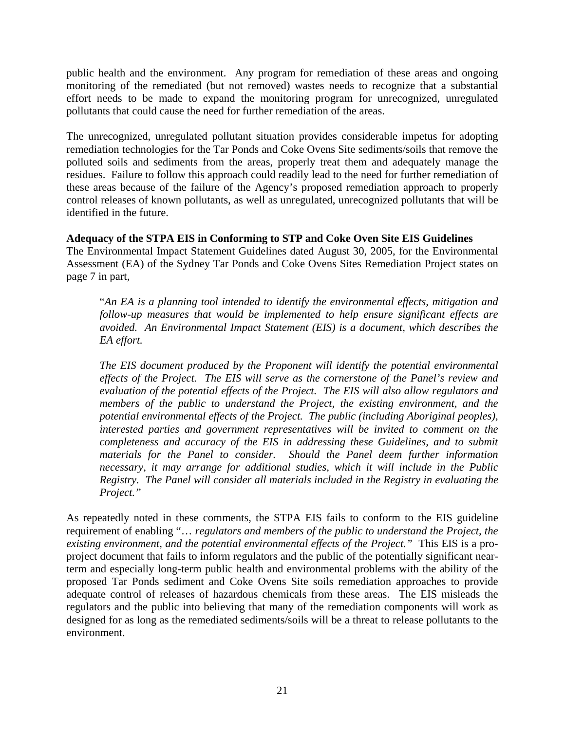public health and the environment. Any program for remediation of these areas and ongoing monitoring of the remediated (but not removed) wastes needs to recognize that a substantial effort needs to be made to expand the monitoring program for unrecognized, unregulated pollutants that could cause the need for further remediation of the areas.

The unrecognized, unregulated pollutant situation provides considerable impetus for adopting remediation technologies for the Tar Ponds and Coke Ovens Site sediments/soils that remove the polluted soils and sediments from the areas, properly treat them and adequately manage the residues. Failure to follow this approach could readily lead to the need for further remediation of these areas because of the failure of the Agency's proposed remediation approach to properly control releases of known pollutants, as well as unregulated, unrecognized pollutants that will be identified in the future.

## **Adequacy of the STPA EIS in Conforming to STP and Coke Oven Site EIS Guidelines**

The Environmental Impact Statement Guidelines dated August 30, 2005, for the Environmental Assessment (EA) of the Sydney Tar Ponds and Coke Ovens Sites Remediation Project states on page 7 in part,

"*An EA is a planning tool intended to identify the environmental effects, mitigation and follow-up measures that would be implemented to help ensure significant effects are avoided. An Environmental Impact Statement (EIS) is a document, which describes the EA effort.* 

*The EIS document produced by the Proponent will identify the potential environmental effects of the Project. The EIS will serve as the cornerstone of the Panel's review and evaluation of the potential effects of the Project. The EIS will also allow regulators and members of the public to understand the Project, the existing environment, and the potential environmental effects of the Project. The public (including Aboriginal peoples), interested parties and government representatives will be invited to comment on the completeness and accuracy of the EIS in addressing these Guidelines, and to submit materials for the Panel to consider. Should the Panel deem further information necessary, it may arrange for additional studies, which it will include in the Public Registry. The Panel will consider all materials included in the Registry in evaluating the Project."* 

As repeatedly noted in these comments, the STPA EIS fails to conform to the EIS guideline requirement of enabling "… *regulators and members of the public to understand the Project, the existing environment, and the potential environmental effects of the Project."* This EIS is a proproject document that fails to inform regulators and the public of the potentially significant nearterm and especially long-term public health and environmental problems with the ability of the proposed Tar Ponds sediment and Coke Ovens Site soils remediation approaches to provide adequate control of releases of hazardous chemicals from these areas. The EIS misleads the regulators and the public into believing that many of the remediation components will work as designed for as long as the remediated sediments/soils will be a threat to release pollutants to the environment.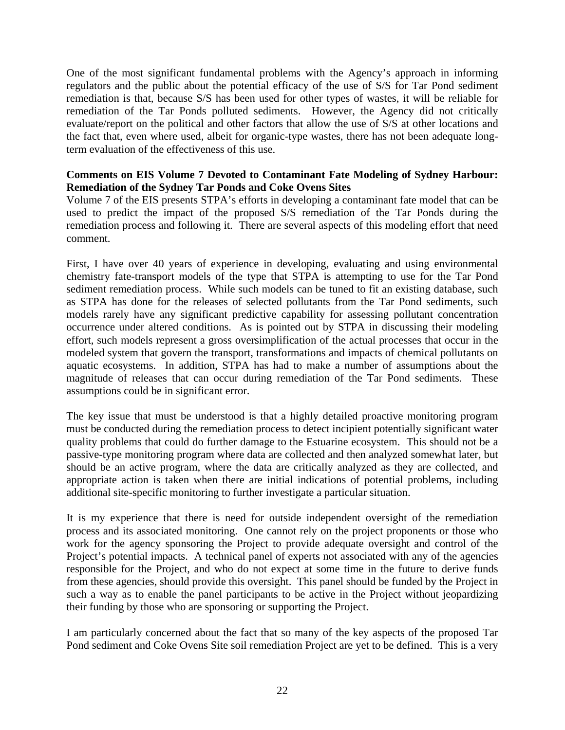One of the most significant fundamental problems with the Agency's approach in informing regulators and the public about the potential efficacy of the use of S/S for Tar Pond sediment remediation is that, because S/S has been used for other types of wastes, it will be reliable for remediation of the Tar Ponds polluted sediments. However, the Agency did not critically evaluate/report on the political and other factors that allow the use of S/S at other locations and the fact that, even where used, albeit for organic-type wastes, there has not been adequate longterm evaluation of the effectiveness of this use.

### **Comments on EIS Volume 7 Devoted to Contaminant Fate Modeling of Sydney Harbour: Remediation of the Sydney Tar Ponds and Coke Ovens Sites**

Volume 7 of the EIS presents STPA's efforts in developing a contaminant fate model that can be used to predict the impact of the proposed S/S remediation of the Tar Ponds during the remediation process and following it. There are several aspects of this modeling effort that need comment.

First, I have over 40 years of experience in developing, evaluating and using environmental chemistry fate-transport models of the type that STPA is attempting to use for the Tar Pond sediment remediation process. While such models can be tuned to fit an existing database, such as STPA has done for the releases of selected pollutants from the Tar Pond sediments, such models rarely have any significant predictive capability for assessing pollutant concentration occurrence under altered conditions. As is pointed out by STPA in discussing their modeling effort, such models represent a gross oversimplification of the actual processes that occur in the modeled system that govern the transport, transformations and impacts of chemical pollutants on aquatic ecosystems. In addition, STPA has had to make a number of assumptions about the magnitude of releases that can occur during remediation of the Tar Pond sediments. These assumptions could be in significant error.

The key issue that must be understood is that a highly detailed proactive monitoring program must be conducted during the remediation process to detect incipient potentially significant water quality problems that could do further damage to the Estuarine ecosystem. This should not be a passive-type monitoring program where data are collected and then analyzed somewhat later, but should be an active program, where the data are critically analyzed as they are collected, and appropriate action is taken when there are initial indications of potential problems, including additional site-specific monitoring to further investigate a particular situation.

It is my experience that there is need for outside independent oversight of the remediation process and its associated monitoring. One cannot rely on the project proponents or those who work for the agency sponsoring the Project to provide adequate oversight and control of the Project's potential impacts. A technical panel of experts not associated with any of the agencies responsible for the Project, and who do not expect at some time in the future to derive funds from these agencies, should provide this oversight. This panel should be funded by the Project in such a way as to enable the panel participants to be active in the Project without jeopardizing their funding by those who are sponsoring or supporting the Project.

I am particularly concerned about the fact that so many of the key aspects of the proposed Tar Pond sediment and Coke Ovens Site soil remediation Project are yet to be defined. This is a very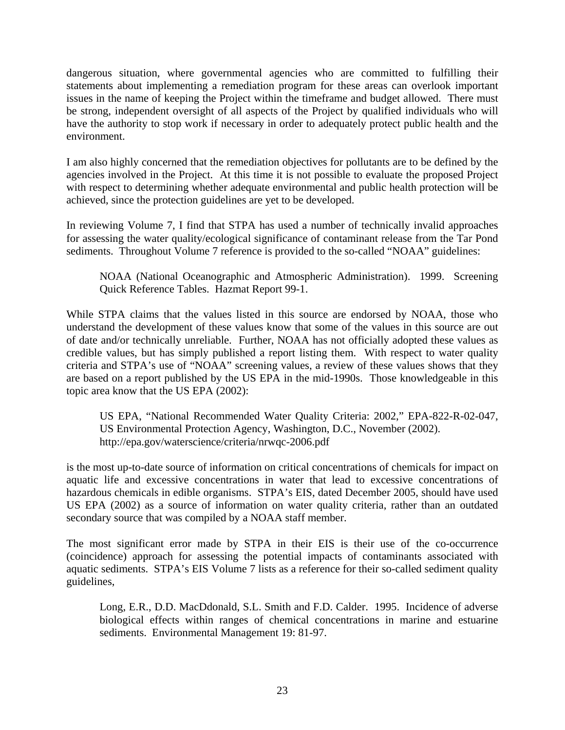dangerous situation, where governmental agencies who are committed to fulfilling their statements about implementing a remediation program for these areas can overlook important issues in the name of keeping the Project within the timeframe and budget allowed. There must be strong, independent oversight of all aspects of the Project by qualified individuals who will have the authority to stop work if necessary in order to adequately protect public health and the environment.

I am also highly concerned that the remediation objectives for pollutants are to be defined by the agencies involved in the Project. At this time it is not possible to evaluate the proposed Project with respect to determining whether adequate environmental and public health protection will be achieved, since the protection guidelines are yet to be developed.

In reviewing Volume 7, I find that STPA has used a number of technically invalid approaches for assessing the water quality/ecological significance of contaminant release from the Tar Pond sediments. Throughout Volume 7 reference is provided to the so-called "NOAA" guidelines:

NOAA (National Oceanographic and Atmospheric Administration). 1999. Screening Quick Reference Tables. Hazmat Report 99-1.

While STPA claims that the values listed in this source are endorsed by NOAA, those who understand the development of these values know that some of the values in this source are out of date and/or technically unreliable. Further, NOAA has not officially adopted these values as credible values, but has simply published a report listing them. With respect to water quality criteria and STPA's use of "NOAA" screening values, a review of these values shows that they are based on a report published by the US EPA in the mid-1990s. Those knowledgeable in this topic area know that the US EPA (2002):

US EPA, "National Recommended Water Quality Criteria: 2002," EPA-822-R-02-047, US Environmental Protection Agency, Washington, D.C., November (2002). http://epa.gov/waterscience/criteria/nrwqc-2006.pdf

is the most up-to-date source of information on critical concentrations of chemicals for impact on aquatic life and excessive concentrations in water that lead to excessive concentrations of hazardous chemicals in edible organisms. STPA's EIS, dated December 2005, should have used US EPA (2002) as a source of information on water quality criteria, rather than an outdated secondary source that was compiled by a NOAA staff member.

The most significant error made by STPA in their EIS is their use of the co-occurrence (coincidence) approach for assessing the potential impacts of contaminants associated with aquatic sediments. STPA's EIS Volume 7 lists as a reference for their so-called sediment quality guidelines,

Long, E.R., D.D. MacDdonald, S.L. Smith and F.D. Calder. 1995. Incidence of adverse biological effects within ranges of chemical concentrations in marine and estuarine sediments. Environmental Management 19: 81-97.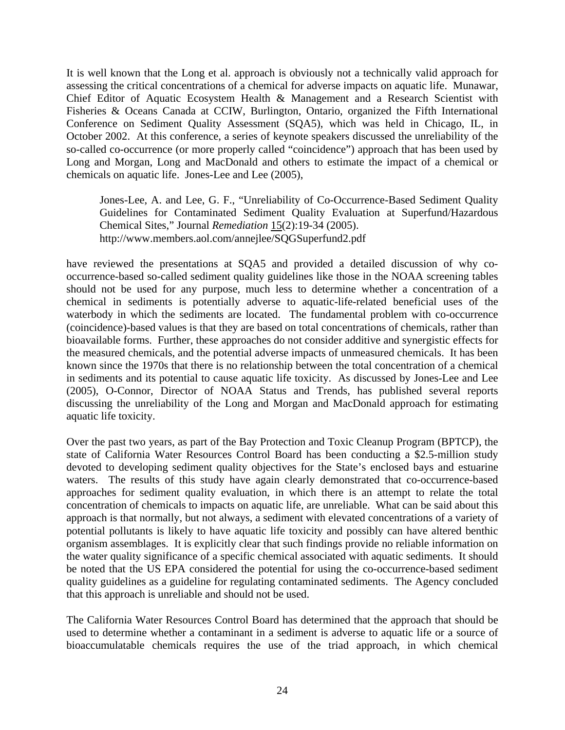It is well known that the Long et al. approach is obviously not a technically valid approach for assessing the critical concentrations of a chemical for adverse impacts on aquatic life. Munawar, Chief Editor of Aquatic Ecosystem Health & Management and a Research Scientist with Fisheries & Oceans Canada at CCIW, Burlington, Ontario, organized the Fifth International Conference on Sediment Quality Assessment (SQA5), which was held in Chicago, IL, in October 2002. At this conference, a series of keynote speakers discussed the unreliability of the so-called co-occurrence (or more properly called "coincidence") approach that has been used by Long and Morgan, Long and MacDonald and others to estimate the impact of a chemical or chemicals on aquatic life. Jones-Lee and Lee (2005),

Jones-Lee, A. and Lee, G. F., "Unreliability of Co-Occurrence-Based Sediment Quality Guidelines for Contaminated Sediment Quality Evaluation at Superfund/Hazardous Chemical Sites," Journal *Remediation* 15(2):19-34 (2005). http://www.members.aol.com/annejlee/SQGSuperfund2.pdf

have reviewed the presentations at SQA5 and provided a detailed discussion of why cooccurrence-based so-called sediment quality guidelines like those in the NOAA screening tables should not be used for any purpose, much less to determine whether a concentration of a chemical in sediments is potentially adverse to aquatic-life-related beneficial uses of the waterbody in which the sediments are located. The fundamental problem with co-occurrence (coincidence)-based values is that they are based on total concentrations of chemicals, rather than bioavailable forms. Further, these approaches do not consider additive and synergistic effects for the measured chemicals, and the potential adverse impacts of unmeasured chemicals. It has been known since the 1970s that there is no relationship between the total concentration of a chemical in sediments and its potential to cause aquatic life toxicity. As discussed by Jones-Lee and Lee (2005), O-Connor, Director of NOAA Status and Trends, has published several reports discussing the unreliability of the Long and Morgan and MacDonald approach for estimating aquatic life toxicity.

Over the past two years, as part of the Bay Protection and Toxic Cleanup Program (BPTCP), the state of California Water Resources Control Board has been conducting a \$2.5-million study devoted to developing sediment quality objectives for the State's enclosed bays and estuarine waters. The results of this study have again clearly demonstrated that co-occurrence-based approaches for sediment quality evaluation, in which there is an attempt to relate the total concentration of chemicals to impacts on aquatic life, are unreliable. What can be said about this approach is that normally, but not always, a sediment with elevated concentrations of a variety of potential pollutants is likely to have aquatic life toxicity and possibly can have altered benthic organism assemblages. It is explicitly clear that such findings provide no reliable information on the water quality significance of a specific chemical associated with aquatic sediments. It should be noted that the US EPA considered the potential for using the co-occurrence-based sediment quality guidelines as a guideline for regulating contaminated sediments. The Agency concluded that this approach is unreliable and should not be used.

The California Water Resources Control Board has determined that the approach that should be used to determine whether a contaminant in a sediment is adverse to aquatic life or a source of bioaccumulatable chemicals requires the use of the triad approach, in which chemical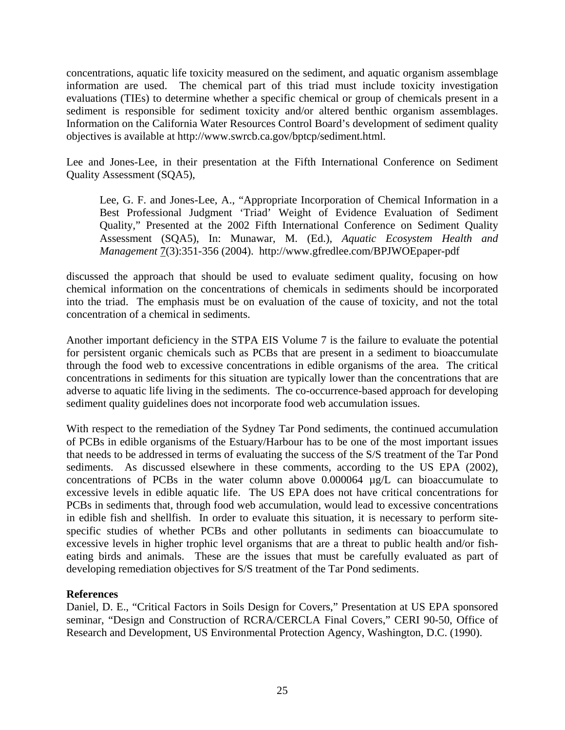concentrations, aquatic life toxicity measured on the sediment, and aquatic organism assemblage information are used. The chemical part of this triad must include toxicity investigation evaluations (TIEs) to determine whether a specific chemical or group of chemicals present in a sediment is responsible for sediment toxicity and/or altered benthic organism assemblages. Information on the California Water Resources Control Board's development of sediment quality objectives is available at http://www.swrcb.ca.gov/bptcp/sediment.html.

Lee and Jones-Lee, in their presentation at the Fifth International Conference on Sediment Quality Assessment (SQA5),

Lee, G. F. and Jones-Lee, A., "Appropriate Incorporation of Chemical Information in a Best Professional Judgment 'Triad' Weight of Evidence Evaluation of Sediment Quality," Presented at the 2002 Fifth International Conference on Sediment Quality Assessment (SQA5), In: Munawar, M. (Ed.), *Aquatic Ecosystem Health and Management* 7(3):351-356 (2004). http://www.gfredlee.com/BPJWOEpaper-pdf

discussed the approach that should be used to evaluate sediment quality, focusing on how chemical information on the concentrations of chemicals in sediments should be incorporated into the triad. The emphasis must be on evaluation of the cause of toxicity, and not the total concentration of a chemical in sediments.

Another important deficiency in the STPA EIS Volume 7 is the failure to evaluate the potential for persistent organic chemicals such as PCBs that are present in a sediment to bioaccumulate through the food web to excessive concentrations in edible organisms of the area. The critical concentrations in sediments for this situation are typically lower than the concentrations that are adverse to aquatic life living in the sediments. The co-occurrence-based approach for developing sediment quality guidelines does not incorporate food web accumulation issues.

With respect to the remediation of the Sydney Tar Pond sediments, the continued accumulation of PCBs in edible organisms of the Estuary/Harbour has to be one of the most important issues that needs to be addressed in terms of evaluating the success of the S/S treatment of the Tar Pond sediments. As discussed elsewhere in these comments, according to the US EPA (2002), concentrations of PCBs in the water column above 0.000064 µg/L can bioaccumulate to excessive levels in edible aquatic life. The US EPA does not have critical concentrations for PCBs in sediments that, through food web accumulation, would lead to excessive concentrations in edible fish and shellfish. In order to evaluate this situation, it is necessary to perform sitespecific studies of whether PCBs and other pollutants in sediments can bioaccumulate to excessive levels in higher trophic level organisms that are a threat to public health and/or fisheating birds and animals. These are the issues that must be carefully evaluated as part of developing remediation objectives for S/S treatment of the Tar Pond sediments.

# **References**

Daniel, D. E., "Critical Factors in Soils Design for Covers," Presentation at US EPA sponsored seminar, "Design and Construction of RCRA/CERCLA Final Covers," CERI 90-50, Office of Research and Development, US Environmental Protection Agency, Washington, D.C. (1990).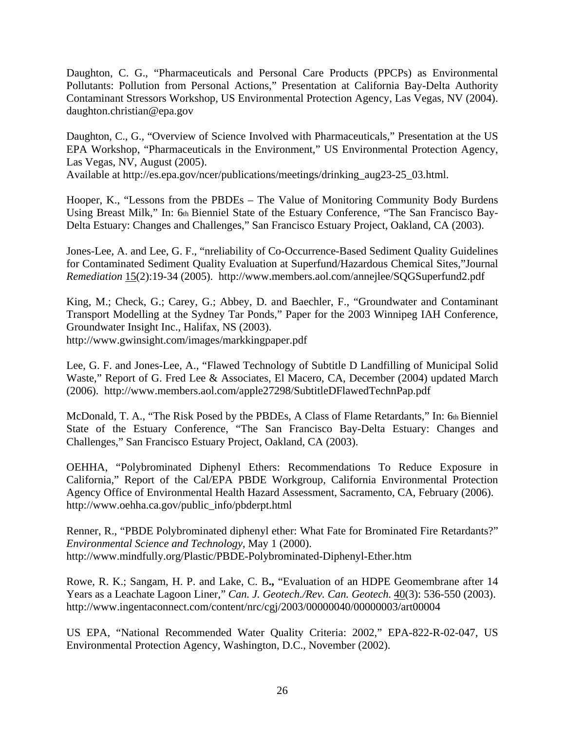Daughton, C. G., "Pharmaceuticals and Personal Care Products (PPCPs) as Environmental Pollutants: Pollution from Personal Actions," Presentation at California Bay-Delta Authority Contaminant Stressors Workshop, US Environmental Protection Agency, Las Vegas, NV (2004). daughton.christian@epa.gov

Daughton, C., G., "Overview of Science Involved with Pharmaceuticals," Presentation at the US EPA Workshop, "Pharmaceuticals in the Environment," US Environmental Protection Agency, Las Vegas, NV, August (2005).

Available at http://es.epa.gov/ncer/publications/meetings/drinking\_aug23-25\_03.html.

Hooper, K., "Lessons from the PBDEs – The Value of Monitoring Community Body Burdens Using Breast Milk," In: 6th Bienniel State of the Estuary Conference, "The San Francisco Bay-Delta Estuary: Changes and Challenges," San Francisco Estuary Project, Oakland, CA (2003).

Jones-Lee, A. and Lee, G. F., "nreliability of Co-Occurrence-Based Sediment Quality Guidelines for Contaminated Sediment Quality Evaluation at Superfund/Hazardous Chemical Sites,"Journal *Remediation* 15(2):19-34 (2005). http://www.members.aol.com/annejlee/SQGSuperfund2.pdf

King, M.; Check, G.; Carey, G.; Abbey, D. and Baechler, F., "Groundwater and Contaminant Transport Modelling at the Sydney Tar Ponds," Paper for the 2003 Winnipeg IAH Conference, Groundwater Insight Inc., Halifax, NS (2003). http://www.gwinsight.com/images/markkingpaper.pdf

Lee, G. F. and Jones-Lee, A., "Flawed Technology of Subtitle D Landfilling of Municipal Solid Waste," Report of G. Fred Lee & Associates, El Macero, CA, December (2004) updated March (2006). http://www.members.aol.com/apple27298/SubtitleDFlawedTechnPap.pdf

McDonald, T. A., "The Risk Posed by the PBDEs, A Class of Flame Retardants," In: 6th Bienniel State of the Estuary Conference, "The San Francisco Bay-Delta Estuary: Changes and Challenges," San Francisco Estuary Project, Oakland, CA (2003).

OEHHA, "Polybrominated Diphenyl Ethers: Recommendations To Reduce Exposure in California," Report of the Cal/EPA PBDE Workgroup, California Environmental Protection Agency Office of Environmental Health Hazard Assessment, Sacramento, CA, February (2006). http://www.oehha.ca.gov/public\_info/pbderpt.html

Renner, R., "PBDE Polybrominated diphenyl ether: What Fate for Brominated Fire Retardants?" *Environmental Science and Technology*, May 1 (2000). http://www.mindfully.org/Plastic/PBDE-Polybrominated-Diphenyl-Ether.htm

Rowe, R. K.; Sangam, H. P. and Lake, C. B**.,** "Evaluation of an HDPE Geomembrane after 14 Years as a Leachate Lagoon Liner," *Can. J. Geotech./Rev. Can. Geotech.* 40(3): 536-550 (2003). http://www.ingentaconnect.com/content/nrc/cgj/2003/00000040/00000003/art00004

US EPA, "National Recommended Water Quality Criteria: 2002," EPA-822-R-02-047, US Environmental Protection Agency, Washington, D.C., November (2002).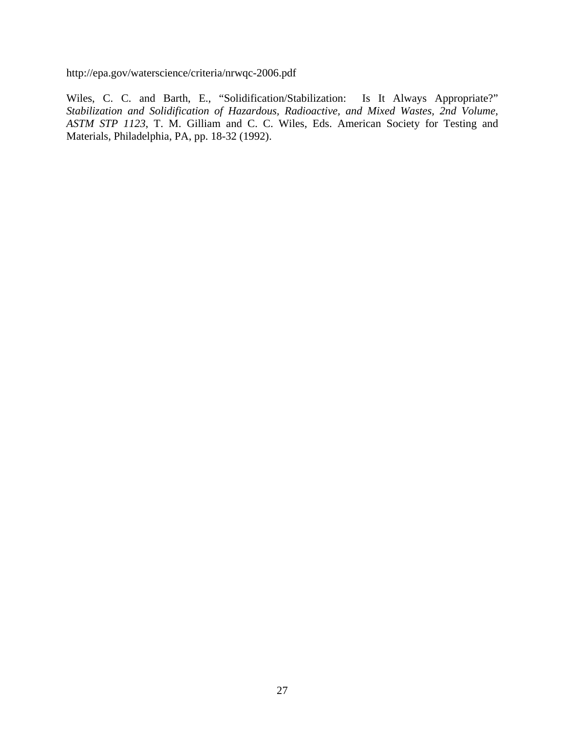http://epa.gov/waterscience/criteria/nrwqc-2006.pdf

Wiles, C. C. and Barth, E., "Solidification/Stabilization: Is It Always Appropriate?" *Stabilization and Solidification of Hazardous, Radioactive, and Mixed Wastes, 2nd Volume, ASTM STP 1123*, T. M. Gilliam and C. C. Wiles, Eds. American Society for Testing and Materials, Philadelphia, PA, pp. 18-32 (1992).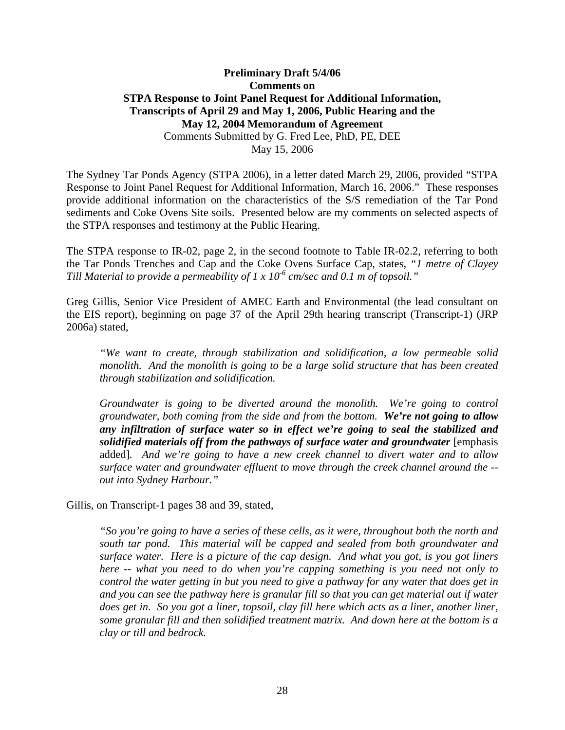## **Preliminary Draft 5/4/06 Comments on STPA Response to Joint Panel Request for Additional Information, Transcripts of April 29 and May 1, 2006, Public Hearing and the May 12, 2004 Memorandum of Agreement**  Comments Submitted by G. Fred Lee, PhD, PE, DEE May 15, 2006

The Sydney Tar Ponds Agency (STPA 2006), in a letter dated March 29, 2006, provided "STPA Response to Joint Panel Request for Additional Information, March 16, 2006." These responses provide additional information on the characteristics of the S/S remediation of the Tar Pond sediments and Coke Ovens Site soils. Presented below are my comments on selected aspects of the STPA responses and testimony at the Public Hearing.

The STPA response to IR-02, page 2, in the second footnote to Table IR-02.2, referring to both the Tar Ponds Trenches and Cap and the Coke Ovens Surface Cap, states, *"1 metre of Clayey Till Material to provide a permeability of 1 x 10<sup>-6</sup> cm/sec and 0.1 m of topsoil.*"

Greg Gillis, Senior Vice President of AMEC Earth and Environmental (the lead consultant on the EIS report), beginning on page 37 of the April 29th hearing transcript (Transcript-1) (JRP 2006a) stated,

*"We want to create, through stabilization and solidification, a low permeable solid monolith. And the monolith is going to be a large solid structure that has been created through stabilization and solidification.* 

*Groundwater is going to be diverted around the monolith. We're going to control groundwater, both coming from the side and from the bottom. We're not going to allow any infiltration of surface water so in effect we're going to seal the stabilized and solidified materials off from the pathways of surface water and groundwater* [emphasis added]*. And we're going to have a new creek channel to divert water and to allow surface water and groundwater effluent to move through the creek channel around the - out into Sydney Harbour."* 

Gillis, on Transcript-1 pages 38 and 39, stated,

*"So you're going to have a series of these cells, as it were, throughout both the north and south tar pond. This material will be capped and sealed from both groundwater and surface water. Here is a picture of the cap design. And what you got, is you got liners here -- what you need to do when you're capping something is you need not only to control the water getting in but you need to give a pathway for any water that does get in*  and you can see the pathway here is granular fill so that you can get material out if water *does get in. So you got a liner, topsoil, clay fill here which acts as a liner, another liner, some granular fill and then solidified treatment matrix. And down here at the bottom is a clay or till and bedrock.*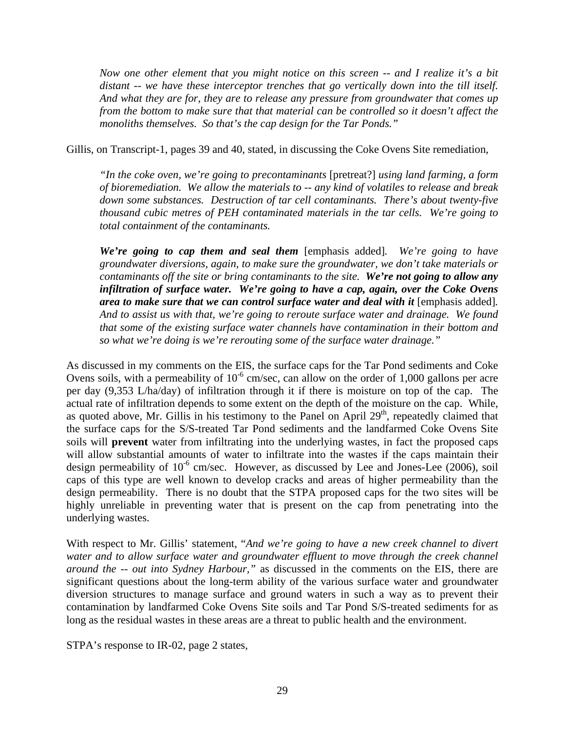*Now one other element that you might notice on this screen -- and I realize it's a bit distant -- we have these interceptor trenches that go vertically down into the till itself. And what they are for, they are to release any pressure from groundwater that comes up from the bottom to make sure that that material can be controlled so it doesn't affect the monoliths themselves. So that's the cap design for the Tar Ponds."* 

Gillis, on Transcript-1, pages 39 and 40, stated, in discussing the Coke Ovens Site remediation,

*"In the coke oven, we're going to precontaminants* [pretreat?] *using land farming, a form of bioremediation. We allow the materials to -- any kind of volatiles to release and break down some substances. Destruction of tar cell contaminants. There's about twenty-five thousand cubic metres of PEH contaminated materials in the tar cells. We're going to total containment of the contaminants.* 

*We're going to cap them and seal them* [emphasis added]*. We're going to have groundwater diversions, again, to make sure the groundwater, we don't take materials or contaminants off the site or bring contaminants to the site. We're not going to allow any infiltration of surface water. We're going to have a cap, again, over the Coke Ovens area to make sure that we can control surface water and deal with it* [emphasis added]*. And to assist us with that, we're going to reroute surface water and drainage. We found that some of the existing surface water channels have contamination in their bottom and so what we're doing is we're rerouting some of the surface water drainage."* 

As discussed in my comments on the EIS, the surface caps for the Tar Pond sediments and Coke Ovens soils, with a permeability of  $10^{-6}$  cm/sec, can allow on the order of 1,000 gallons per acre per day (9,353 L/ha/day) of infiltration through it if there is moisture on top of the cap. The actual rate of infiltration depends to some extent on the depth of the moisture on the cap. While, as quoted above, Mr. Gillis in his testimony to the Panel on April  $29<sup>th</sup>$ , repeatedly claimed that the surface caps for the S/S-treated Tar Pond sediments and the landfarmed Coke Ovens Site soils will **prevent** water from infiltrating into the underlying wastes, in fact the proposed caps will allow substantial amounts of water to infiltrate into the wastes if the caps maintain their design permeability of  $10^{-6}$  cm/sec. However, as discussed by Lee and Jones-Lee (2006), soil caps of this type are well known to develop cracks and areas of higher permeability than the design permeability. There is no doubt that the STPA proposed caps for the two sites will be highly unreliable in preventing water that is present on the cap from penetrating into the underlying wastes.

With respect to Mr. Gillis' statement, "*And we're going to have a new creek channel to divert water and to allow surface water and groundwater effluent to move through the creek channel around the -- out into Sydney Harbour,"* as discussed in the comments on the EIS, there are significant questions about the long-term ability of the various surface water and groundwater diversion structures to manage surface and ground waters in such a way as to prevent their contamination by landfarmed Coke Ovens Site soils and Tar Pond S/S-treated sediments for as long as the residual wastes in these areas are a threat to public health and the environment.

STPA's response to IR-02, page 2 states,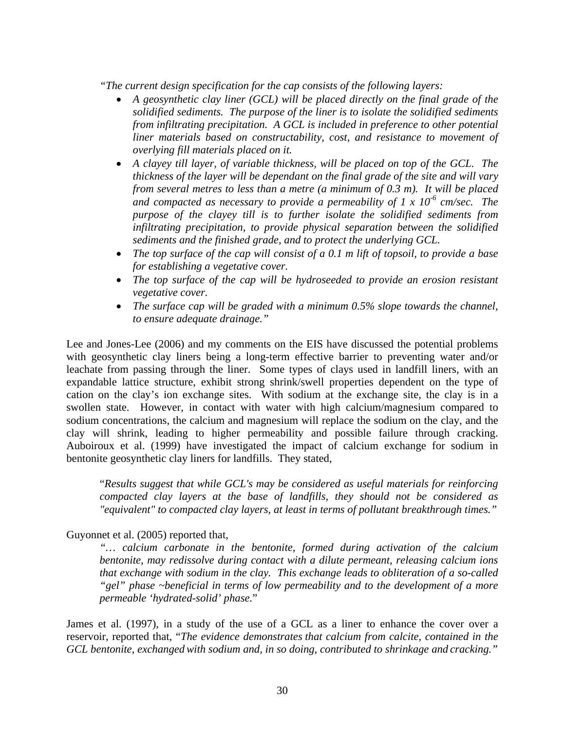*"The current design specification for the cap consists of the following layers:* 

- *A geosynthetic clay liner (GCL) will be placed directly on the final grade of the solidified sediments. The purpose of the liner is to isolate the solidified sediments from infiltrating precipitation. A GCL is included in preference to other potential liner materials based on constructability, cost, and resistance to movement of overlying fill materials placed on it.*
- A clayey till layer, of variable thickness, will be placed on top of the GCL. The *thickness of the layer will be dependant on the final grade of the site and will vary from several metres to less than a metre (a minimum of 0.3 m). It will be placed*  and compacted as necessary to provide a permeability of  $1 \times 10^{-6}$  cm/sec. The *purpose of the clayey till is to further isolate the solidified sediments from infiltrating precipitation, to provide physical separation between the solidified sediments and the finished grade, and to protect the underlying GCL.*
- *The top surface of the cap will consist of a 0.1 m lift of topsoil, to provide a base for establishing a vegetative cover.*
- *The top surface of the cap will be hydroseeded to provide an erosion resistant vegetative cover.*
- *The surface cap will be graded with a minimum 0.5% slope towards the channel, to ensure adequate drainage."*

Lee and Jones-Lee (2006) and my comments on the EIS have discussed the potential problems with geosynthetic clay liners being a long-term effective barrier to preventing water and/or leachate from passing through the liner. Some types of clays used in landfill liners, with an expandable lattice structure, exhibit strong shrink/swell properties dependent on the type of cation on the clay's ion exchange sites. With sodium at the exchange site, the clay is in a swollen state. However, in contact with water with high calcium/magnesium compared to sodium concentrations, the calcium and magnesium will replace the sodium on the clay, and the clay will shrink, leading to higher permeability and possible failure through cracking. Auboiroux et al. (1999) have investigated the impact of calcium exchange for sodium in bentonite geosynthetic clay liners for landfills. They stated,

"*Results suggest that while GCL's may be considered as useful materials for reinforcing compacted clay layers at the base of landfills, they should not be considered as "equivalent" to compacted clay layers, at least in terms of pollutant breakthrough times."* 

# Guyonnet et al. (2005) reported that,

*"… calcium carbonate in the bentonite, formed during activation of the calcium bentonite, may redissolve during contact with a dilute permeant, releasing calcium ions that exchange with sodium in the clay. This exchange leads to obliteration of a so-called "gel" phase ~beneficial in terms of low permeability and to the development of a more permeable 'hydrated-solid' phase.*"

James et al. (1997), in a study of the use of a GCL as a liner to enhance the cover over a reservoir, reported that, "*The evidence demonstrates that calcium from calcite, contained in the GCL bentonite, exchangedwith sodium and, in so doing, contributed to shrinkage and cracking."*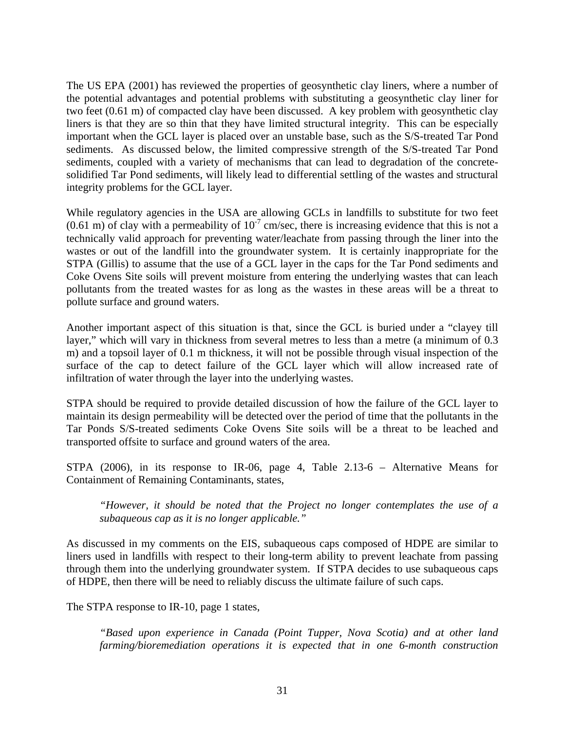The US EPA (2001) has reviewed the properties of geosynthetic clay liners, where a number of the potential advantages and potential problems with substituting a geosynthetic clay liner for two feet (0.61 m) of compacted clay have been discussed. A key problem with geosynthetic clay liners is that they are so thin that they have limited structural integrity. This can be especially important when the GCL layer is placed over an unstable base, such as the S/S-treated Tar Pond sediments. As discussed below, the limited compressive strength of the S/S-treated Tar Pond sediments, coupled with a variety of mechanisms that can lead to degradation of the concretesolidified Tar Pond sediments, will likely lead to differential settling of the wastes and structural integrity problems for the GCL layer.

While regulatory agencies in the USA are allowing GCLs in landfills to substitute for two feet  $(0.61 \text{ m})$  of clay with a permeability of  $10^{-7}$  cm/sec, there is increasing evidence that this is not a technically valid approach for preventing water/leachate from passing through the liner into the wastes or out of the landfill into the groundwater system. It is certainly inappropriate for the STPA (Gillis) to assume that the use of a GCL layer in the caps for the Tar Pond sediments and Coke Ovens Site soils will prevent moisture from entering the underlying wastes that can leach pollutants from the treated wastes for as long as the wastes in these areas will be a threat to pollute surface and ground waters.

Another important aspect of this situation is that, since the GCL is buried under a "clayey till layer," which will vary in thickness from several metres to less than a metre (a minimum of 0.3 m) and a topsoil layer of 0.1 m thickness, it will not be possible through visual inspection of the surface of the cap to detect failure of the GCL layer which will allow increased rate of infiltration of water through the layer into the underlying wastes.

STPA should be required to provide detailed discussion of how the failure of the GCL layer to maintain its design permeability will be detected over the period of time that the pollutants in the Tar Ponds S/S-treated sediments Coke Ovens Site soils will be a threat to be leached and transported offsite to surface and ground waters of the area.

STPA (2006), in its response to IR-06, page 4, Table 2.13-6 – Alternative Means for Containment of Remaining Contaminants, states,

*"However, it should be noted that the Project no longer contemplates the use of a subaqueous cap as it is no longer applicable."* 

As discussed in my comments on the EIS, subaqueous caps composed of HDPE are similar to liners used in landfills with respect to their long-term ability to prevent leachate from passing through them into the underlying groundwater system. If STPA decides to use subaqueous caps of HDPE, then there will be need to reliably discuss the ultimate failure of such caps.

The STPA response to IR-10, page 1 states,

*"Based upon experience in Canada (Point Tupper, Nova Scotia) and at other land farming/bioremediation operations it is expected that in one 6-month construction*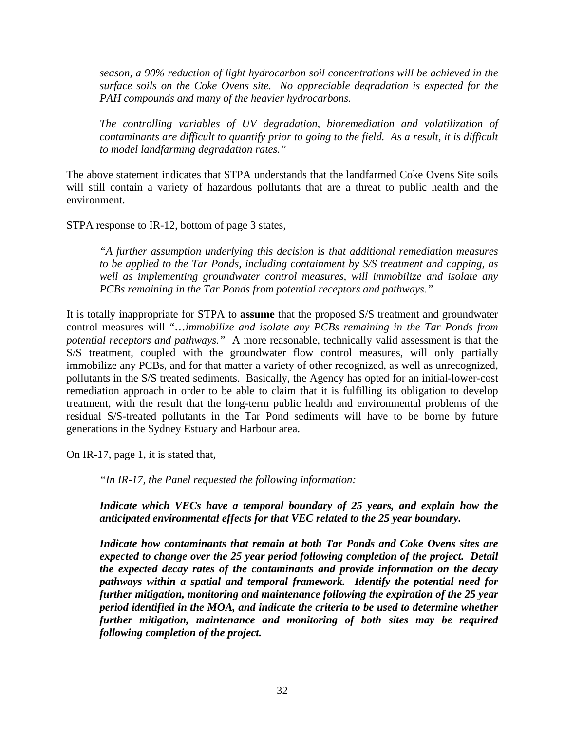*season, a 90% reduction of light hydrocarbon soil concentrations will be achieved in the surface soils on the Coke Ovens site. No appreciable degradation is expected for the PAH compounds and many of the heavier hydrocarbons.* 

*The controlling variables of UV degradation, bioremediation and volatilization of contaminants are difficult to quantify prior to going to the field. As a result, it is difficult to model landfarming degradation rates."* 

The above statement indicates that STPA understands that the landfarmed Coke Ovens Site soils will still contain a variety of hazardous pollutants that are a threat to public health and the environment.

STPA response to IR-12, bottom of page 3 states,

*"A further assumption underlying this decision is that additional remediation measures to be applied to the Tar Ponds, including containment by S/S treatment and capping, as well as implementing groundwater control measures, will immobilize and isolate any PCBs remaining in the Tar Ponds from potential receptors and pathways."* 

It is totally inappropriate for STPA to **assume** that the proposed S/S treatment and groundwater control measures will "…*immobilize and isolate any PCBs remaining in the Tar Ponds from potential receptors and pathways."* A more reasonable, technically valid assessment is that the S/S treatment, coupled with the groundwater flow control measures, will only partially immobilize any PCBs, and for that matter a variety of other recognized, as well as unrecognized, pollutants in the S/S treated sediments. Basically, the Agency has opted for an initial-lower-cost remediation approach in order to be able to claim that it is fulfilling its obligation to develop treatment, with the result that the long-term public health and environmental problems of the residual S/S-treated pollutants in the Tar Pond sediments will have to be borne by future generations in the Sydney Estuary and Harbour area.

On IR-17, page 1, it is stated that,

*"In IR-17, the Panel requested the following information:* 

*Indicate which VECs have a temporal boundary of 25 years, and explain how the anticipated environmental effects for that VEC related to the 25 year boundary.* 

*Indicate how contaminants that remain at both Tar Ponds and Coke Ovens sites are expected to change over the 25 year period following completion of the project. Detail the expected decay rates of the contaminants and provide information on the decay pathways within a spatial and temporal framework. Identify the potential need for further mitigation, monitoring and maintenance following the expiration of the 25 year period identified in the MOA, and indicate the criteria to be used to determine whether further mitigation, maintenance and monitoring of both sites may be required following completion of the project.*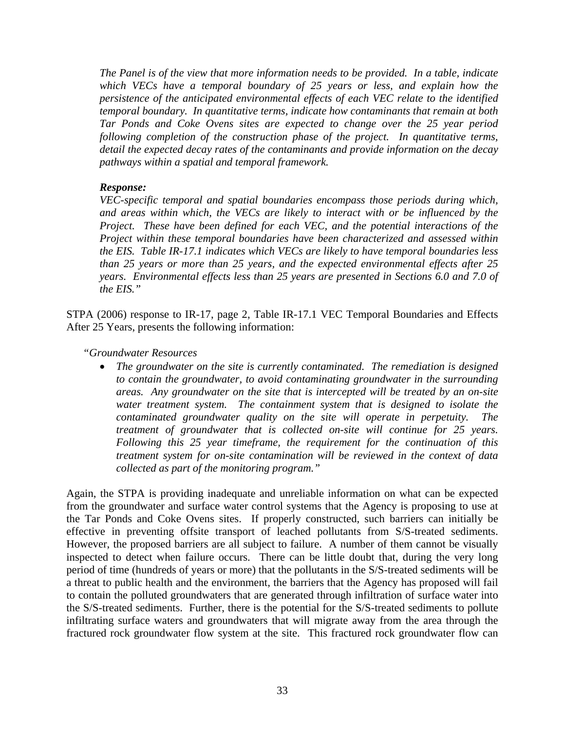*The Panel is of the view that more information needs to be provided. In a table, indicate which VECs have a temporal boundary of 25 years or less, and explain how the persistence of the anticipated environmental effects of each VEC relate to the identified temporal boundary. In quantitative terms, indicate how contaminants that remain at both Tar Ponds and Coke Ovens sites are expected to change over the 25 year period following completion of the construction phase of the project. In quantitative terms, detail the expected decay rates of the contaminants and provide information on the decay pathways within a spatial and temporal framework.* 

#### *Response:*

*VEC-specific temporal and spatial boundaries encompass those periods during which, and areas within which, the VECs are likely to interact with or be influenced by the Project. These have been defined for each VEC, and the potential interactions of the Project within these temporal boundaries have been characterized and assessed within the EIS. Table IR-17.1 indicates which VECs are likely to have temporal boundaries less than 25 years or more than 25 years, and the expected environmental effects after 25 years. Environmental effects less than 25 years are presented in Sections 6.0 and 7.0 of the EIS."* 

STPA (2006) response to IR-17, page 2, Table IR-17.1 VEC Temporal Boundaries and Effects After 25 Years, presents the following information:

*"Groundwater Resources* 

• *The groundwater on the site is currently contaminated. The remediation is designed to contain the groundwater, to avoid contaminating groundwater in the surrounding areas. Any groundwater on the site that is intercepted will be treated by an on-site water treatment system. The containment system that is designed to isolate the contaminated groundwater quality on the site will operate in perpetuity. The treatment of groundwater that is collected on-site will continue for 25 years. Following this 25 year timeframe, the requirement for the continuation of this treatment system for on-site contamination will be reviewed in the context of data collected as part of the monitoring program."* 

Again, the STPA is providing inadequate and unreliable information on what can be expected from the groundwater and surface water control systems that the Agency is proposing to use at the Tar Ponds and Coke Ovens sites. If properly constructed, such barriers can initially be effective in preventing offsite transport of leached pollutants from S/S-treated sediments. However, the proposed barriers are all subject to failure. A number of them cannot be visually inspected to detect when failure occurs. There can be little doubt that, during the very long period of time (hundreds of years or more) that the pollutants in the S/S-treated sediments will be a threat to public health and the environment, the barriers that the Agency has proposed will fail to contain the polluted groundwaters that are generated through infiltration of surface water into the S/S-treated sediments. Further, there is the potential for the S/S-treated sediments to pollute infiltrating surface waters and groundwaters that will migrate away from the area through the fractured rock groundwater flow system at the site. This fractured rock groundwater flow can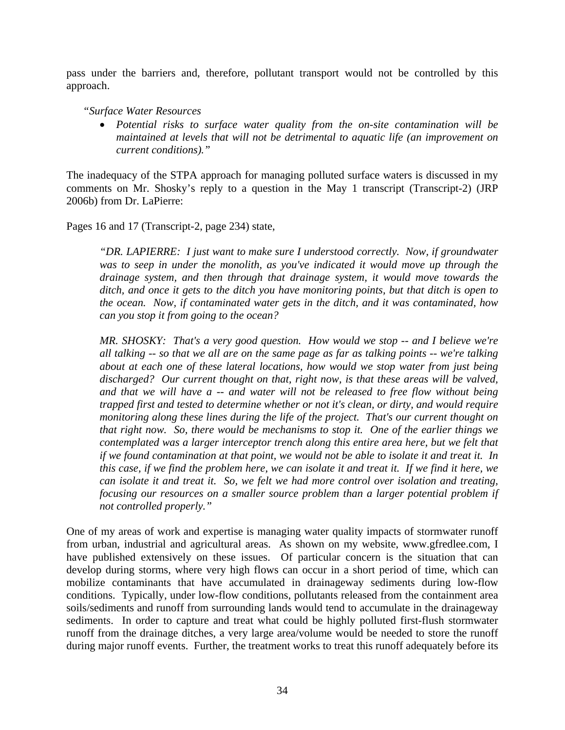pass under the barriers and, therefore, pollutant transport would not be controlled by this approach.

*"Surface Water Resources* 

• *Potential risks to surface water quality from the on-site contamination will be maintained at levels that will not be detrimental to aquatic life (an improvement on current conditions)."* 

The inadequacy of the STPA approach for managing polluted surface waters is discussed in my comments on Mr. Shosky's reply to a question in the May 1 transcript (Transcript-2) (JRP 2006b) from Dr. LaPierre:

Pages 16 and 17 (Transcript-2, page 234) state,

*"DR. LAPIERRE: I just want to make sure I understood correctly. Now, if groundwater*  was to seep in under the monolith, as you've indicated it would move up through the *drainage system, and then through that drainage system, it would move towards the ditch, and once it gets to the ditch you have monitoring points, but that ditch is open to the ocean. Now, if contaminated water gets in the ditch, and it was contaminated, how can you stop it from going to the ocean?* 

*MR. SHOSKY: That's a very good question. How would we stop -- and I believe we're all talking -- so that we all are on the same page as far as talking points -- we're talking about at each one of these lateral locations, how would we stop water from just being discharged? Our current thought on that, right now, is that these areas will be valved, and that we will have a -- and water will not be released to free flow without being trapped first and tested to determine whether or not it's clean, or dirty, and would require monitoring along these lines during the life of the project. That's our current thought on that right now. So, there would be mechanisms to stop it. One of the earlier things we contemplated was a larger interceptor trench along this entire area here, but we felt that if we found contamination at that point, we would not be able to isolate it and treat it. In this case, if we find the problem here, we can isolate it and treat it. If we find it here, we can isolate it and treat it. So, we felt we had more control over isolation and treating, focusing our resources on a smaller source problem than a larger potential problem if not controlled properly."* 

One of my areas of work and expertise is managing water quality impacts of stormwater runoff from urban, industrial and agricultural areas. As shown on my website, www.gfredlee.com, I have published extensively on these issues. Of particular concern is the situation that can develop during storms, where very high flows can occur in a short period of time, which can mobilize contaminants that have accumulated in drainageway sediments during low-flow conditions. Typically, under low-flow conditions, pollutants released from the containment area soils/sediments and runoff from surrounding lands would tend to accumulate in the drainageway sediments. In order to capture and treat what could be highly polluted first-flush stormwater runoff from the drainage ditches, a very large area/volume would be needed to store the runoff during major runoff events. Further, the treatment works to treat this runoff adequately before its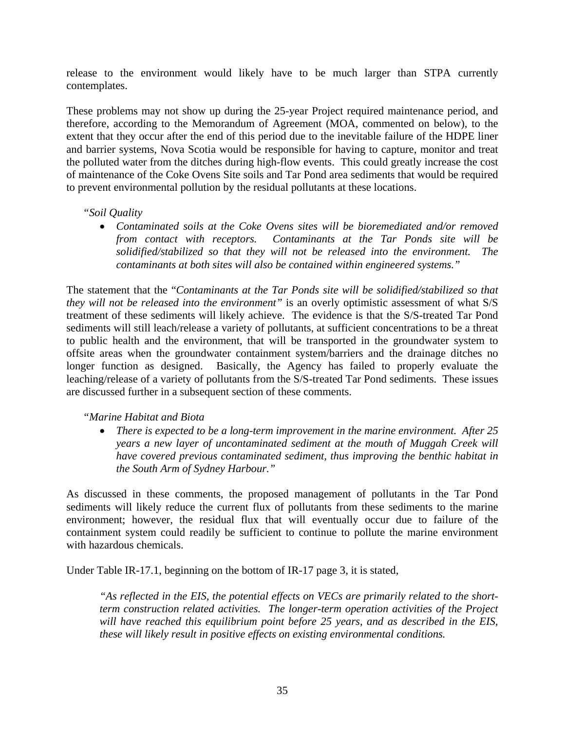release to the environment would likely have to be much larger than STPA currently contemplates.

These problems may not show up during the 25-year Project required maintenance period, and therefore, according to the Memorandum of Agreement (MOA, commented on below), to the extent that they occur after the end of this period due to the inevitable failure of the HDPE liner and barrier systems, Nova Scotia would be responsible for having to capture, monitor and treat the polluted water from the ditches during high-flow events. This could greatly increase the cost of maintenance of the Coke Ovens Site soils and Tar Pond area sediments that would be required to prevent environmental pollution by the residual pollutants at these locations.

#### *"Soil Quality*

• *Contaminated soils at the Coke Ovens sites will be bioremediated and/or removed from contact with receptors. Contaminants at the Tar Ponds site will be solidified/stabilized so that they will not be released into the environment. The contaminants at both sites will also be contained within engineered systems."* 

The statement that the "*Contaminants at the Tar Ponds site will be solidified/stabilized so that they will not be released into the environment"* is an overly optimistic assessment of what S/S treatment of these sediments will likely achieve. The evidence is that the S/S-treated Tar Pond sediments will still leach/release a variety of pollutants, at sufficient concentrations to be a threat to public health and the environment, that will be transported in the groundwater system to offsite areas when the groundwater containment system/barriers and the drainage ditches no longer function as designed. Basically, the Agency has failed to properly evaluate the leaching/release of a variety of pollutants from the S/S-treated Tar Pond sediments. These issues are discussed further in a subsequent section of these comments.

*"Marine Habitat and Biota* 

• *There is expected to be a long-term improvement in the marine environment. After 25 years a new layer of uncontaminated sediment at the mouth of Muggah Creek will have covered previous contaminated sediment, thus improving the benthic habitat in the South Arm of Sydney Harbour."* 

As discussed in these comments, the proposed management of pollutants in the Tar Pond sediments will likely reduce the current flux of pollutants from these sediments to the marine environment; however, the residual flux that will eventually occur due to failure of the containment system could readily be sufficient to continue to pollute the marine environment with hazardous chemicals.

Under Table IR-17.1, beginning on the bottom of IR-17 page 3, it is stated,

*"As reflected in the EIS, the potential effects on VECs are primarily related to the shortterm construction related activities. The longer-term operation activities of the Project will have reached this equilibrium point before 25 years, and as described in the EIS, these will likely result in positive effects on existing environmental conditions.*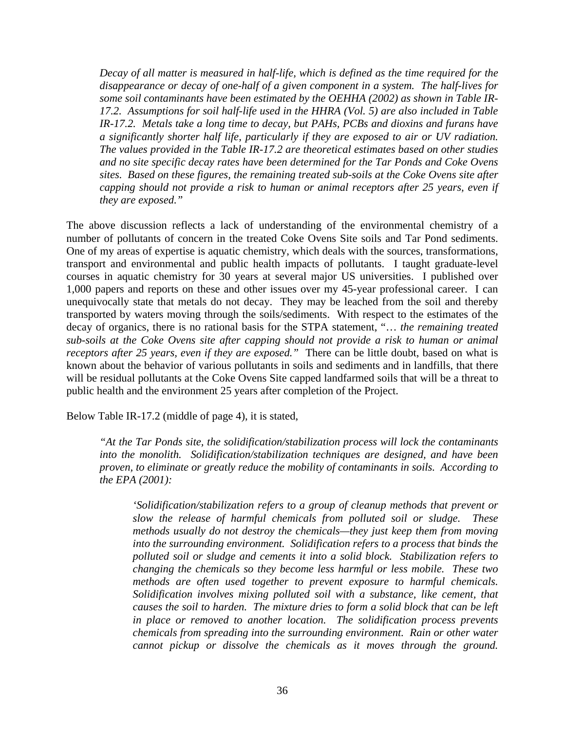*Decay of all matter is measured in half-life, which is defined as the time required for the disappearance or decay of one-half of a given component in a system. The half-lives for some soil contaminants have been estimated by the OEHHA (2002) as shown in Table IR-17.2. Assumptions for soil half-life used in the HHRA (Vol. 5) are also included in Table IR-17.2. Metals take a long time to decay, but PAHs, PCBs and dioxins and furans have a significantly shorter half life, particularly if they are exposed to air or UV radiation. The values provided in the Table IR-17.2 are theoretical estimates based on other studies and no site specific decay rates have been determined for the Tar Ponds and Coke Ovens sites. Based on these figures, the remaining treated sub-soils at the Coke Ovens site after capping should not provide a risk to human or animal receptors after 25 years, even if they are exposed."* 

The above discussion reflects a lack of understanding of the environmental chemistry of a number of pollutants of concern in the treated Coke Ovens Site soils and Tar Pond sediments. One of my areas of expertise is aquatic chemistry, which deals with the sources, transformations, transport and environmental and public health impacts of pollutants. I taught graduate-level courses in aquatic chemistry for 30 years at several major US universities. I published over 1,000 papers and reports on these and other issues over my 45-year professional career. I can unequivocally state that metals do not decay. They may be leached from the soil and thereby transported by waters moving through the soils/sediments. With respect to the estimates of the decay of organics, there is no rational basis for the STPA statement, "… *the remaining treated sub-soils at the Coke Ovens site after capping should not provide a risk to human or animal receptors after 25 years, even if they are exposed."* There can be little doubt, based on what is known about the behavior of various pollutants in soils and sediments and in landfills, that there will be residual pollutants at the Coke Ovens Site capped landfarmed soils that will be a threat to public health and the environment 25 years after completion of the Project.

Below Table IR-17.2 (middle of page 4), it is stated,

*"At the Tar Ponds site, the solidification/stabilization process will lock the contaminants into the monolith. Solidification/stabilization techniques are designed, and have been proven, to eliminate or greatly reduce the mobility of contaminants in soils. According to the EPA (2001):* 

*'Solidification/stabilization refers to a group of cleanup methods that prevent or slow the release of harmful chemicals from polluted soil or sludge. These methods usually do not destroy the chemicals—they just keep them from moving into the surrounding environment. Solidification refers to a process that binds the polluted soil or sludge and cements it into a solid block. Stabilization refers to changing the chemicals so they become less harmful or less mobile. These two methods are often used together to prevent exposure to harmful chemicals. Solidification involves mixing polluted soil with a substance, like cement, that causes the soil to harden. The mixture dries to form a solid block that can be left in place or removed to another location. The solidification process prevents chemicals from spreading into the surrounding environment. Rain or other water cannot pickup or dissolve the chemicals as it moves through the ground.*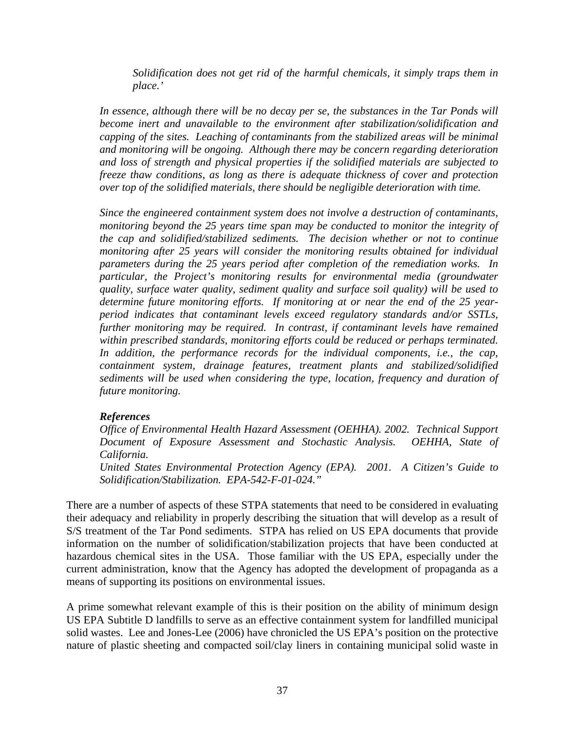*Solidification does not get rid of the harmful chemicals, it simply traps them in place.'* 

*In essence, although there will be no decay per se, the substances in the Tar Ponds will become inert and unavailable to the environment after stabilization/solidification and capping of the sites. Leaching of contaminants from the stabilized areas will be minimal and monitoring will be ongoing. Although there may be concern regarding deterioration and loss of strength and physical properties if the solidified materials are subjected to freeze thaw conditions, as long as there is adequate thickness of cover and protection over top of the solidified materials, there should be negligible deterioration with time.* 

*Since the engineered containment system does not involve a destruction of contaminants, monitoring beyond the 25 years time span may be conducted to monitor the integrity of the cap and solidified/stabilized sediments. The decision whether or not to continue monitoring after 25 years will consider the monitoring results obtained for individual parameters during the 25 years period after completion of the remediation works. In particular, the Project's monitoring results for environmental media (groundwater quality, surface water quality, sediment quality and surface soil quality) will be used to determine future monitoring efforts. If monitoring at or near the end of the 25 yearperiod indicates that contaminant levels exceed regulatory standards and/or SSTLs, further monitoring may be required. In contrast, if contaminant levels have remained within prescribed standards, monitoring efforts could be reduced or perhaps terminated.*  In addition, the performance records for the individual components, *i.e.*, the cap, *containment system, drainage features, treatment plants and stabilized/solidified sediments will be used when considering the type, location, frequency and duration of future monitoring.* 

# *References*

*Office of Environmental Health Hazard Assessment (OEHHA). 2002. Technical Support Document of Exposure Assessment and Stochastic Analysis. OEHHA, State of California.* 

*United States Environmental Protection Agency (EPA). 2001. A Citizen's Guide to Solidification/Stabilization. EPA-542-F-01-024."* 

There are a number of aspects of these STPA statements that need to be considered in evaluating their adequacy and reliability in properly describing the situation that will develop as a result of S/S treatment of the Tar Pond sediments. STPA has relied on US EPA documents that provide information on the number of solidification/stabilization projects that have been conducted at hazardous chemical sites in the USA. Those familiar with the US EPA, especially under the current administration, know that the Agency has adopted the development of propaganda as a means of supporting its positions on environmental issues.

A prime somewhat relevant example of this is their position on the ability of minimum design US EPA Subtitle D landfills to serve as an effective containment system for landfilled municipal solid wastes. Lee and Jones-Lee (2006) have chronicled the US EPA's position on the protective nature of plastic sheeting and compacted soil/clay liners in containing municipal solid waste in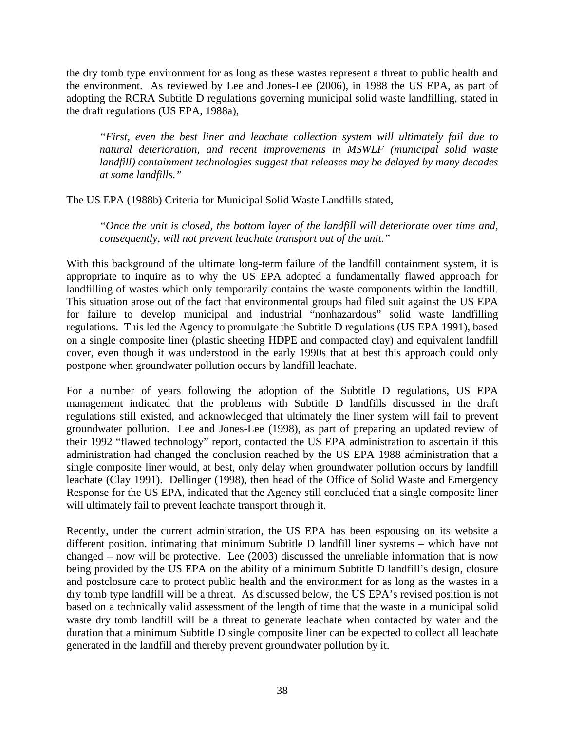the dry tomb type environment for as long as these wastes represent a threat to public health and the environment. As reviewed by Lee and Jones-Lee (2006), in 1988 the US EPA, as part of adopting the RCRA Subtitle D regulations governing municipal solid waste landfilling, stated in the draft regulations (US EPA, 1988a),

*"First, even the best liner and leachate collection system will ultimately fail due to natural deterioration, and recent improvements in MSWLF (municipal solid waste landfill) containment technologies suggest that releases may be delayed by many decades at some landfills."*

The US EPA (1988b) Criteria for Municipal Solid Waste Landfills stated,

*"Once the unit is closed, the bottom layer of the landfill will deteriorate over time and, consequently, will not prevent leachate transport out of the unit*.*"*

With this background of the ultimate long-term failure of the landfill containment system, it is appropriate to inquire as to why the US EPA adopted a fundamentally flawed approach for landfilling of wastes which only temporarily contains the waste components within the landfill. This situation arose out of the fact that environmental groups had filed suit against the US EPA for failure to develop municipal and industrial "nonhazardous" solid waste landfilling regulations. This led the Agency to promulgate the Subtitle D regulations (US EPA 1991), based on a single composite liner (plastic sheeting HDPE and compacted clay) and equivalent landfill cover, even though it was understood in the early 1990s that at best this approach could only postpone when groundwater pollution occurs by landfill leachate.

For a number of years following the adoption of the Subtitle D regulations, US EPA management indicated that the problems with Subtitle D landfills discussed in the draft regulations still existed, and acknowledged that ultimately the liner system will fail to prevent groundwater pollution. Lee and Jones-Lee (1998), as part of preparing an updated review of their 1992 "flawed technology" report, contacted the US EPA administration to ascertain if this administration had changed the conclusion reached by the US EPA 1988 administration that a single composite liner would, at best, only delay when groundwater pollution occurs by landfill leachate (Clay 1991). Dellinger (1998), then head of the Office of Solid Waste and Emergency Response for the US EPA, indicated that the Agency still concluded that a single composite liner will ultimately fail to prevent leachate transport through it.

Recently, under the current administration, the US EPA has been espousing on its website a different position, intimating that minimum Subtitle D landfill liner systems – which have not changed – now will be protective. Lee (2003) discussed the unreliable information that is now being provided by the US EPA on the ability of a minimum Subtitle D landfill's design, closure and postclosure care to protect public health and the environment for as long as the wastes in a dry tomb type landfill will be a threat. As discussed below, the US EPA's revised position is not based on a technically valid assessment of the length of time that the waste in a municipal solid waste dry tomb landfill will be a threat to generate leachate when contacted by water and the duration that a minimum Subtitle D single composite liner can be expected to collect all leachate generated in the landfill and thereby prevent groundwater pollution by it.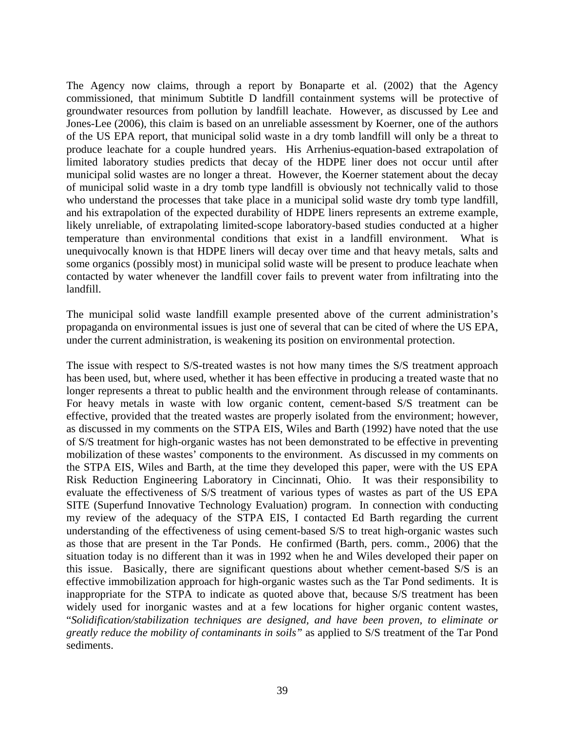The Agency now claims, through a report by Bonaparte et al. (2002) that the Agency commissioned, that minimum Subtitle D landfill containment systems will be protective of groundwater resources from pollution by landfill leachate. However, as discussed by Lee and Jones-Lee (2006), this claim is based on an unreliable assessment by Koerner, one of the authors of the US EPA report, that municipal solid waste in a dry tomb landfill will only be a threat to produce leachate for a couple hundred years. His Arrhenius-equation-based extrapolation of limited laboratory studies predicts that decay of the HDPE liner does not occur until after municipal solid wastes are no longer a threat. However, the Koerner statement about the decay of municipal solid waste in a dry tomb type landfill is obviously not technically valid to those who understand the processes that take place in a municipal solid waste dry tomb type landfill, and his extrapolation of the expected durability of HDPE liners represents an extreme example, likely unreliable, of extrapolating limited-scope laboratory-based studies conducted at a higher temperature than environmental conditions that exist in a landfill environment. What is unequivocally known is that HDPE liners will decay over time and that heavy metals, salts and some organics (possibly most) in municipal solid waste will be present to produce leachate when contacted by water whenever the landfill cover fails to prevent water from infiltrating into the landfill.

The municipal solid waste landfill example presented above of the current administration's propaganda on environmental issues is just one of several that can be cited of where the US EPA, under the current administration, is weakening its position on environmental protection.

The issue with respect to S/S-treated wastes is not how many times the S/S treatment approach has been used, but, where used, whether it has been effective in producing a treated waste that no longer represents a threat to public health and the environment through release of contaminants. For heavy metals in waste with low organic content, cement-based S/S treatment can be effective, provided that the treated wastes are properly isolated from the environment; however, as discussed in my comments on the STPA EIS, Wiles and Barth (1992) have noted that the use of S/S treatment for high-organic wastes has not been demonstrated to be effective in preventing mobilization of these wastes' components to the environment. As discussed in my comments on the STPA EIS, Wiles and Barth, at the time they developed this paper, were with the US EPA Risk Reduction Engineering Laboratory in Cincinnati, Ohio. It was their responsibility to evaluate the effectiveness of S/S treatment of various types of wastes as part of the US EPA SITE (Superfund Innovative Technology Evaluation) program. In connection with conducting my review of the adequacy of the STPA EIS, I contacted Ed Barth regarding the current understanding of the effectiveness of using cement-based S/S to treat high-organic wastes such as those that are present in the Tar Ponds. He confirmed (Barth, pers. comm., 2006) that the situation today is no different than it was in 1992 when he and Wiles developed their paper on this issue. Basically, there are significant questions about whether cement-based S/S is an effective immobilization approach for high-organic wastes such as the Tar Pond sediments. It is inappropriate for the STPA to indicate as quoted above that, because S/S treatment has been widely used for inorganic wastes and at a few locations for higher organic content wastes, "*Solidification/stabilization techniques are designed, and have been proven, to eliminate or greatly reduce the mobility of contaminants in soils"* as applied to S/S treatment of the Tar Pond sediments.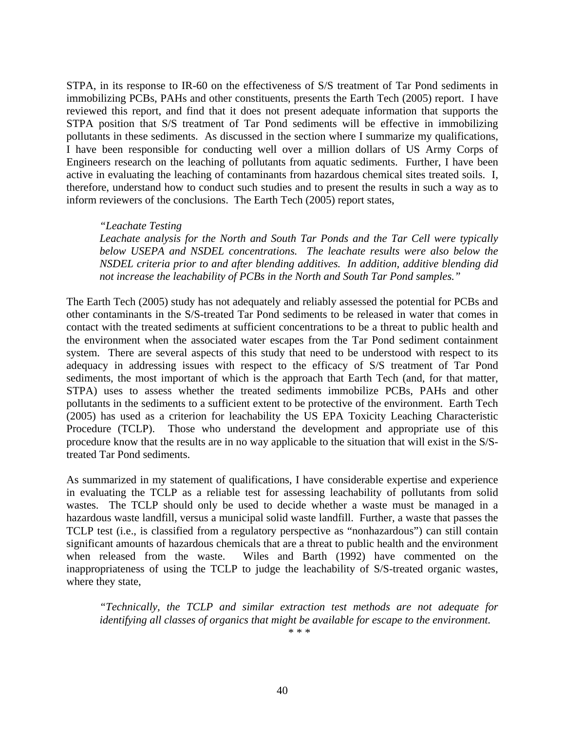STPA, in its response to IR-60 on the effectiveness of S/S treatment of Tar Pond sediments in immobilizing PCBs, PAHs and other constituents, presents the Earth Tech (2005) report. I have reviewed this report, and find that it does not present adequate information that supports the STPA position that S/S treatment of Tar Pond sediments will be effective in immobilizing pollutants in these sediments. As discussed in the section where I summarize my qualifications, I have been responsible for conducting well over a million dollars of US Army Corps of Engineers research on the leaching of pollutants from aquatic sediments. Further, I have been active in evaluating the leaching of contaminants from hazardous chemical sites treated soils. I, therefore, understand how to conduct such studies and to present the results in such a way as to inform reviewers of the conclusions. The Earth Tech (2005) report states,

## *"Leachate Testing*

*Leachate analysis for the North and South Tar Ponds and the Tar Cell were typically below USEPA and NSDEL concentrations. The leachate results were also below the NSDEL criteria prior to and after blending additives. In addition, additive blending did not increase the leachability of PCBs in the North and South Tar Pond samples."* 

The Earth Tech (2005) study has not adequately and reliably assessed the potential for PCBs and other contaminants in the S/S-treated Tar Pond sediments to be released in water that comes in contact with the treated sediments at sufficient concentrations to be a threat to public health and the environment when the associated water escapes from the Tar Pond sediment containment system. There are several aspects of this study that need to be understood with respect to its adequacy in addressing issues with respect to the efficacy of S/S treatment of Tar Pond sediments, the most important of which is the approach that Earth Tech (and, for that matter, STPA) uses to assess whether the treated sediments immobilize PCBs, PAHs and other pollutants in the sediments to a sufficient extent to be protective of the environment. Earth Tech (2005) has used as a criterion for leachability the US EPA Toxicity Leaching Characteristic Procedure (TCLP). Those who understand the development and appropriate use of this procedure know that the results are in no way applicable to the situation that will exist in the S/Streated Tar Pond sediments.

As summarized in my statement of qualifications, I have considerable expertise and experience in evaluating the TCLP as a reliable test for assessing leachability of pollutants from solid wastes. The TCLP should only be used to decide whether a waste must be managed in a hazardous waste landfill, versus a municipal solid waste landfill. Further, a waste that passes the TCLP test (i.e., is classified from a regulatory perspective as "nonhazardous") can still contain significant amounts of hazardous chemicals that are a threat to public health and the environment when released from the waste. Wiles and Barth (1992) have commented on the inappropriateness of using the TCLP to judge the leachability of S/S-treated organic wastes, where they state,

*"Technically, the TCLP and similar extraction test methods are not adequate for identifying all classes of organics that might be available for escape to the environment. \* \* \**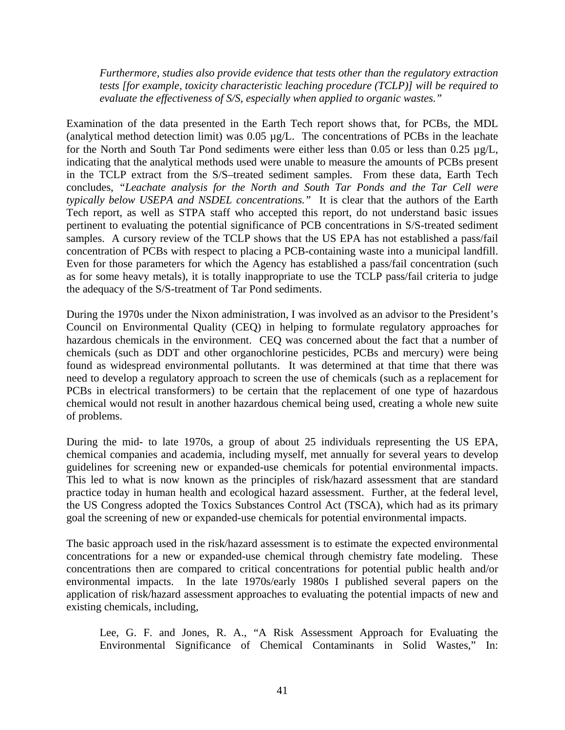*Furthermore, studies also provide evidence that tests other than the regulatory extraction tests [for example, toxicity characteristic leaching procedure (TCLP)] will be required to evaluate the effectiveness of S/S, especially when applied to organic wastes."* 

Examination of the data presented in the Earth Tech report shows that, for PCBs, the MDL (analytical method detection limit) was 0.05 µg/L. The concentrations of PCBs in the leachate for the North and South Tar Pond sediments were either less than 0.05 or less than 0.25 µg/L, indicating that the analytical methods used were unable to measure the amounts of PCBs present in the TCLP extract from the S/S–treated sediment samples. From these data, Earth Tech concludes, *"Leachate analysis for the North and South Tar Ponds and the Tar Cell were typically below USEPA and NSDEL concentrations."* It is clear that the authors of the Earth Tech report, as well as STPA staff who accepted this report, do not understand basic issues pertinent to evaluating the potential significance of PCB concentrations in S/S-treated sediment samples. A cursory review of the TCLP shows that the US EPA has not established a pass/fail concentration of PCBs with respect to placing a PCB-containing waste into a municipal landfill. Even for those parameters for which the Agency has established a pass/fail concentration (such as for some heavy metals), it is totally inappropriate to use the TCLP pass/fail criteria to judge the adequacy of the S/S-treatment of Tar Pond sediments.

During the 1970s under the Nixon administration, I was involved as an advisor to the President's Council on Environmental Quality (CEQ) in helping to formulate regulatory approaches for hazardous chemicals in the environment. CEQ was concerned about the fact that a number of chemicals (such as DDT and other organochlorine pesticides, PCBs and mercury) were being found as widespread environmental pollutants. It was determined at that time that there was need to develop a regulatory approach to screen the use of chemicals (such as a replacement for PCBs in electrical transformers) to be certain that the replacement of one type of hazardous chemical would not result in another hazardous chemical being used, creating a whole new suite of problems.

During the mid- to late 1970s, a group of about 25 individuals representing the US EPA, chemical companies and academia, including myself, met annually for several years to develop guidelines for screening new or expanded-use chemicals for potential environmental impacts. This led to what is now known as the principles of risk/hazard assessment that are standard practice today in human health and ecological hazard assessment. Further, at the federal level, the US Congress adopted the Toxics Substances Control Act (TSCA), which had as its primary goal the screening of new or expanded-use chemicals for potential environmental impacts.

The basic approach used in the risk/hazard assessment is to estimate the expected environmental concentrations for a new or expanded-use chemical through chemistry fate modeling. These concentrations then are compared to critical concentrations for potential public health and/or environmental impacts. In the late 1970s/early 1980s I published several papers on the application of risk/hazard assessment approaches to evaluating the potential impacts of new and existing chemicals, including,

Lee, G. F. and Jones, R. A., "A Risk Assessment Approach for Evaluating the Environmental Significance of Chemical Contaminants in Solid Wastes," In: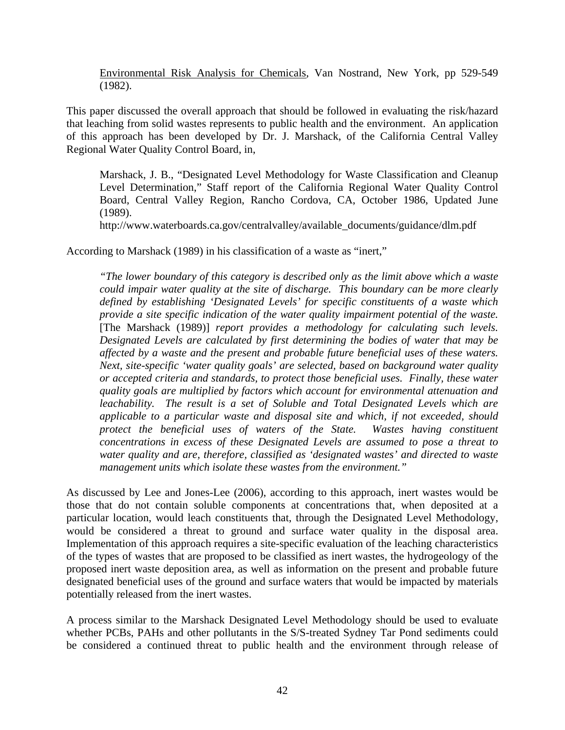Environmental Risk Analysis for Chemicals, Van Nostrand, New York, pp 529-549 (1982).

This paper discussed the overall approach that should be followed in evaluating the risk/hazard that leaching from solid wastes represents to public health and the environment. An application of this approach has been developed by Dr. J. Marshack, of the California Central Valley Regional Water Quality Control Board, in,

Marshack, J. B., "Designated Level Methodology for Waste Classification and Cleanup Level Determination," Staff report of the California Regional Water Quality Control Board, Central Valley Region, Rancho Cordova, CA, October 1986, Updated June (1989).

http://www.waterboards.ca.gov/centralvalley/available\_documents/guidance/dlm.pdf

According to Marshack (1989) in his classification of a waste as "inert,"

*"The lower boundary of this category is described only as the limit above which a waste could impair water quality at the site of discharge. This boundary can be more clearly defined by establishing 'Designated Levels' for specific constituents of a waste which provide a site specific indication of the water quality impairment potential of the waste.*  [The Marshack (1989)] *report provides a methodology for calculating such levels. Designated Levels are calculated by first determining the bodies of water that may be affected by a waste and the present and probable future beneficial uses of these waters. Next, site-specific 'water quality goals' are selected, based on background water quality or accepted criteria and standards, to protect those beneficial uses. Finally, these water quality goals are multiplied by factors which account for environmental attenuation and leachability. The result is a set of Soluble and Total Designated Levels which are applicable to a particular waste and disposal site and which, if not exceeded, should protect the beneficial uses of waters of the State. Wastes having constituent concentrations in excess of these Designated Levels are assumed to pose a threat to water quality and are, therefore, classified as 'designated wastes' and directed to waste management units which isolate these wastes from the environment."* 

As discussed by Lee and Jones-Lee (2006), according to this approach, inert wastes would be those that do not contain soluble components at concentrations that, when deposited at a particular location, would leach constituents that, through the Designated Level Methodology, would be considered a threat to ground and surface water quality in the disposal area. Implementation of this approach requires a site-specific evaluation of the leaching characteristics of the types of wastes that are proposed to be classified as inert wastes, the hydrogeology of the proposed inert waste deposition area, as well as information on the present and probable future designated beneficial uses of the ground and surface waters that would be impacted by materials potentially released from the inert wastes.

A process similar to the Marshack Designated Level Methodology should be used to evaluate whether PCBs, PAHs and other pollutants in the S/S-treated Sydney Tar Pond sediments could be considered a continued threat to public health and the environment through release of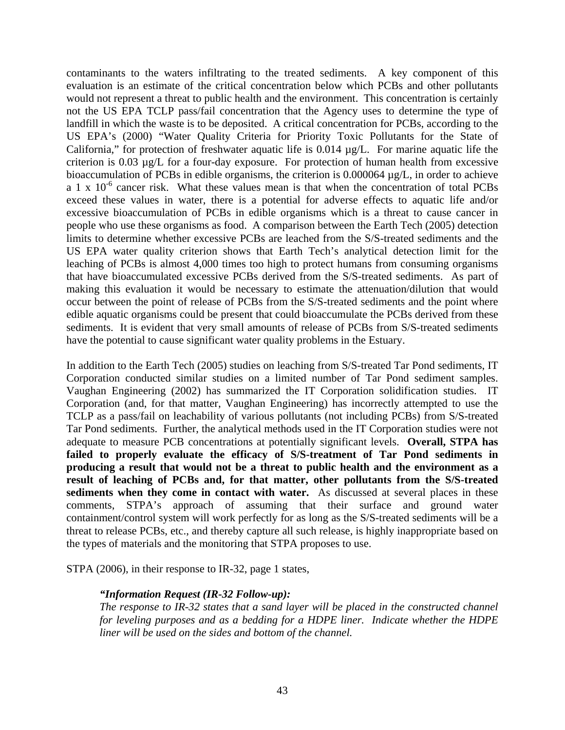contaminants to the waters infiltrating to the treated sediments. A key component of this evaluation is an estimate of the critical concentration below which PCBs and other pollutants would not represent a threat to public health and the environment. This concentration is certainly not the US EPA TCLP pass/fail concentration that the Agency uses to determine the type of landfill in which the waste is to be deposited. A critical concentration for PCBs, according to the US EPA's (2000) "Water Quality Criteria for Priority Toxic Pollutants for the State of California," for protection of freshwater aquatic life is 0.014 µg/L. For marine aquatic life the criterion is 0.03 µg/L for a four-day exposure. For protection of human health from excessive bioaccumulation of PCBs in edible organisms, the criterion is 0.000064 µg/L, in order to achieve a 1 x  $10^{-6}$  cancer risk. What these values mean is that when the concentration of total PCBs exceed these values in water, there is a potential for adverse effects to aquatic life and/or excessive bioaccumulation of PCBs in edible organisms which is a threat to cause cancer in people who use these organisms as food. A comparison between the Earth Tech (2005) detection limits to determine whether excessive PCBs are leached from the S/S-treated sediments and the US EPA water quality criterion shows that Earth Tech's analytical detection limit for the leaching of PCBs is almost 4,000 times too high to protect humans from consuming organisms that have bioaccumulated excessive PCBs derived from the S/S-treated sediments. As part of making this evaluation it would be necessary to estimate the attenuation/dilution that would occur between the point of release of PCBs from the S/S-treated sediments and the point where edible aquatic organisms could be present that could bioaccumulate the PCBs derived from these sediments. It is evident that very small amounts of release of PCBs from S/S-treated sediments have the potential to cause significant water quality problems in the Estuary.

In addition to the Earth Tech (2005) studies on leaching from S/S-treated Tar Pond sediments, IT Corporation conducted similar studies on a limited number of Tar Pond sediment samples. Vaughan Engineering (2002) has summarized the IT Corporation solidification studies. IT Corporation (and, for that matter, Vaughan Engineering) has incorrectly attempted to use the TCLP as a pass/fail on leachability of various pollutants (not including PCBs) from S/S-treated Tar Pond sediments. Further, the analytical methods used in the IT Corporation studies were not adequate to measure PCB concentrations at potentially significant levels. **Overall, STPA has failed to properly evaluate the efficacy of S/S-treatment of Tar Pond sediments in producing a result that would not be a threat to public health and the environment as a result of leaching of PCBs and, for that matter, other pollutants from the S/S-treated sediments when they come in contact with water.** As discussed at several places in these comments, STPA's approach of assuming that their surface and ground water containment/control system will work perfectly for as long as the S/S-treated sediments will be a threat to release PCBs, etc., and thereby capture all such release, is highly inappropriate based on the types of materials and the monitoring that STPA proposes to use.

STPA (2006), in their response to IR-32, page 1 states,

## *"Information Request (IR-32 Follow-up):*

*The response to IR-32 states that a sand layer will be placed in the constructed channel for leveling purposes and as a bedding for a HDPE liner. Indicate whether the HDPE liner will be used on the sides and bottom of the channel.*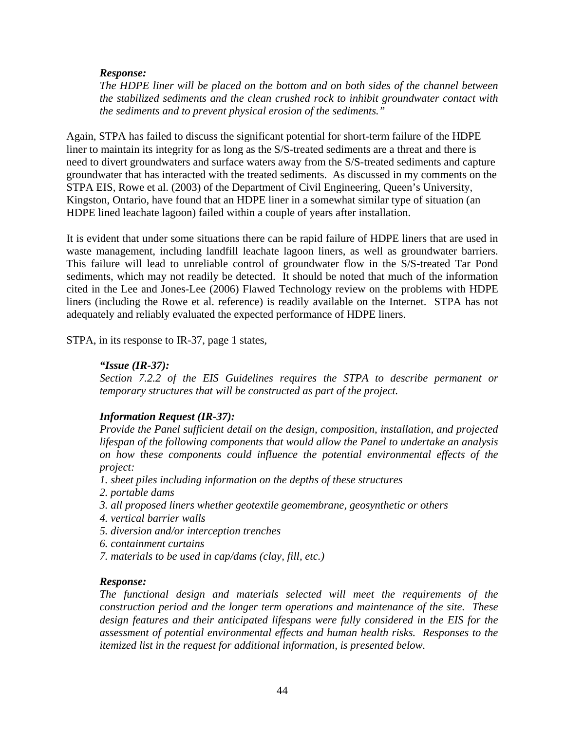# *Response:*

*The HDPE liner will be placed on the bottom and on both sides of the channel between the stabilized sediments and the clean crushed rock to inhibit groundwater contact with the sediments and to prevent physical erosion of the sediments."* 

Again, STPA has failed to discuss the significant potential for short-term failure of the HDPE liner to maintain its integrity for as long as the S/S-treated sediments are a threat and there is need to divert groundwaters and surface waters away from the S/S-treated sediments and capture groundwater that has interacted with the treated sediments. As discussed in my comments on the STPA EIS, Rowe et al. (2003) of the Department of Civil Engineering, Queen's University, Kingston, Ontario, have found that an HDPE liner in a somewhat similar type of situation (an HDPE lined leachate lagoon) failed within a couple of years after installation.

It is evident that under some situations there can be rapid failure of HDPE liners that are used in waste management, including landfill leachate lagoon liners, as well as groundwater barriers. This failure will lead to unreliable control of groundwater flow in the S/S-treated Tar Pond sediments, which may not readily be detected. It should be noted that much of the information cited in the Lee and Jones-Lee (2006) Flawed Technology review on the problems with HDPE liners (including the Rowe et al. reference) is readily available on the Internet. STPA has not adequately and reliably evaluated the expected performance of HDPE liners.

STPA, in its response to IR-37, page 1 states,

#### *"Issue (IR-37):*

*Section 7.2.2 of the EIS Guidelines requires the STPA to describe permanent or temporary structures that will be constructed as part of the project.* 

## *Information Request (IR-37):*

*Provide the Panel sufficient detail on the design, composition, installation, and projected lifespan of the following components that would allow the Panel to undertake an analysis on how these components could influence the potential environmental effects of the project:* 

- *1. sheet piles including information on the depths of these structures*
- *2. portable dams*
- *3. all proposed liners whether geotextile geomembrane, geosynthetic or others*
- *4. vertical barrier walls*
- *5. diversion and/or interception trenches*
- *6. containment curtains*
- *7. materials to be used in cap/dams (clay, fill, etc.)*

#### *Response:*

*The functional design and materials selected will meet the requirements of the construction period and the longer term operations and maintenance of the site. These*  design features and their anticipated lifespans were fully considered in the EIS for the *assessment of potential environmental effects and human health risks. Responses to the itemized list in the request for additional information, is presented below.*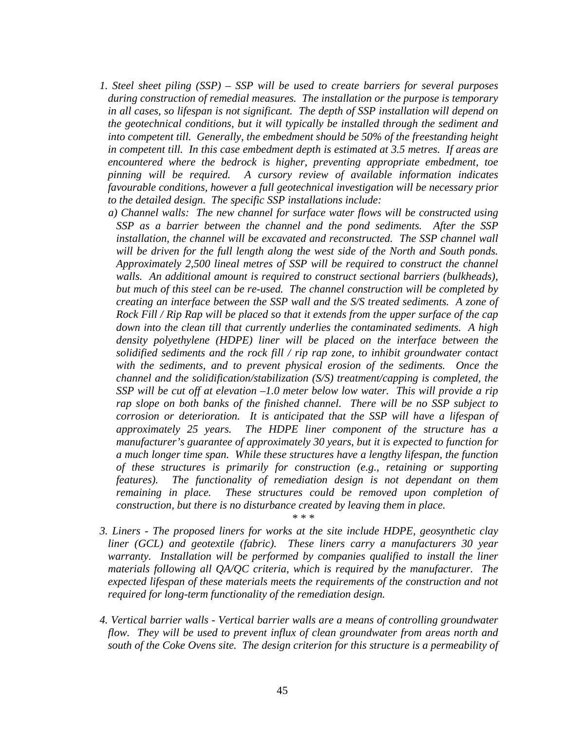- *1. Steel sheet piling (SSP) SSP will be used to create barriers for several purposes during construction of remedial measures. The installation or the purpose is temporary in all cases, so lifespan is not significant. The depth of SSP installation will depend on the geotechnical conditions, but it will typically be installed through the sediment and into competent till. Generally, the embedment should be 50% of the freestanding height in competent till. In this case embedment depth is estimated at 3.5 metres. If areas are encountered where the bedrock is higher, preventing appropriate embedment, toe pinning will be required. A cursory review of available information indicates favourable conditions, however a full geotechnical investigation will be necessary prior to the detailed design. The specific SSP installations include:* 
	- *a) Channel walls: The new channel for surface water flows will be constructed using SSP as a barrier between the channel and the pond sediments. After the SSP installation, the channel will be excavated and reconstructed. The SSP channel wall will be driven for the full length along the west side of the North and South ponds. Approximately 2,500 lineal metres of SSP will be required to construct the channel walls. An additional amount is required to construct sectional barriers (bulkheads), but much of this steel can be re-used. The channel construction will be completed by creating an interface between the SSP wall and the S/S treated sediments. A zone of Rock Fill / Rip Rap will be placed so that it extends from the upper surface of the cap down into the clean till that currently underlies the contaminated sediments. A high density polyethylene (HDPE) liner will be placed on the interface between the solidified sediments and the rock fill / rip rap zone, to inhibit groundwater contact with the sediments, and to prevent physical erosion of the sediments. Once the channel and the solidification/stabilization (S/S) treatment/capping is completed, the SSP will be cut off at elevation –1.0 meter below low water. This will provide a rip rap slope on both banks of the finished channel. There will be no SSP subject to corrosion or deterioration. It is anticipated that the SSP will have a lifespan of approximately 25 years. The HDPE liner component of the structure has a manufacturer's guarantee of approximately 30 years, but it is expected to function for a much longer time span. While these structures have a lengthy lifespan, the function of these structures is primarily for construction (e.g., retaining or supporting features). The functionality of remediation design is not dependant on them remaining in place. These structures could be removed upon completion of construction, but there is no disturbance created by leaving them in place. \* \* \**
- *3. Liners The proposed liners for works at the site include HDPE, geosynthetic clay liner (GCL) and geotextile (fabric). These liners carry a manufacturers 30 year warranty. Installation will be performed by companies qualified to install the liner materials following all QA/QC criteria, which is required by the manufacturer. The expected lifespan of these materials meets the requirements of the construction and not required for long-term functionality of the remediation design.*
- *4. Vertical barrier walls Vertical barrier walls are a means of controlling groundwater flow. They will be used to prevent influx of clean groundwater from areas north and south of the Coke Ovens site. The design criterion for this structure is a permeability of*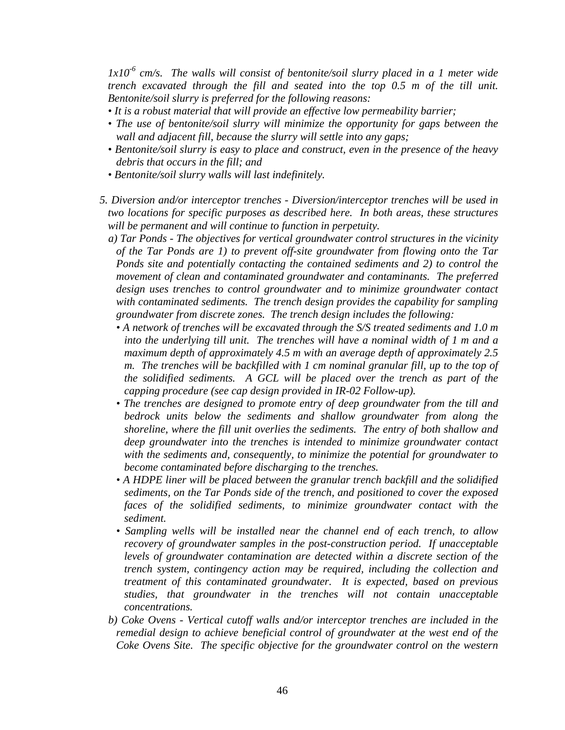*1x10-6 cm/s. The walls will consist of bentonite/soil slurry placed in a 1 meter wide trench excavated through the fill and seated into the top 0.5 m of the till unit. Bentonite/soil slurry is preferred for the following reasons:* 

- *It is a robust material that will provide an effective low permeability barrier;*
- The use of bentonite/soil slurry will minimize the opportunity for gaps between the *wall and adjacent fill, because the slurry will settle into any gaps;*
- *Bentonite/soil slurry is easy to place and construct, even in the presence of the heavy debris that occurs in the fill; and*
- *Bentonite/soil slurry walls will last indefinitely.*
- *5. Diversion and/or interceptor trenches Diversion/interceptor trenches will be used in two locations for specific purposes as described here. In both areas, these structures will be permanent and will continue to function in perpetuity.* 
	- *a) Tar Ponds The objectives for vertical groundwater control structures in the vicinity of the Tar Ponds are 1) to prevent off-site groundwater from flowing onto the Tar Ponds site and potentially contacting the contained sediments and 2) to control the movement of clean and contaminated groundwater and contaminants. The preferred design uses trenches to control groundwater and to minimize groundwater contact with contaminated sediments. The trench design provides the capability for sampling groundwater from discrete zones. The trench design includes the following:* 
		- *A network of trenches will be excavated through the S/S treated sediments and 1.0 m into the underlying till unit. The trenches will have a nominal width of 1 m and a maximum depth of approximately 4.5 m with an average depth of approximately 2.5 m. The trenches will be backfilled with 1 cm nominal granular fill, up to the top of the solidified sediments. A GCL will be placed over the trench as part of the capping procedure (see cap design provided in IR-02 Follow-up).*
		- *The trenches are designed to promote entry of deep groundwater from the till and bedrock units below the sediments and shallow groundwater from along the shoreline, where the fill unit overlies the sediments. The entry of both shallow and deep groundwater into the trenches is intended to minimize groundwater contact with the sediments and, consequently, to minimize the potential for groundwater to become contaminated before discharging to the trenches.*
		- *A HDPE liner will be placed between the granular trench backfill and the solidified sediments, on the Tar Ponds side of the trench, and positioned to cover the exposed faces of the solidified sediments, to minimize groundwater contact with the sediment.*
		- *Sampling wells will be installed near the channel end of each trench, to allow recovery of groundwater samples in the post-construction period. If unacceptable levels of groundwater contamination are detected within a discrete section of the trench system, contingency action may be required, including the collection and treatment of this contaminated groundwater. It is expected, based on previous studies, that groundwater in the trenches will not contain unacceptable concentrations.*
	- *b) Coke Ovens Vertical cutoff walls and/or interceptor trenches are included in the remedial design to achieve beneficial control of groundwater at the west end of the Coke Ovens Site. The specific objective for the groundwater control on the western*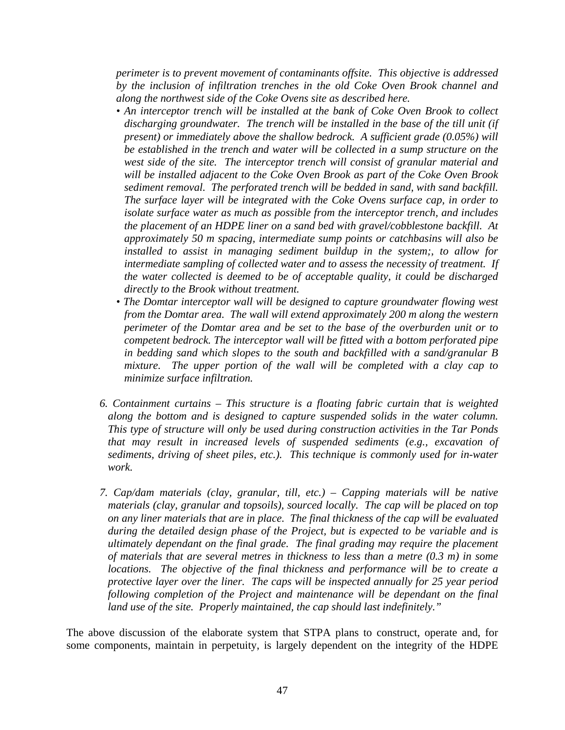*perimeter is to prevent movement of contaminants offsite. This objective is addressed by the inclusion of infiltration trenches in the old Coke Oven Brook channel and along the northwest side of the Coke Ovens site as described here.* 

- An interceptor trench will be installed at the bank of Coke Oven Brook to collect *discharging groundwater. The trench will be installed in the base of the till unit (if present) or immediately above the shallow bedrock. A sufficient grade (0.05%) will be established in the trench and water will be collected in a sump structure on the west side of the site. The interceptor trench will consist of granular material and will be installed adjacent to the Coke Oven Brook as part of the Coke Oven Brook sediment removal. The perforated trench will be bedded in sand, with sand backfill. The surface layer will be integrated with the Coke Ovens surface cap, in order to isolate surface water as much as possible from the interceptor trench, and includes the placement of an HDPE liner on a sand bed with gravel/cobblestone backfill. At approximately 50 m spacing, intermediate sump points or catchbasins will also be installed to assist in managing sediment buildup in the system;, to allow for intermediate sampling of collected water and to assess the necessity of treatment. If the water collected is deemed to be of acceptable quality, it could be discharged directly to the Brook without treatment.*
- *The Domtar interceptor wall will be designed to capture groundwater flowing west from the Domtar area. The wall will extend approximately 200 m along the western perimeter of the Domtar area and be set to the base of the overburden unit or to competent bedrock. The interceptor wall will be fitted with a bottom perforated pipe in bedding sand which slopes to the south and backfilled with a sand/granular B mixture. The upper portion of the wall will be completed with a clay cap to minimize surface infiltration.*
- *6. Containment curtains This structure is a floating fabric curtain that is weighted along the bottom and is designed to capture suspended solids in the water column. This type of structure will only be used during construction activities in the Tar Ponds that may result in increased levels of suspended sediments (e.g., excavation of sediments, driving of sheet piles, etc.). This technique is commonly used for in-water work.*
- *7. Cap/dam materials (clay, granular, till, etc.) Capping materials will be native materials (clay, granular and topsoils), sourced locally. The cap will be placed on top on any liner materials that are in place. The final thickness of the cap will be evaluated during the detailed design phase of the Project, but is expected to be variable and is ultimately dependant on the final grade. The final grading may require the placement of materials that are several metres in thickness to less than a metre (0.3 m) in some locations. The objective of the final thickness and performance will be to create a protective layer over the liner. The caps will be inspected annually for 25 year period*  following completion of the Project and maintenance will be dependant on the final *land use of the site. Properly maintained, the cap should last indefinitely."*

The above discussion of the elaborate system that STPA plans to construct, operate and, for some components, maintain in perpetuity, is largely dependent on the integrity of the HDPE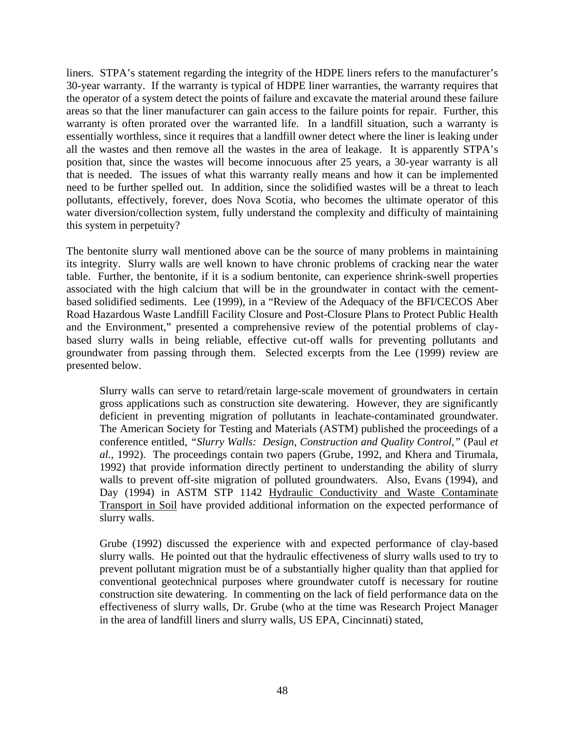liners. STPA's statement regarding the integrity of the HDPE liners refers to the manufacturer's 30-year warranty. If the warranty is typical of HDPE liner warranties, the warranty requires that the operator of a system detect the points of failure and excavate the material around these failure areas so that the liner manufacturer can gain access to the failure points for repair. Further, this warranty is often prorated over the warranted life. In a landfill situation, such a warranty is essentially worthless, since it requires that a landfill owner detect where the liner is leaking under all the wastes and then remove all the wastes in the area of leakage. It is apparently STPA's position that, since the wastes will become innocuous after 25 years, a 30-year warranty is all that is needed. The issues of what this warranty really means and how it can be implemented need to be further spelled out. In addition, since the solidified wastes will be a threat to leach pollutants, effectively, forever, does Nova Scotia, who becomes the ultimate operator of this water diversion/collection system, fully understand the complexity and difficulty of maintaining this system in perpetuity?

The bentonite slurry wall mentioned above can be the source of many problems in maintaining its integrity. Slurry walls are well known to have chronic problems of cracking near the water table. Further, the bentonite, if it is a sodium bentonite, can experience shrink-swell properties associated with the high calcium that will be in the groundwater in contact with the cementbased solidified sediments. Lee (1999), in a "Review of the Adequacy of the BFI/CECOS Aber Road Hazardous Waste Landfill Facility Closure and Post-Closure Plans to Protect Public Health and the Environment," presented a comprehensive review of the potential problems of claybased slurry walls in being reliable, effective cut-off walls for preventing pollutants and groundwater from passing through them. Selected excerpts from the Lee (1999) review are presented below.

Slurry walls can serve to retard/retain large-scale movement of groundwaters in certain gross applications such as construction site dewatering. However, they are significantly deficient in preventing migration of pollutants in leachate-contaminated groundwater. The American Society for Testing and Materials (ASTM) published the proceedings of a conference entitled, *"Slurry Walls: Design, Construction and Quality Control,"* (Paul *et al.*, 1992). The proceedings contain two papers (Grube, 1992, and Khera and Tirumala, 1992) that provide information directly pertinent to understanding the ability of slurry walls to prevent off-site migration of polluted groundwaters. Also, Evans (1994), and Day (1994) in ASTM STP 1142 Hydraulic Conductivity and Waste Contaminate Transport in Soil have provided additional information on the expected performance of slurry walls.

Grube (1992) discussed the experience with and expected performance of clay-based slurry walls. He pointed out that the hydraulic effectiveness of slurry walls used to try to prevent pollutant migration must be of a substantially higher quality than that applied for conventional geotechnical purposes where groundwater cutoff is necessary for routine construction site dewatering. In commenting on the lack of field performance data on the effectiveness of slurry walls, Dr. Grube (who at the time was Research Project Manager in the area of landfill liners and slurry walls, US EPA, Cincinnati) stated,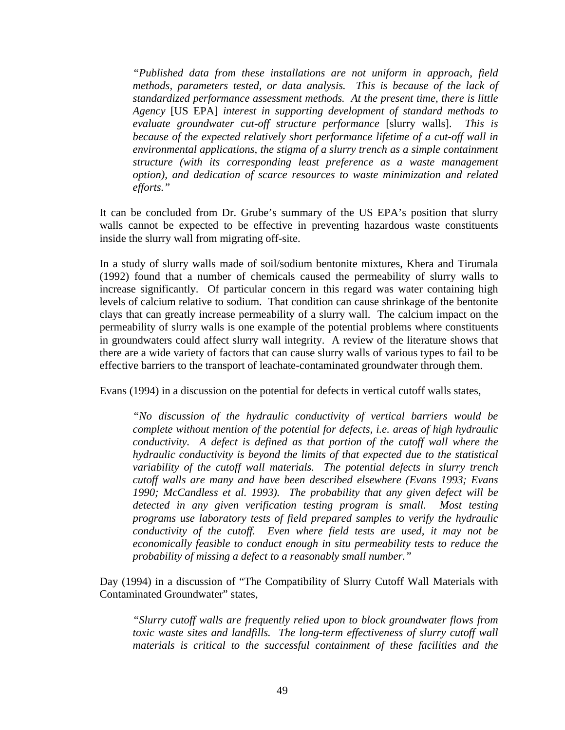*"Published data from these installations are not uniform in approach, field methods, parameters tested, or data analysis. This is because of the lack of standardized performance assessment methods. At the present time, there is little Agency* [US EPA] *interest in supporting development of standard methods to evaluate groundwater cut-off structure performance* [slurry walls]. *This is because of the expected relatively short performance lifetime of a cut-off wall in environmental applications, the stigma of a slurry trench as a simple containment structure (with its corresponding least preference as a waste management option), and dedication of scarce resources to waste minimization and related efforts."* 

It can be concluded from Dr. Grube's summary of the US EPA's position that slurry walls cannot be expected to be effective in preventing hazardous waste constituents inside the slurry wall from migrating off-site.

In a study of slurry walls made of soil/sodium bentonite mixtures, Khera and Tirumala (1992) found that a number of chemicals caused the permeability of slurry walls to increase significantly. Of particular concern in this regard was water containing high levels of calcium relative to sodium. That condition can cause shrinkage of the bentonite clays that can greatly increase permeability of a slurry wall. The calcium impact on the permeability of slurry walls is one example of the potential problems where constituents in groundwaters could affect slurry wall integrity. A review of the literature shows that there are a wide variety of factors that can cause slurry walls of various types to fail to be effective barriers to the transport of leachate-contaminated groundwater through them.

Evans (1994) in a discussion on the potential for defects in vertical cutoff walls states,

*"No discussion of the hydraulic conductivity of vertical barriers would be complete without mention of the potential for defects, i.e. areas of high hydraulic conductivity. A defect is defined as that portion of the cutoff wall where the hydraulic conductivity is beyond the limits of that expected due to the statistical variability of the cutoff wall materials. The potential defects in slurry trench cutoff walls are many and have been described elsewhere (Evans 1993; Evans 1990; McCandless et al. 1993). The probability that any given defect will be detected in any given verification testing program is small. Most testing programs use laboratory tests of field prepared samples to verify the hydraulic conductivity of the cutoff. Even where field tests are used, it may not be economically feasible to conduct enough in situ permeability tests to reduce the probability of missing a defect to a reasonably small number."* 

Day (1994) in a discussion of "The Compatibility of Slurry Cutoff Wall Materials with Contaminated Groundwater" states,

*"Slurry cutoff walls are frequently relied upon to block groundwater flows from toxic waste sites and landfills. The long-term effectiveness of slurry cutoff wall materials is critical to the successful containment of these facilities and the*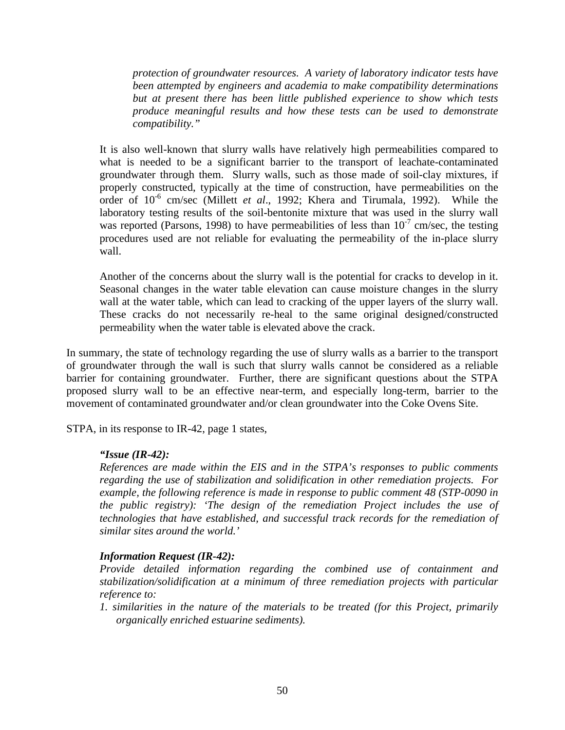*protection of groundwater resources. A variety of laboratory indicator tests have been attempted by engineers and academia to make compatibility determinations but at present there has been little published experience to show which tests produce meaningful results and how these tests can be used to demonstrate compatibility."* 

It is also well-known that slurry walls have relatively high permeabilities compared to what is needed to be a significant barrier to the transport of leachate-contaminated groundwater through them. Slurry walls, such as those made of soil-clay mixtures, if properly constructed, typically at the time of construction, have permeabilities on the order of 10-6 cm/sec (Millett *et al*., 1992; Khera and Tirumala, 1992). While the laboratory testing results of the soil-bentonite mixture that was used in the slurry wall was reported (Parsons, 1998) to have permeabilities of less than  $10^{-7}$  cm/sec, the testing procedures used are not reliable for evaluating the permeability of the in-place slurry wall.

Another of the concerns about the slurry wall is the potential for cracks to develop in it. Seasonal changes in the water table elevation can cause moisture changes in the slurry wall at the water table, which can lead to cracking of the upper layers of the slurry wall. These cracks do not necessarily re-heal to the same original designed/constructed permeability when the water table is elevated above the crack.

In summary, the state of technology regarding the use of slurry walls as a barrier to the transport of groundwater through the wall is such that slurry walls cannot be considered as a reliable barrier for containing groundwater. Further, there are significant questions about the STPA proposed slurry wall to be an effective near-term, and especially long-term, barrier to the movement of contaminated groundwater and/or clean groundwater into the Coke Ovens Site.

STPA, in its response to IR-42, page 1 states,

## *"Issue (IR-42):*

*References are made within the EIS and in the STPA's responses to public comments regarding the use of stabilization and solidification in other remediation projects. For example, the following reference is made in response to public comment 48 (STP-0090 in the public registry): 'The design of the remediation Project includes the use of technologies that have established, and successful track records for the remediation of similar sites around the world.'* 

## *Information Request (IR-42):*

*Provide detailed information regarding the combined use of containment and stabilization/solidification at a minimum of three remediation projects with particular reference to:* 

*1. similarities in the nature of the materials to be treated (for this Project, primarily organically enriched estuarine sediments).*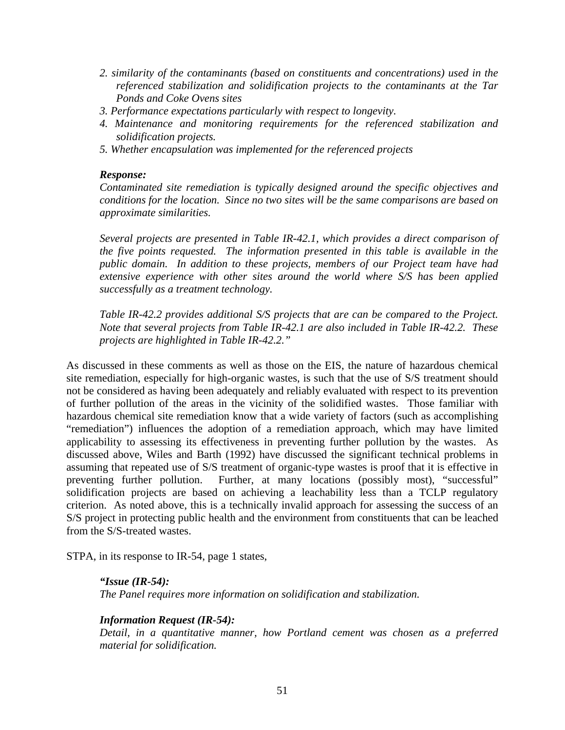- *2. similarity of the contaminants (based on constituents and concentrations) used in the referenced stabilization and solidification projects to the contaminants at the Tar Ponds and Coke Ovens sites*
- *3. Performance expectations particularly with respect to longevity.*
- *4. Maintenance and monitoring requirements for the referenced stabilization and solidification projects.*
- *5. Whether encapsulation was implemented for the referenced projects*

## *Response:*

*Contaminated site remediation is typically designed around the specific objectives and conditions for the location. Since no two sites will be the same comparisons are based on approximate similarities.* 

*Several projects are presented in Table IR-42.1, which provides a direct comparison of the five points requested. The information presented in this table is available in the public domain. In addition to these projects, members of our Project team have had extensive experience with other sites around the world where S/S has been applied successfully as a treatment technology.* 

*Table IR-42.2 provides additional S/S projects that are can be compared to the Project. Note that several projects from Table IR-42.1 are also included in Table IR-42.2. These projects are highlighted in Table IR-42.2."* 

As discussed in these comments as well as those on the EIS, the nature of hazardous chemical site remediation, especially for high-organic wastes, is such that the use of S/S treatment should not be considered as having been adequately and reliably evaluated with respect to its prevention of further pollution of the areas in the vicinity of the solidified wastes. Those familiar with hazardous chemical site remediation know that a wide variety of factors (such as accomplishing "remediation") influences the adoption of a remediation approach, which may have limited applicability to assessing its effectiveness in preventing further pollution by the wastes. As discussed above, Wiles and Barth (1992) have discussed the significant technical problems in assuming that repeated use of S/S treatment of organic-type wastes is proof that it is effective in preventing further pollution. Further, at many locations (possibly most), "successful" solidification projects are based on achieving a leachability less than a TCLP regulatory criterion. As noted above, this is a technically invalid approach for assessing the success of an S/S project in protecting public health and the environment from constituents that can be leached from the S/S-treated wastes.

STPA, in its response to IR-54, page 1 states,

#### *"Issue (IR-54): The Panel requires more information on solidification and stabilization.*

*Information Request (IR-54):* 

*Detail, in a quantitative manner, how Portland cement was chosen as a preferred material for solidification.*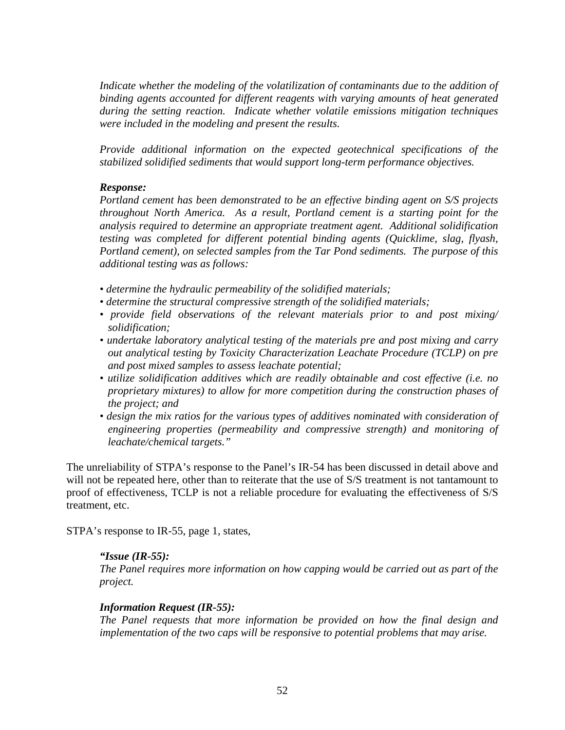*Indicate whether the modeling of the volatilization of contaminants due to the addition of binding agents accounted for different reagents with varying amounts of heat generated during the setting reaction. Indicate whether volatile emissions mitigation techniques were included in the modeling and present the results.* 

*Provide additional information on the expected geotechnical specifications of the stabilized solidified sediments that would support long-term performance objectives.* 

# *Response:*

*Portland cement has been demonstrated to be an effective binding agent on S/S projects throughout North America. As a result, Portland cement is a starting point for the analysis required to determine an appropriate treatment agent. Additional solidification testing was completed for different potential binding agents (Quicklime, slag, flyash, Portland cement), on selected samples from the Tar Pond sediments. The purpose of this additional testing was as follows:* 

- *determine the hydraulic permeability of the solidified materials;*
- *determine the structural compressive strength of the solidified materials;*
- *provide field observations of the relevant materials prior to and post mixing/ solidification;*
- *undertake laboratory analytical testing of the materials pre and post mixing and carry out analytical testing by Toxicity Characterization Leachate Procedure (TCLP) on pre and post mixed samples to assess leachate potential;*
- *utilize solidification additives which are readily obtainable and cost effective (i.e. no proprietary mixtures) to allow for more competition during the construction phases of the project; and*
- *design the mix ratios for the various types of additives nominated with consideration of engineering properties (permeability and compressive strength) and monitoring of leachate/chemical targets."*

The unreliability of STPA's response to the Panel's IR-54 has been discussed in detail above and will not be repeated here, other than to reiterate that the use of  $S/S$  treatment is not tantamount to proof of effectiveness, TCLP is not a reliable procedure for evaluating the effectiveness of S/S treatment, etc.

STPA's response to IR-55, page 1, states,

## *"Issue (IR-55):*

*The Panel requires more information on how capping would be carried out as part of the project.* 

## *Information Request (IR-55):*

*The Panel requests that more information be provided on how the final design and implementation of the two caps will be responsive to potential problems that may arise.*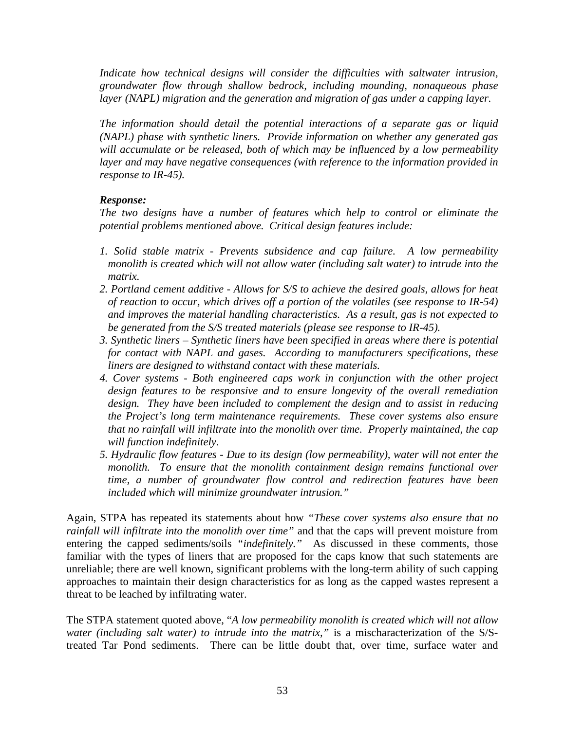Indicate how technical designs will consider the difficulties with saltwater intrusion, *groundwater flow through shallow bedrock, including mounding, nonaqueous phase layer (NAPL) migration and the generation and migration of gas under a capping layer.* 

*The information should detail the potential interactions of a separate gas or liquid (NAPL) phase with synthetic liners. Provide information on whether any generated gas will accumulate or be released, both of which may be influenced by a low permeability layer and may have negative consequences (with reference to the information provided in response to IR-45).* 

# *Response:*

*The two designs have a number of features which help to control or eliminate the potential problems mentioned above. Critical design features include:* 

- *1. Solid stable matrix Prevents subsidence and cap failure. A low permeability monolith is created which will not allow water (including salt water) to intrude into the matrix.*
- *2. Portland cement additive Allows for S/S to achieve the desired goals, allows for heat of reaction to occur, which drives off a portion of the volatiles (see response to IR-54) and improves the material handling characteristics. As a result, gas is not expected to be generated from the S/S treated materials (please see response to IR-45).*
- *3. Synthetic liners Synthetic liners have been specified in areas where there is potential for contact with NAPL and gases. According to manufacturers specifications, these liners are designed to withstand contact with these materials.*
- *4. Cover systems Both engineered caps work in conjunction with the other project design features to be responsive and to ensure longevity of the overall remediation design. They have been included to complement the design and to assist in reducing the Project's long term maintenance requirements. These cover systems also ensure that no rainfall will infiltrate into the monolith over time. Properly maintained, the cap will function indefinitely.*
- *5. Hydraulic flow features Due to its design (low permeability), water will not enter the monolith. To ensure that the monolith containment design remains functional over time, a number of groundwater flow control and redirection features have been included which will minimize groundwater intrusion."*

Again, STPA has repeated its statements about how *"These cover systems also ensure that no rainfall will infiltrate into the monolith over time"* and that the caps will prevent moisture from entering the capped sediments/soils *"indefinitely."* As discussed in these comments, those familiar with the types of liners that are proposed for the caps know that such statements are unreliable; there are well known, significant problems with the long-term ability of such capping approaches to maintain their design characteristics for as long as the capped wastes represent a threat to be leached by infiltrating water.

The STPA statement quoted above, "*A low permeability monolith is created which will not allow water (including salt water) to intrude into the matrix,"* is a mischaracterization of the S/Streated Tar Pond sediments. There can be little doubt that, over time, surface water and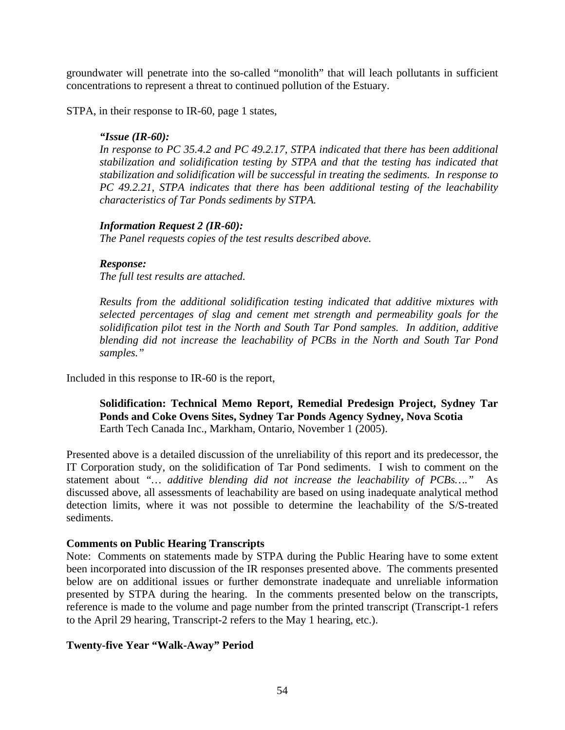groundwater will penetrate into the so-called "monolith" that will leach pollutants in sufficient concentrations to represent a threat to continued pollution of the Estuary.

STPA, in their response to IR-60, page 1 states,

#### *"Issue (IR-60):*

*In response to PC 35.4.2 and PC 49.2.17, STPA indicated that there has been additional stabilization and solidification testing by STPA and that the testing has indicated that stabilization and solidification will be successful in treating the sediments. In response to PC 49.2.21, STPA indicates that there has been additional testing of the leachability characteristics of Tar Ponds sediments by STPA.* 

## *Information Request 2 (IR-60):*

*The Panel requests copies of the test results described above.* 

#### *Response:*

*The full test results are attached.* 

*Results from the additional solidification testing indicated that additive mixtures with selected percentages of slag and cement met strength and permeability goals for the solidification pilot test in the North and South Tar Pond samples. In addition, additive blending did not increase the leachability of PCBs in the North and South Tar Pond samples."* 

Included in this response to IR-60 is the report,

# **Solidification: Technical Memo Report, Remedial Predesign Project, Sydney Tar Ponds and Coke Ovens Sites, Sydney Tar Ponds Agency Sydney, Nova Scotia**  Earth Tech Canada Inc., Markham, Ontario, November 1 (2005).

Presented above is a detailed discussion of the unreliability of this report and its predecessor, the IT Corporation study, on the solidification of Tar Pond sediments. I wish to comment on the statement about *"… additive blending did not increase the leachability of PCBs…."* As discussed above, all assessments of leachability are based on using inadequate analytical method detection limits, where it was not possible to determine the leachability of the S/S-treated sediments.

## **Comments on Public Hearing Transcripts**

Note: Comments on statements made by STPA during the Public Hearing have to some extent been incorporated into discussion of the IR responses presented above. The comments presented below are on additional issues or further demonstrate inadequate and unreliable information presented by STPA during the hearing. In the comments presented below on the transcripts, reference is made to the volume and page number from the printed transcript (Transcript-1 refers to the April 29 hearing, Transcript-2 refers to the May 1 hearing, etc.).

## **Twenty-five Year "Walk-Away" Period**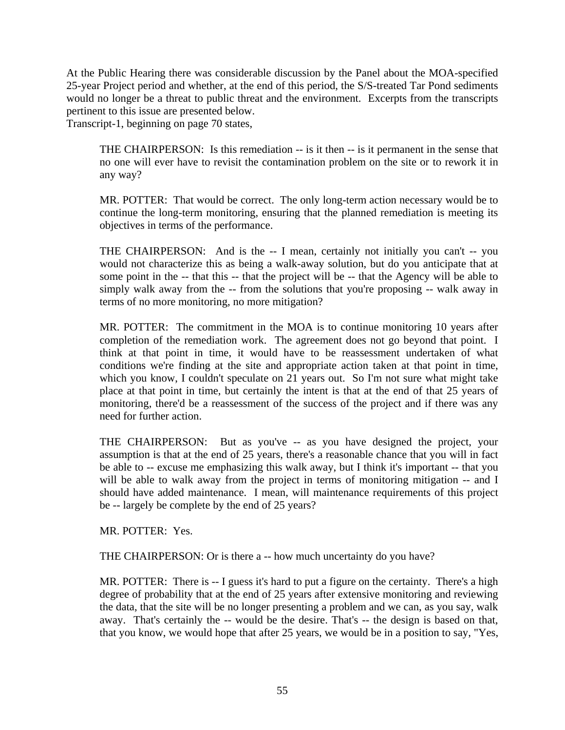At the Public Hearing there was considerable discussion by the Panel about the MOA-specified 25-year Project period and whether, at the end of this period, the S/S-treated Tar Pond sediments would no longer be a threat to public threat and the environment. Excerpts from the transcripts pertinent to this issue are presented below.

Transcript-1, beginning on page 70 states,

THE CHAIRPERSON: Is this remediation -- is it then -- is it permanent in the sense that no one will ever have to revisit the contamination problem on the site or to rework it in any way?

MR. POTTER: That would be correct. The only long-term action necessary would be to continue the long-term monitoring, ensuring that the planned remediation is meeting its objectives in terms of the performance.

THE CHAIRPERSON: And is the -- I mean, certainly not initially you can't -- you would not characterize this as being a walk-away solution, but do you anticipate that at some point in the -- that this -- that the project will be -- that the Agency will be able to simply walk away from the -- from the solutions that you're proposing -- walk away in terms of no more monitoring, no more mitigation?

MR. POTTER: The commitment in the MOA is to continue monitoring 10 years after completion of the remediation work. The agreement does not go beyond that point. I think at that point in time, it would have to be reassessment undertaken of what conditions we're finding at the site and appropriate action taken at that point in time, which you know, I couldn't speculate on 21 years out. So I'm not sure what might take place at that point in time, but certainly the intent is that at the end of that 25 years of monitoring, there'd be a reassessment of the success of the project and if there was any need for further action.

THE CHAIRPERSON: But as you've -- as you have designed the project, your assumption is that at the end of 25 years, there's a reasonable chance that you will in fact be able to -- excuse me emphasizing this walk away, but I think it's important -- that you will be able to walk away from the project in terms of monitoring mitigation -- and I should have added maintenance. I mean, will maintenance requirements of this project be -- largely be complete by the end of 25 years?

MR. POTTER: Yes.

THE CHAIRPERSON: Or is there a -- how much uncertainty do you have?

MR. POTTER: There is -- I guess it's hard to put a figure on the certainty. There's a high degree of probability that at the end of 25 years after extensive monitoring and reviewing the data, that the site will be no longer presenting a problem and we can, as you say, walk away. That's certainly the -- would be the desire. That's -- the design is based on that, that you know, we would hope that after 25 years, we would be in a position to say, "Yes,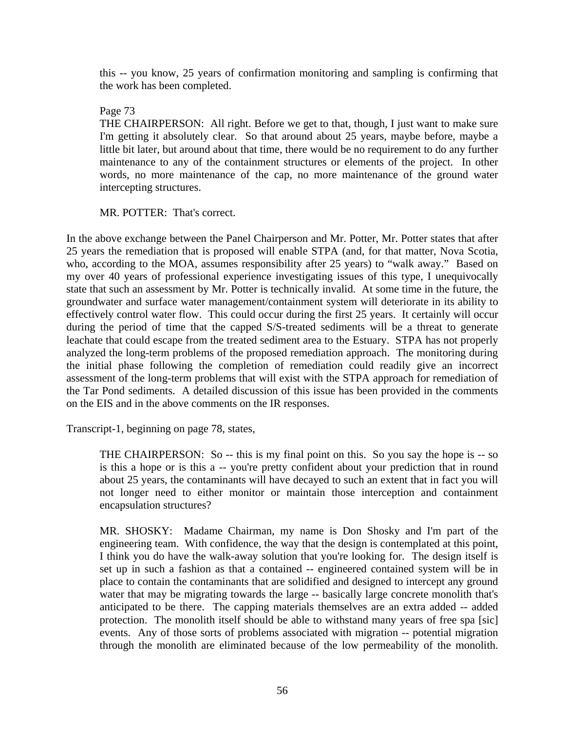this -- you know, 25 years of confirmation monitoring and sampling is confirming that the work has been completed.

Page 73

THE CHAIRPERSON: All right. Before we get to that, though, I just want to make sure I'm getting it absolutely clear. So that around about 25 years, maybe before, maybe a little bit later, but around about that time, there would be no requirement to do any further maintenance to any of the containment structures or elements of the project. In other words, no more maintenance of the cap, no more maintenance of the ground water intercepting structures.

MR. POTTER: That's correct.

In the above exchange between the Panel Chairperson and Mr. Potter, Mr. Potter states that after 25 years the remediation that is proposed will enable STPA (and, for that matter, Nova Scotia, who, according to the MOA, assumes responsibility after 25 years) to "walk away." Based on my over 40 years of professional experience investigating issues of this type, I unequivocally state that such an assessment by Mr. Potter is technically invalid. At some time in the future, the groundwater and surface water management/containment system will deteriorate in its ability to effectively control water flow. This could occur during the first 25 years. It certainly will occur during the period of time that the capped S/S-treated sediments will be a threat to generate leachate that could escape from the treated sediment area to the Estuary. STPA has not properly analyzed the long-term problems of the proposed remediation approach. The monitoring during the initial phase following the completion of remediation could readily give an incorrect assessment of the long-term problems that will exist with the STPA approach for remediation of the Tar Pond sediments. A detailed discussion of this issue has been provided in the comments on the EIS and in the above comments on the IR responses.

Transcript-1, beginning on page 78, states,

THE CHAIRPERSON: So -- this is my final point on this. So you say the hope is -- so is this a hope or is this a -- you're pretty confident about your prediction that in round about 25 years, the contaminants will have decayed to such an extent that in fact you will not longer need to either monitor or maintain those interception and containment encapsulation structures?

MR. SHOSKY: Madame Chairman, my name is Don Shosky and I'm part of the engineering team. With confidence, the way that the design is contemplated at this point, I think you do have the walk-away solution that you're looking for. The design itself is set up in such a fashion as that a contained -- engineered contained system will be in place to contain the contaminants that are solidified and designed to intercept any ground water that may be migrating towards the large -- basically large concrete monolith that's anticipated to be there. The capping materials themselves are an extra added -- added protection. The monolith itself should be able to withstand many years of free spa [sic] events. Any of those sorts of problems associated with migration -- potential migration through the monolith are eliminated because of the low permeability of the monolith.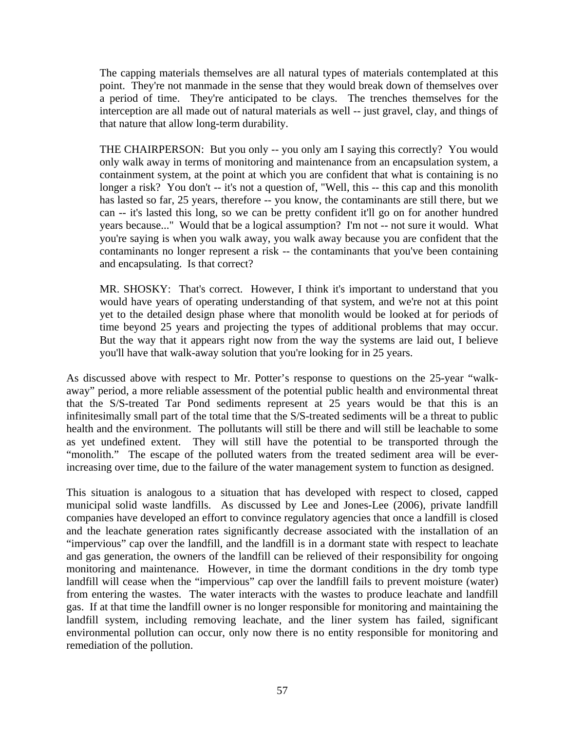The capping materials themselves are all natural types of materials contemplated at this point. They're not manmade in the sense that they would break down of themselves over a period of time. They're anticipated to be clays. The trenches themselves for the interception are all made out of natural materials as well -- just gravel, clay, and things of that nature that allow long-term durability.

THE CHAIRPERSON: But you only -- you only am I saying this correctly? You would only walk away in terms of monitoring and maintenance from an encapsulation system, a containment system, at the point at which you are confident that what is containing is no longer a risk? You don't -- it's not a question of, "Well, this -- this cap and this monolith has lasted so far, 25 years, therefore -- you know, the contaminants are still there, but we can -- it's lasted this long, so we can be pretty confident it'll go on for another hundred years because..." Would that be a logical assumption? I'm not -- not sure it would. What you're saying is when you walk away, you walk away because you are confident that the contaminants no longer represent a risk -- the contaminants that you've been containing and encapsulating. Is that correct?

MR. SHOSKY: That's correct. However, I think it's important to understand that you would have years of operating understanding of that system, and we're not at this point yet to the detailed design phase where that monolith would be looked at for periods of time beyond 25 years and projecting the types of additional problems that may occur. But the way that it appears right now from the way the systems are laid out, I believe you'll have that walk-away solution that you're looking for in 25 years.

As discussed above with respect to Mr. Potter's response to questions on the 25-year "walkaway" period, a more reliable assessment of the potential public health and environmental threat that the S/S-treated Tar Pond sediments represent at 25 years would be that this is an infinitesimally small part of the total time that the S/S-treated sediments will be a threat to public health and the environment. The pollutants will still be there and will still be leachable to some as yet undefined extent. They will still have the potential to be transported through the "monolith." The escape of the polluted waters from the treated sediment area will be everincreasing over time, due to the failure of the water management system to function as designed.

This situation is analogous to a situation that has developed with respect to closed, capped municipal solid waste landfills. As discussed by Lee and Jones-Lee (2006), private landfill companies have developed an effort to convince regulatory agencies that once a landfill is closed and the leachate generation rates significantly decrease associated with the installation of an "impervious" cap over the landfill, and the landfill is in a dormant state with respect to leachate and gas generation, the owners of the landfill can be relieved of their responsibility for ongoing monitoring and maintenance. However, in time the dormant conditions in the dry tomb type landfill will cease when the "impervious" cap over the landfill fails to prevent moisture (water) from entering the wastes. The water interacts with the wastes to produce leachate and landfill gas. If at that time the landfill owner is no longer responsible for monitoring and maintaining the landfill system, including removing leachate, and the liner system has failed, significant environmental pollution can occur, only now there is no entity responsible for monitoring and remediation of the pollution.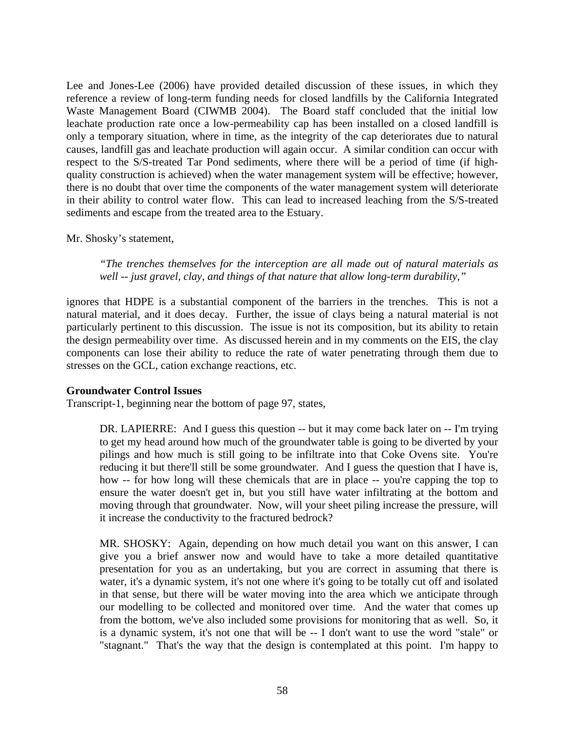Lee and Jones-Lee (2006) have provided detailed discussion of these issues, in which they reference a review of long-term funding needs for closed landfills by the California Integrated Waste Management Board (CIWMB 2004). The Board staff concluded that the initial low leachate production rate once a low-permeability cap has been installed on a closed landfill is only a temporary situation, where in time, as the integrity of the cap deteriorates due to natural causes, landfill gas and leachate production will again occur. A similar condition can occur with respect to the S/S-treated Tar Pond sediments, where there will be a period of time (if highquality construction is achieved) when the water management system will be effective; however, there is no doubt that over time the components of the water management system will deteriorate in their ability to control water flow. This can lead to increased leaching from the S/S-treated sediments and escape from the treated area to the Estuary.

Mr. Shosky's statement,

*"The trenches themselves for the interception are all made out of natural materials as well -- just gravel, clay, and things of that nature that allow long-term durability,"* 

ignores that HDPE is a substantial component of the barriers in the trenches. This is not a natural material, and it does decay. Further, the issue of clays being a natural material is not particularly pertinent to this discussion. The issue is not its composition, but its ability to retain the design permeability over time. As discussed herein and in my comments on the EIS, the clay components can lose their ability to reduce the rate of water penetrating through them due to stresses on the GCL, cation exchange reactions, etc.

#### **Groundwater Control Issues**

Transcript-1, beginning near the bottom of page 97, states,

DR. LAPIERRE: And I guess this question -- but it may come back later on -- I'm trying to get my head around how much of the groundwater table is going to be diverted by your pilings and how much is still going to be infiltrate into that Coke Ovens site. You're reducing it but there'll still be some groundwater. And I guess the question that I have is, how -- for how long will these chemicals that are in place -- you're capping the top to ensure the water doesn't get in, but you still have water infiltrating at the bottom and moving through that groundwater. Now, will your sheet piling increase the pressure, will it increase the conductivity to the fractured bedrock?

MR. SHOSKY: Again, depending on how much detail you want on this answer, I can give you a brief answer now and would have to take a more detailed quantitative presentation for you as an undertaking, but you are correct in assuming that there is water, it's a dynamic system, it's not one where it's going to be totally cut off and isolated in that sense, but there will be water moving into the area which we anticipate through our modelling to be collected and monitored over time. And the water that comes up from the bottom, we've also included some provisions for monitoring that as well. So, it is a dynamic system, it's not one that will be -- I don't want to use the word "stale" or "stagnant." That's the way that the design is contemplated at this point. I'm happy to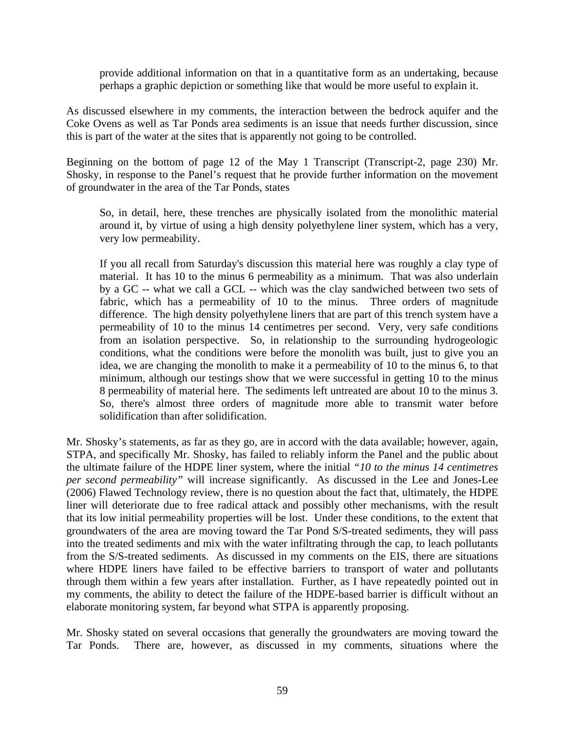provide additional information on that in a quantitative form as an undertaking, because perhaps a graphic depiction or something like that would be more useful to explain it.

As discussed elsewhere in my comments, the interaction between the bedrock aquifer and the Coke Ovens as well as Tar Ponds area sediments is an issue that needs further discussion, since this is part of the water at the sites that is apparently not going to be controlled.

Beginning on the bottom of page 12 of the May 1 Transcript (Transcript-2, page 230) Mr. Shosky, in response to the Panel's request that he provide further information on the movement of groundwater in the area of the Tar Ponds, states

So, in detail, here, these trenches are physically isolated from the monolithic material around it, by virtue of using a high density polyethylene liner system, which has a very, very low permeability.

If you all recall from Saturday's discussion this material here was roughly a clay type of material. It has 10 to the minus 6 permeability as a minimum. That was also underlain by a GC -- what we call a GCL -- which was the clay sandwiched between two sets of fabric, which has a permeability of 10 to the minus. Three orders of magnitude difference. The high density polyethylene liners that are part of this trench system have a permeability of 10 to the minus 14 centimetres per second. Very, very safe conditions from an isolation perspective. So, in relationship to the surrounding hydrogeologic conditions, what the conditions were before the monolith was built, just to give you an idea, we are changing the monolith to make it a permeability of 10 to the minus 6, to that minimum, although our testings show that we were successful in getting 10 to the minus 8 permeability of material here. The sediments left untreated are about 10 to the minus 3. So, there's almost three orders of magnitude more able to transmit water before solidification than after solidification.

Mr. Shosky's statements, as far as they go, are in accord with the data available; however, again, STPA, and specifically Mr. Shosky, has failed to reliably inform the Panel and the public about the ultimate failure of the HDPE liner system, where the initial *"10 to the minus 14 centimetres per second permeability"* will increase significantly. As discussed in the Lee and Jones-Lee (2006) Flawed Technology review, there is no question about the fact that, ultimately, the HDPE liner will deteriorate due to free radical attack and possibly other mechanisms, with the result that its low initial permeability properties will be lost. Under these conditions, to the extent that groundwaters of the area are moving toward the Tar Pond S/S-treated sediments, they will pass into the treated sediments and mix with the water infiltrating through the cap, to leach pollutants from the S/S-treated sediments. As discussed in my comments on the EIS, there are situations where HDPE liners have failed to be effective barriers to transport of water and pollutants through them within a few years after installation. Further, as I have repeatedly pointed out in my comments, the ability to detect the failure of the HDPE-based barrier is difficult without an elaborate monitoring system, far beyond what STPA is apparently proposing.

Mr. Shosky stated on several occasions that generally the groundwaters are moving toward the Tar Ponds. There are, however, as discussed in my comments, situations where the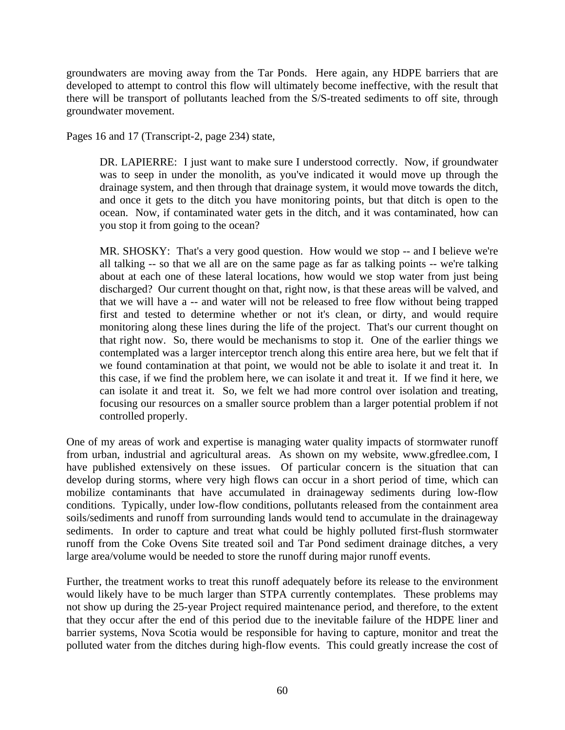groundwaters are moving away from the Tar Ponds. Here again, any HDPE barriers that are developed to attempt to control this flow will ultimately become ineffective, with the result that there will be transport of pollutants leached from the S/S-treated sediments to off site, through groundwater movement.

Pages 16 and 17 (Transcript-2, page 234) state,

DR. LAPIERRE: I just want to make sure I understood correctly. Now, if groundwater was to seep in under the monolith, as you've indicated it would move up through the drainage system, and then through that drainage system, it would move towards the ditch, and once it gets to the ditch you have monitoring points, but that ditch is open to the ocean. Now, if contaminated water gets in the ditch, and it was contaminated, how can you stop it from going to the ocean?

MR. SHOSKY: That's a very good question. How would we stop -- and I believe we're all talking -- so that we all are on the same page as far as talking points -- we're talking about at each one of these lateral locations, how would we stop water from just being discharged? Our current thought on that, right now, is that these areas will be valved, and that we will have a -- and water will not be released to free flow without being trapped first and tested to determine whether or not it's clean, or dirty, and would require monitoring along these lines during the life of the project. That's our current thought on that right now. So, there would be mechanisms to stop it. One of the earlier things we contemplated was a larger interceptor trench along this entire area here, but we felt that if we found contamination at that point, we would not be able to isolate it and treat it. In this case, if we find the problem here, we can isolate it and treat it. If we find it here, we can isolate it and treat it. So, we felt we had more control over isolation and treating, focusing our resources on a smaller source problem than a larger potential problem if not controlled properly.

One of my areas of work and expertise is managing water quality impacts of stormwater runoff from urban, industrial and agricultural areas. As shown on my website, www.gfredlee.com, I have published extensively on these issues. Of particular concern is the situation that can develop during storms, where very high flows can occur in a short period of time, which can mobilize contaminants that have accumulated in drainageway sediments during low-flow conditions. Typically, under low-flow conditions, pollutants released from the containment area soils/sediments and runoff from surrounding lands would tend to accumulate in the drainageway sediments. In order to capture and treat what could be highly polluted first-flush stormwater runoff from the Coke Ovens Site treated soil and Tar Pond sediment drainage ditches, a very large area/volume would be needed to store the runoff during major runoff events.

Further, the treatment works to treat this runoff adequately before its release to the environment would likely have to be much larger than STPA currently contemplates. These problems may not show up during the 25-year Project required maintenance period, and therefore, to the extent that they occur after the end of this period due to the inevitable failure of the HDPE liner and barrier systems, Nova Scotia would be responsible for having to capture, monitor and treat the polluted water from the ditches during high-flow events. This could greatly increase the cost of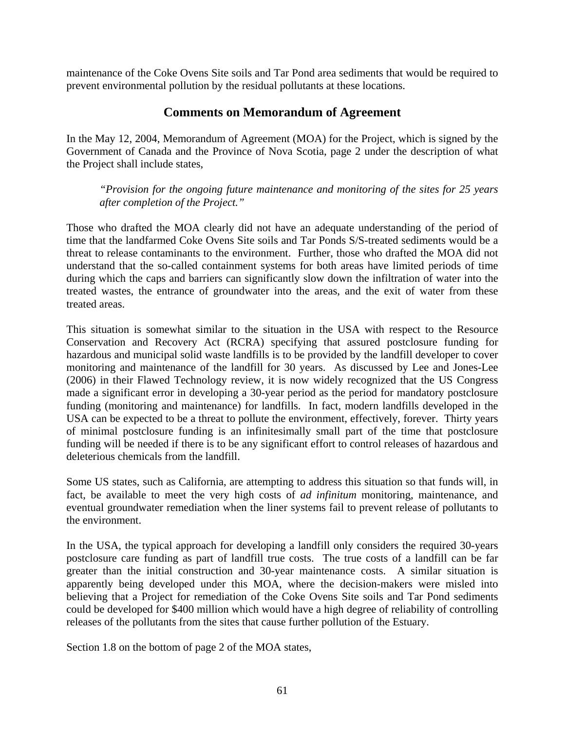maintenance of the Coke Ovens Site soils and Tar Pond area sediments that would be required to prevent environmental pollution by the residual pollutants at these locations.

# **Comments on Memorandum of Agreement**

In the May 12, 2004, Memorandum of Agreement (MOA) for the Project, which is signed by the Government of Canada and the Province of Nova Scotia, page 2 under the description of what the Project shall include states,

*"Provision for the ongoing future maintenance and monitoring of the sites for 25 years after completion of the Project."* 

Those who drafted the MOA clearly did not have an adequate understanding of the period of time that the landfarmed Coke Ovens Site soils and Tar Ponds S/S-treated sediments would be a threat to release contaminants to the environment. Further, those who drafted the MOA did not understand that the so-called containment systems for both areas have limited periods of time during which the caps and barriers can significantly slow down the infiltration of water into the treated wastes, the entrance of groundwater into the areas, and the exit of water from these treated areas.

This situation is somewhat similar to the situation in the USA with respect to the Resource Conservation and Recovery Act (RCRA) specifying that assured postclosure funding for hazardous and municipal solid waste landfills is to be provided by the landfill developer to cover monitoring and maintenance of the landfill for 30 years. As discussed by Lee and Jones-Lee (2006) in their Flawed Technology review, it is now widely recognized that the US Congress made a significant error in developing a 30-year period as the period for mandatory postclosure funding (monitoring and maintenance) for landfills. In fact, modern landfills developed in the USA can be expected to be a threat to pollute the environment, effectively, forever. Thirty years of minimal postclosure funding is an infinitesimally small part of the time that postclosure funding will be needed if there is to be any significant effort to control releases of hazardous and deleterious chemicals from the landfill.

Some US states, such as California, are attempting to address this situation so that funds will, in fact, be available to meet the very high costs of *ad infinitum* monitoring, maintenance, and eventual groundwater remediation when the liner systems fail to prevent release of pollutants to the environment.

In the USA, the typical approach for developing a landfill only considers the required 30-years postclosure care funding as part of landfill true costs. The true costs of a landfill can be far greater than the initial construction and 30-year maintenance costs. A similar situation is apparently being developed under this MOA, where the decision-makers were misled into believing that a Project for remediation of the Coke Ovens Site soils and Tar Pond sediments could be developed for \$400 million which would have a high degree of reliability of controlling releases of the pollutants from the sites that cause further pollution of the Estuary.

Section 1.8 on the bottom of page 2 of the MOA states,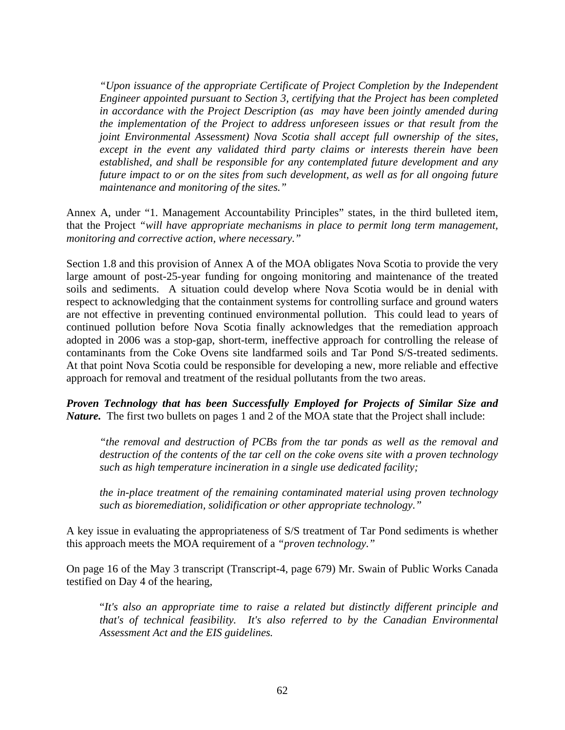*"Upon issuance of the appropriate Certificate of Project Completion by the Independent Engineer appointed pursuant to Section 3, certifying that the Project has been completed in accordance with the Project Description (as may have been jointly amended during the implementation of the Project to address unforeseen issues or that result from the joint Environmental Assessment) Nova Scotia shall accept full ownership of the sites, except in the event any validated third party claims or interests therein have been established, and shall be responsible for any contemplated future development and any future impact to or on the sites from such development, as well as for all ongoing future maintenance and monitoring of the sites."* 

Annex A, under "1. Management Accountability Principles" states, in the third bulleted item, that the Project *"will have appropriate mechanisms in place to permit long term management, monitoring and corrective action, where necessary."*

Section 1.8 and this provision of Annex A of the MOA obligates Nova Scotia to provide the very large amount of post-25-year funding for ongoing monitoring and maintenance of the treated soils and sediments. A situation could develop where Nova Scotia would be in denial with respect to acknowledging that the containment systems for controlling surface and ground waters are not effective in preventing continued environmental pollution. This could lead to years of continued pollution before Nova Scotia finally acknowledges that the remediation approach adopted in 2006 was a stop-gap, short-term, ineffective approach for controlling the release of contaminants from the Coke Ovens site landfarmed soils and Tar Pond S/S-treated sediments. At that point Nova Scotia could be responsible for developing a new, more reliable and effective approach for removal and treatment of the residual pollutants from the two areas.

*Proven Technology that has been Successfully Employed for Projects of Similar Size and Nature.* The first two bullets on pages 1 and 2 of the MOA state that the Project shall include:

*"the removal and destruction of PCBs from the tar ponds as well as the removal and destruction of the contents of the tar cell on the coke ovens site with a proven technology such as high temperature incineration in a single use dedicated facility;* 

*the in-place treatment of the remaining contaminated material using proven technology such as bioremediation, solidification or other appropriate technology."* 

A key issue in evaluating the appropriateness of S/S treatment of Tar Pond sediments is whether this approach meets the MOA requirement of a *"proven technology."*

On page 16 of the May 3 transcript (Transcript-4, page 679) Mr. Swain of Public Works Canada testified on Day 4 of the hearing,

"*It's also an appropriate time to raise a related but distinctly different principle and that's of technical feasibility. It's also referred to by the Canadian Environmental Assessment Act and the EIS guidelines.*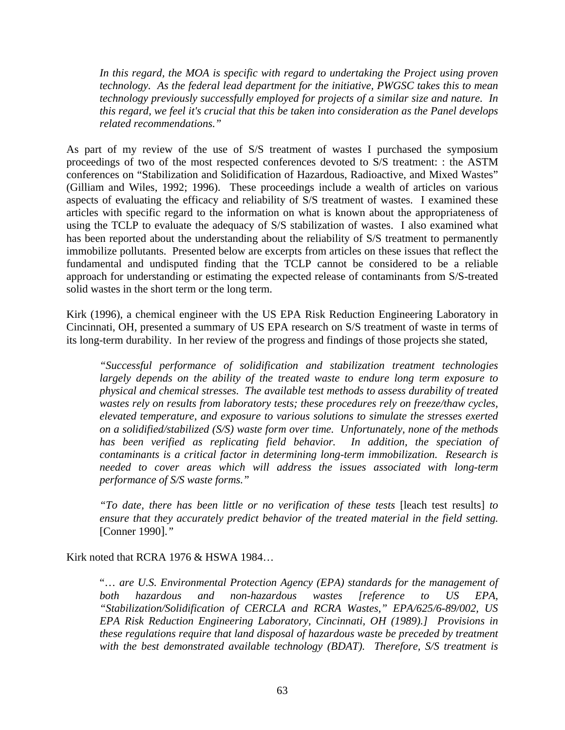*In this regard, the MOA is specific with regard to undertaking the Project using proven technology. As the federal lead department for the initiative, PWGSC takes this to mean technology previously successfully employed for projects of a similar size and nature. In this regard, we feel it's crucial that this be taken into consideration as the Panel develops related recommendations."* 

As part of my review of the use of S/S treatment of wastes I purchased the symposium proceedings of two of the most respected conferences devoted to S/S treatment: : the ASTM conferences on "Stabilization and Solidification of Hazardous, Radioactive, and Mixed Wastes" (Gilliam and Wiles, 1992; 1996). These proceedings include a wealth of articles on various aspects of evaluating the efficacy and reliability of S/S treatment of wastes. I examined these articles with specific regard to the information on what is known about the appropriateness of using the TCLP to evaluate the adequacy of S/S stabilization of wastes. I also examined what has been reported about the understanding about the reliability of S/S treatment to permanently immobilize pollutants. Presented below are excerpts from articles on these issues that reflect the fundamental and undisputed finding that the TCLP cannot be considered to be a reliable approach for understanding or estimating the expected release of contaminants from S/S-treated solid wastes in the short term or the long term.

Kirk (1996), a chemical engineer with the US EPA Risk Reduction Engineering Laboratory in Cincinnati, OH, presented a summary of US EPA research on S/S treatment of waste in terms of its long-term durability. In her review of the progress and findings of those projects she stated,

*"Successful performance of solidification and stabilization treatment technologies largely depends on the ability of the treated waste to endure long term exposure to physical and chemical stresses. The available test methods to assess durability of treated wastes rely on results from laboratory tests; these procedures rely on freeze/thaw cycles, elevated temperature, and exposure to various solutions to simulate the stresses exerted on a solidified/stabilized (S/S) waste form over time. Unfortunately, none of the methods*  has been verified as replicating field behavior. In addition, the speciation of *contaminants is a critical factor in determining long-term immobilization. Research is needed to cover areas which will address the issues associated with long-term performance of S/S waste forms."* 

*"To date, there has been little or no verification of these tests* [leach test results] *to ensure that they accurately predict behavior of the treated material in the field setting.*  [Conner 1990].*"* 

Kirk noted that RCRA 1976 & HSWA 1984…

"… *are U.S. Environmental Protection Agency (EPA) standards for the management of both hazardous and non-hazardous wastes [reference to US EPA, "Stabilization/Solidification of CERCLA and RCRA Wastes," EPA/625/6-89/002, US EPA Risk Reduction Engineering Laboratory, Cincinnati, OH (1989).] Provisions in these regulations require that land disposal of hazardous waste be preceded by treatment with the best demonstrated available technology (BDAT). Therefore, S/S treatment is*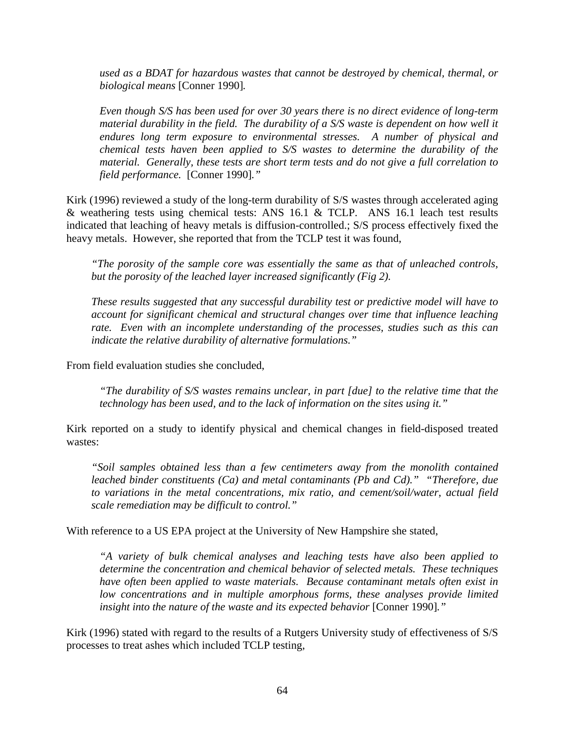*used as a BDAT for hazardous wastes that cannot be destroyed by chemical, thermal, or biological means* [Conner 1990]*.* 

*Even though S/S has been used for over 30 years there is no direct evidence of long-term material durability in the field. The durability of a S/S waste is dependent on how well it endures long term exposure to environmental stresses. A number of physical and chemical tests haven been applied to S/S wastes to determine the durability of the material. Generally, these tests are short term tests and do not give a full correlation to field performance.* [Conner 1990]*."*

Kirk (1996) reviewed a study of the long-term durability of S/S wastes through accelerated aging & weathering tests using chemical tests: ANS 16.1 & TCLP. ANS 16.1 leach test results indicated that leaching of heavy metals is diffusion-controlled.; S/S process effectively fixed the heavy metals. However, she reported that from the TCLP test it was found,

*"The porosity of the sample core was essentially the same as that of unleached controls, but the porosity of the leached layer increased significantly (Fig 2).* 

*These results suggested that any successful durability test or predictive model will have to account for significant chemical and structural changes over time that influence leaching rate. Even with an incomplete understanding of the processes, studies such as this can indicate the relative durability of alternative formulations."* 

From field evaluation studies she concluded,

*"The durability of S/S wastes remains unclear, in part [due] to the relative time that the technology has been used, and to the lack of information on the sites using it."* 

Kirk reported on a study to identify physical and chemical changes in field-disposed treated wastes:

*"Soil samples obtained less than a few centimeters away from the monolith contained leached binder constituents (Ca) and metal contaminants (Pb and Cd)." "Therefore, due to variations in the metal concentrations, mix ratio, and cement/soil/water, actual field scale remediation may be difficult to control."* 

With reference to a US EPA project at the University of New Hampshire she stated,

*"A variety of bulk chemical analyses and leaching tests have also been applied to determine the concentration and chemical behavior of selected metals. These techniques have often been applied to waste materials. Because contaminant metals often exist in*  low concentrations and in multiple amorphous forms, these analyses provide limited *insight into the nature of the waste and its expected behavior* [Conner 1990]."

Kirk (1996) stated with regard to the results of a Rutgers University study of effectiveness of S/S processes to treat ashes which included TCLP testing,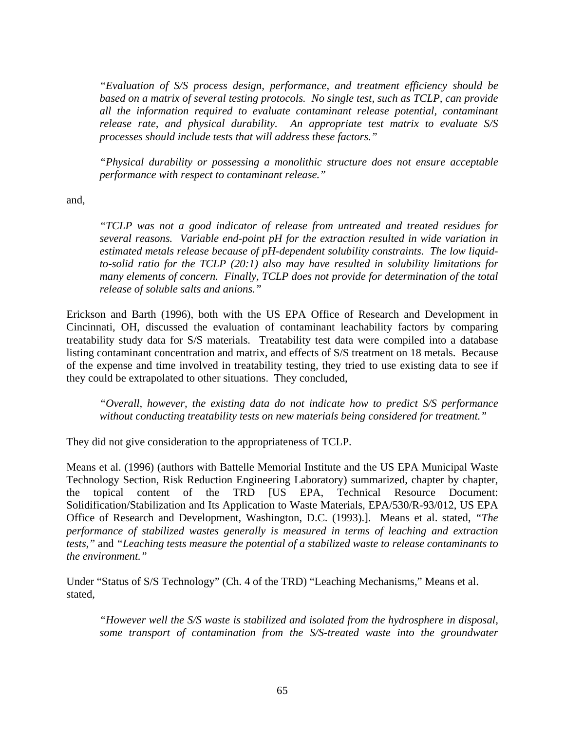*"Evaluation of S/S process design, performance, and treatment efficiency should be based on a matrix of several testing protocols. No single test, such as TCLP, can provide all the information required to evaluate contaminant release potential, contaminant release rate, and physical durability. An appropriate test matrix to evaluate S/S processes should include tests that will address these factors."* 

*"Physical durability or possessing a monolithic structure does not ensure acceptable performance with respect to contaminant release."*

and,

*"TCLP was not a good indicator of release from untreated and treated residues for several reasons. Variable end-point pH for the extraction resulted in wide variation in estimated metals release because of pH-dependent solubility constraints. The low liquidto-solid ratio for the TCLP (20:1) also may have resulted in solubility limitations for many elements of concern. Finally, TCLP does not provide for determination of the total release of soluble salts and anions."* 

Erickson and Barth (1996), both with the US EPA Office of Research and Development in Cincinnati, OH, discussed the evaluation of contaminant leachability factors by comparing treatability study data for S/S materials. Treatability test data were compiled into a database listing contaminant concentration and matrix, and effects of S/S treatment on 18 metals. Because of the expense and time involved in treatability testing, they tried to use existing data to see if they could be extrapolated to other situations. They concluded,

*"Overall, however, the existing data do not indicate how to predict S/S performance without conducting treatability tests on new materials being considered for treatment."* 

They did not give consideration to the appropriateness of TCLP.

Means et al. (1996) (authors with Battelle Memorial Institute and the US EPA Municipal Waste Technology Section, Risk Reduction Engineering Laboratory) summarized, chapter by chapter, the topical content of the TRD [US EPA, Technical Resource Document: Solidification/Stabilization and Its Application to Waste Materials, EPA/530/R-93/012, US EPA Office of Research and Development, Washington, D.C. (1993).]. Means et al. stated, *"The performance of stabilized wastes generally is measured in terms of leaching and extraction tests,"* and *"Leaching tests measure the potential of a stabilized waste to release contaminants to the environment."*

Under "Status of S/S Technology" (Ch. 4 of the TRD) "Leaching Mechanisms," Means et al. stated,

*"However well the S/S waste is stabilized and isolated from the hydrosphere in disposal, some transport of contamination from the S/S-treated waste into the groundwater*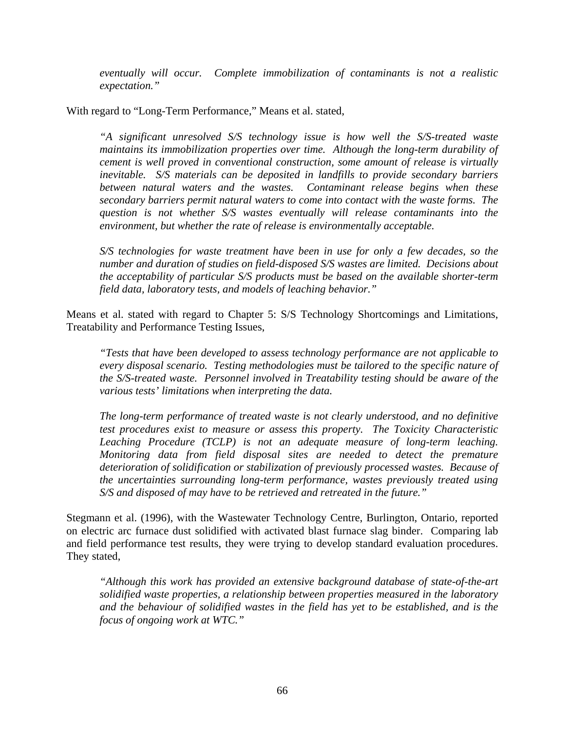*eventually will occur. Complete immobilization of contaminants is not a realistic expectation."*

With regard to "Long-Term Performance," Means et al. stated,

*"A significant unresolved S/S technology issue is how well the S/S-treated waste maintains its immobilization properties over time. Although the long-term durability of cement is well proved in conventional construction, some amount of release is virtually inevitable. S/S materials can be deposited in landfills to provide secondary barriers between natural waters and the wastes. Contaminant release begins when these secondary barriers permit natural waters to come into contact with the waste forms. The question is not whether S/S wastes eventually will release contaminants into the environment, but whether the rate of release is environmentally acceptable.* 

*S/S technologies for waste treatment have been in use for only a few decades, so the number and duration of studies on field-disposed S/S wastes are limited. Decisions about the acceptability of particular S/S products must be based on the available shorter-term field data, laboratory tests, and models of leaching behavior."*

Means et al. stated with regard to Chapter 5: S/S Technology Shortcomings and Limitations, Treatability and Performance Testing Issues,

*"Tests that have been developed to assess technology performance are not applicable to every disposal scenario. Testing methodologies must be tailored to the specific nature of the S/S-treated waste. Personnel involved in Treatability testing should be aware of the various tests' limitations when interpreting the data.* 

*The long-term performance of treated waste is not clearly understood, and no definitive test procedures exist to measure or assess this property. The Toxicity Characteristic Leaching Procedure (TCLP) is not an adequate measure of long-term leaching. Monitoring data from field disposal sites are needed to detect the premature deterioration of solidification or stabilization of previously processed wastes. Because of the uncertainties surrounding long-term performance, wastes previously treated using S/S and disposed of may have to be retrieved and retreated in the future."* 

Stegmann et al. (1996), with the Wastewater Technology Centre, Burlington, Ontario, reported on electric arc furnace dust solidified with activated blast furnace slag binder. Comparing lab and field performance test results, they were trying to develop standard evaluation procedures. They stated,

*"Although this work has provided an extensive background database of state-of-the-art solidified waste properties, a relationship between properties measured in the laboratory and the behaviour of solidified wastes in the field has yet to be established, and is the focus of ongoing work at WTC."*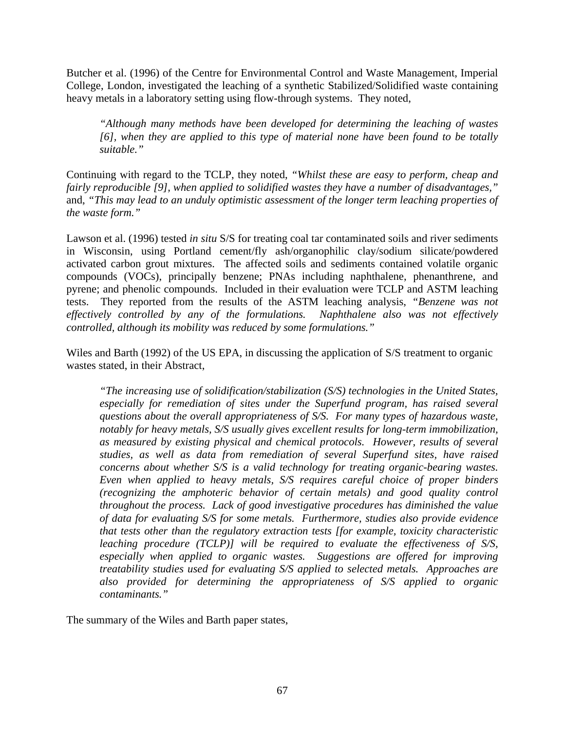Butcher et al. (1996) of the Centre for Environmental Control and Waste Management, Imperial College, London, investigated the leaching of a synthetic Stabilized/Solidified waste containing heavy metals in a laboratory setting using flow-through systems. They noted,

*"Although many methods have been developed for determining the leaching of wastes [6], when they are applied to this type of material none have been found to be totally suitable."*

Continuing with regard to the TCLP, they noted, *"Whilst these are easy to perform, cheap and fairly reproducible [9], when applied to solidified wastes they have a number of disadvantages,"* and, *"This may lead to an unduly optimistic assessment of the longer term leaching properties of the waste form."*

Lawson et al. (1996) tested *in situ* S/S for treating coal tar contaminated soils and river sediments in Wisconsin, using Portland cement/fly ash/organophilic clay/sodium silicate/powdered activated carbon grout mixtures. The affected soils and sediments contained volatile organic compounds (VOCs), principally benzene; PNAs including naphthalene, phenanthrene, and pyrene; and phenolic compounds. Included in their evaluation were TCLP and ASTM leaching tests. They reported from the results of the ASTM leaching analysis, *"Benzene was not effectively controlled by any of the formulations. Naphthalene also was not effectively controlled, although its mobility was reduced by some formulations."* 

Wiles and Barth (1992) of the US EPA, in discussing the application of S/S treatment to organic wastes stated, in their Abstract,

*"The increasing use of solidification/stabilization (S/S) technologies in the United States,*  especially for remediation of sites under the Superfund program, has raised several *questions about the overall appropriateness of S/S. For many types of hazardous waste, notably for heavy metals, S/S usually gives excellent results for long-term immobilization, as measured by existing physical and chemical protocols. However, results of several studies, as well as data from remediation of several Superfund sites, have raised concerns about whether S/S is a valid technology for treating organic-bearing wastes. Even when applied to heavy metals, S/S requires careful choice of proper binders (recognizing the amphoteric behavior of certain metals) and good quality control throughout the process. Lack of good investigative procedures has diminished the value of data for evaluating S/S for some metals. Furthermore, studies also provide evidence that tests other than the regulatory extraction tests [for example, toxicity characteristic leaching procedure (TCLP)] will be required to evaluate the effectiveness of S/S, especially when applied to organic wastes. Suggestions are offered for improving treatability studies used for evaluating S/S applied to selected metals. Approaches are also provided for determining the appropriateness of S/S applied to organic contaminants."* 

The summary of the Wiles and Barth paper states,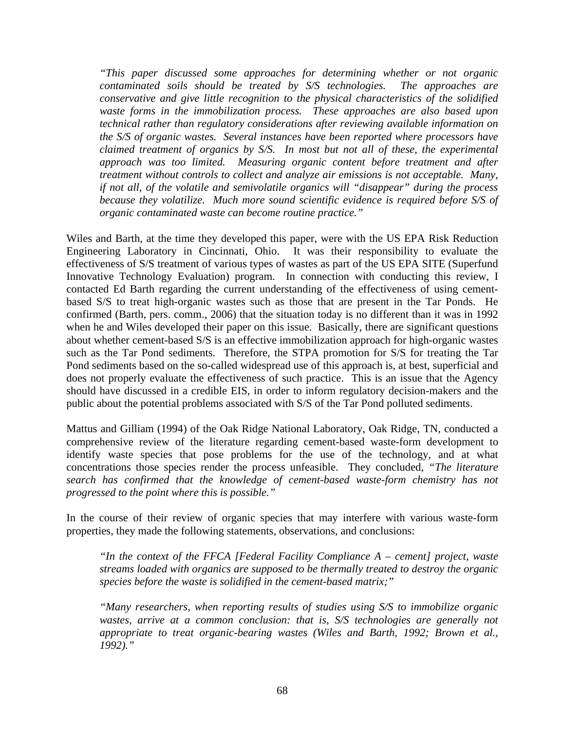*"This paper discussed some approaches for determining whether or not organic contaminated soils should be treated by S/S technologies. The approaches are conservative and give little recognition to the physical characteristics of the solidified waste forms in the immobilization process. These approaches are also based upon technical rather than regulatory considerations after reviewing available information on the S/S of organic wastes. Several instances have been reported where processors have claimed treatment of organics by S/S. In most but not all of these, the experimental approach was too limited. Measuring organic content before treatment and after treatment without controls to collect and analyze air emissions is not acceptable. Many, if not all, of the volatile and semivolatile organics will "disappear" during the process because they volatilize. Much more sound scientific evidence is required before S/S of organic contaminated waste can become routine practice."* 

Wiles and Barth, at the time they developed this paper, were with the US EPA Risk Reduction Engineering Laboratory in Cincinnati, Ohio. It was their responsibility to evaluate the effectiveness of S/S treatment of various types of wastes as part of the US EPA SITE (Superfund Innovative Technology Evaluation) program. In connection with conducting this review, I contacted Ed Barth regarding the current understanding of the effectiveness of using cementbased S/S to treat high-organic wastes such as those that are present in the Tar Ponds. He confirmed (Barth, pers. comm., 2006) that the situation today is no different than it was in 1992 when he and Wiles developed their paper on this issue. Basically, there are significant questions about whether cement-based S/S is an effective immobilization approach for high-organic wastes such as the Tar Pond sediments. Therefore, the STPA promotion for S/S for treating the Tar Pond sediments based on the so-called widespread use of this approach is, at best, superficial and does not properly evaluate the effectiveness of such practice. This is an issue that the Agency should have discussed in a credible EIS, in order to inform regulatory decision-makers and the public about the potential problems associated with S/S of the Tar Pond polluted sediments.

Mattus and Gilliam (1994) of the Oak Ridge National Laboratory, Oak Ridge, TN, conducted a comprehensive review of the literature regarding cement-based waste-form development to identify waste species that pose problems for the use of the technology, and at what concentrations those species render the process unfeasible. They concluded, *"The literature search has confirmed that the knowledge of cement-based waste-form chemistry has not progressed to the point where this is possible."* 

In the course of their review of organic species that may interfere with various waste-form properties, they made the following statements, observations, and conclusions:

*"In the context of the FFCA [Federal Facility Compliance A – cement] project, waste streams loaded with organics are supposed to be thermally treated to destroy the organic species before the waste is solidified in the cement-based matrix;"* 

*"Many researchers, when reporting results of studies using S/S to immobilize organic wastes, arrive at a common conclusion: that is, S/S technologies are generally not appropriate to treat organic-bearing wastes (Wiles and Barth, 1992; Brown et al., 1992)."*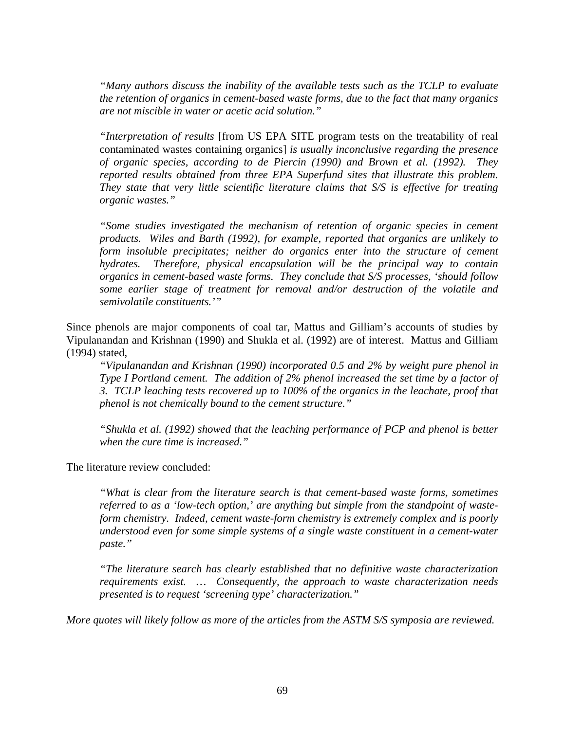*"Many authors discuss the inability of the available tests such as the TCLP to evaluate the retention of organics in cement-based waste forms, due to the fact that many organics are not miscible in water or acetic acid solution."* 

*"Interpretation of results* [from US EPA SITE program tests on the treatability of real contaminated wastes containing organics] *is usually inconclusive regarding the presence of organic species, according to de Piercin (1990) and Brown et al. (1992). They reported results obtained from three EPA Superfund sites that illustrate this problem. They state that very little scientific literature claims that S/S is effective for treating organic wastes."*

*"Some studies investigated the mechanism of retention of organic species in cement products. Wiles and Barth (1992), for example, reported that organics are unlikely to form insoluble precipitates; neither do organics enter into the structure of cement hydrates. Therefore, physical encapsulation will be the principal way to contain organics in cement-based waste forms. They conclude that S/S processes, 'should follow some earlier stage of treatment for removal and/or destruction of the volatile and semivolatile constituents.'"* 

Since phenols are major components of coal tar, Mattus and Gilliam's accounts of studies by Vipulanandan and Krishnan (1990) and Shukla et al. (1992) are of interest. Mattus and Gilliam (1994) stated,

*"Vipulanandan and Krishnan (1990) incorporated 0.5 and 2% by weight pure phenol in Type I Portland cement. The addition of 2% phenol increased the set time by a factor of 3. TCLP leaching tests recovered up to 100% of the organics in the leachate, proof that phenol is not chemically bound to the cement structure."* 

*"Shukla et al. (1992) showed that the leaching performance of PCP and phenol is better when the cure time is increased."* 

The literature review concluded:

*"What is clear from the literature search is that cement-based waste forms, sometimes referred to as a 'low-tech option,' are anything but simple from the standpoint of wasteform chemistry. Indeed, cement waste-form chemistry is extremely complex and is poorly understood even for some simple systems of a single waste constituent in a cement-water paste."* 

*"The literature search has clearly established that no definitive waste characterization requirements exist. … Consequently, the approach to waste characterization needs presented is to request 'screening type' characterization."*

*More quotes will likely follow as more of the articles from the ASTM S/S symposia are reviewed.*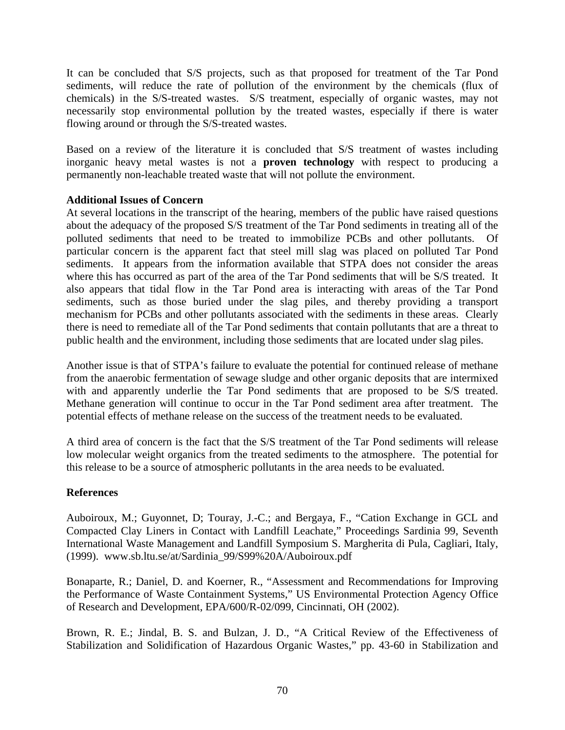It can be concluded that S/S projects, such as that proposed for treatment of the Tar Pond sediments, will reduce the rate of pollution of the environment by the chemicals (flux of chemicals) in the S/S-treated wastes. S/S treatment, especially of organic wastes, may not necessarily stop environmental pollution by the treated wastes, especially if there is water flowing around or through the S/S-treated wastes.

Based on a review of the literature it is concluded that S/S treatment of wastes including inorganic heavy metal wastes is not a **proven technology** with respect to producing a permanently non-leachable treated waste that will not pollute the environment.

# **Additional Issues of Concern**

At several locations in the transcript of the hearing, members of the public have raised questions about the adequacy of the proposed S/S treatment of the Tar Pond sediments in treating all of the polluted sediments that need to be treated to immobilize PCBs and other pollutants. Of particular concern is the apparent fact that steel mill slag was placed on polluted Tar Pond sediments. It appears from the information available that STPA does not consider the areas where this has occurred as part of the area of the Tar Pond sediments that will be S/S treated. It also appears that tidal flow in the Tar Pond area is interacting with areas of the Tar Pond sediments, such as those buried under the slag piles, and thereby providing a transport mechanism for PCBs and other pollutants associated with the sediments in these areas. Clearly there is need to remediate all of the Tar Pond sediments that contain pollutants that are a threat to public health and the environment, including those sediments that are located under slag piles.

Another issue is that of STPA's failure to evaluate the potential for continued release of methane from the anaerobic fermentation of sewage sludge and other organic deposits that are intermixed with and apparently underlie the Tar Pond sediments that are proposed to be S/S treated. Methane generation will continue to occur in the Tar Pond sediment area after treatment. The potential effects of methane release on the success of the treatment needs to be evaluated.

A third area of concern is the fact that the S/S treatment of the Tar Pond sediments will release low molecular weight organics from the treated sediments to the atmosphere. The potential for this release to be a source of atmospheric pollutants in the area needs to be evaluated.

## **References**

Auboiroux, M.; Guyonnet, D; Touray, J.-C.; and Bergaya, F., "Cation Exchange in GCL and Compacted Clay Liners in Contact with Landfill Leachate," Proceedings Sardinia 99, Seventh International Waste Management and Landfill Symposium S. Margherita di Pula, Cagliari, Italy, (1999). www.sb.ltu.se/at/Sardinia\_99/S99%20A/Auboiroux.pdf

Bonaparte, R.; Daniel, D. and Koerner, R., "Assessment and Recommendations for Improving the Performance of Waste Containment Systems," US Environmental Protection Agency Office of Research and Development, EPA/600/R-02/099, Cincinnati, OH (2002).

Brown, R. E.; Jindal, B. S. and Bulzan, J. D., "A Critical Review of the Effectiveness of Stabilization and Solidification of Hazardous Organic Wastes," pp. 43-60 in Stabilization and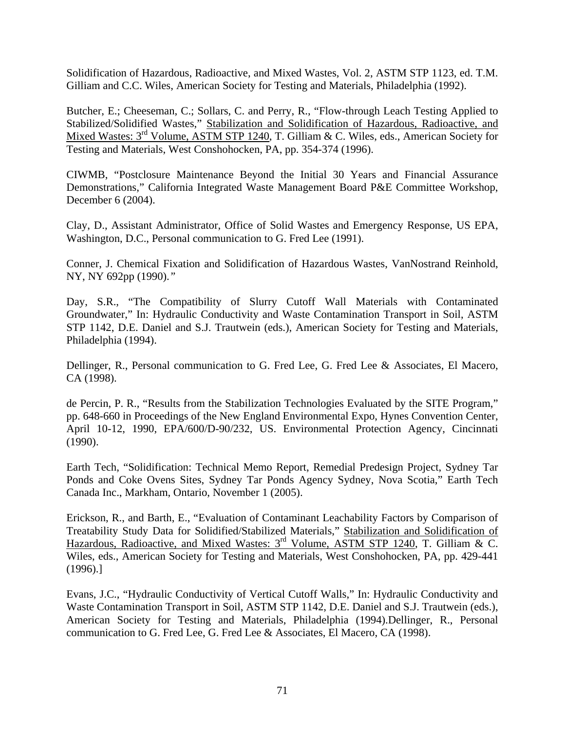Solidification of Hazardous, Radioactive, and Mixed Wastes, Vol. 2, ASTM STP 1123, ed. T.M. Gilliam and C.C. Wiles, American Society for Testing and Materials, Philadelphia (1992).

Butcher, E.; Cheeseman, C.; Sollars, C. and Perry, R., "Flow-through Leach Testing Applied to Stabilized/Solidified Wastes," Stabilization and Solidification of Hazardous, Radioactive, and Mixed Wastes: 3<sup>rd</sup> Volume, ASTM STP 1240, T. Gilliam & C. Wiles, eds., American Society for Testing and Materials, West Conshohocken, PA, pp. 354-374 (1996).

CIWMB, "Postclosure Maintenance Beyond the Initial 30 Years and Financial Assurance Demonstrations," California Integrated Waste Management Board P&E Committee Workshop, December 6 (2004).

Clay, D., Assistant Administrator, Office of Solid Wastes and Emergency Response, US EPA, Washington, D.C., Personal communication to G. Fred Lee (1991).

Conner, J. Chemical Fixation and Solidification of Hazardous Wastes, VanNostrand Reinhold, NY, NY 692pp (1990).*"* 

Day, S.R., "The Compatibility of Slurry Cutoff Wall Materials with Contaminated Groundwater," In: Hydraulic Conductivity and Waste Contamination Transport in Soil, ASTM STP 1142, D.E. Daniel and S.J. Trautwein (eds.), American Society for Testing and Materials, Philadelphia (1994).

Dellinger, R., Personal communication to G. Fred Lee, G. Fred Lee & Associates, El Macero, CA (1998).

de Percin, P. R., "Results from the Stabilization Technologies Evaluated by the SITE Program," pp. 648-660 in Proceedings of the New England Environmental Expo, Hynes Convention Center, April 10-12, 1990, EPA/600/D-90/232, US. Environmental Protection Agency, Cincinnati (1990).

Earth Tech, "Solidification: Technical Memo Report, Remedial Predesign Project, Sydney Tar Ponds and Coke Ovens Sites, Sydney Tar Ponds Agency Sydney, Nova Scotia," Earth Tech Canada Inc., Markham, Ontario, November 1 (2005).

Erickson, R., and Barth, E., "Evaluation of Contaminant Leachability Factors by Comparison of Treatability Study Data for Solidified/Stabilized Materials," Stabilization and Solidification of Hazardous, Radioactive, and Mixed Wastes: 3<sup>rd</sup> Volume, ASTM STP 1240, T. Gilliam & C. Wiles, eds., American Society for Testing and Materials, West Conshohocken, PA, pp. 429-441 (1996).]

Evans, J.C., "Hydraulic Conductivity of Vertical Cutoff Walls," In: Hydraulic Conductivity and Waste Contamination Transport in Soil, ASTM STP 1142, D.E. Daniel and S.J. Trautwein (eds.), American Society for Testing and Materials, Philadelphia (1994).Dellinger, R., Personal communication to G. Fred Lee, G. Fred Lee & Associates, El Macero, CA (1998).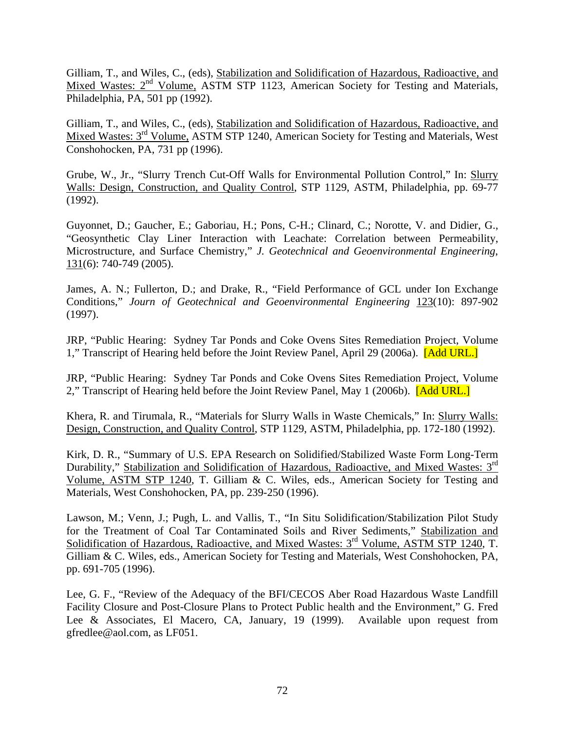Gilliam, T., and Wiles, C., (eds), Stabilization and Solidification of Hazardous, Radioactive, and Mixed Wastes: 2<sup>nd</sup> Volume, ASTM STP 1123, American Society for Testing and Materials, Philadelphia, PA, 501 pp (1992).

Gilliam, T., and Wiles, C., (eds), Stabilization and Solidification of Hazardous, Radioactive, and Mixed Wastes: 3rd Volume, ASTM STP 1240, American Society for Testing and Materials, West Conshohocken, PA, 731 pp (1996).

Grube, W., Jr., "Slurry Trench Cut-Off Walls for Environmental Pollution Control," In: Slurry Walls: Design, Construction, and Quality Control, STP 1129, ASTM, Philadelphia, pp. 69-77 (1992).

Guyonnet, D.; Gaucher, E.; Gaboriau, H.; Pons, C-H.; Clinard, C.; Norotte, V. and Didier, G., "Geosynthetic Clay Liner Interaction with Leachate: Correlation between Permeability, Microstructure, and Surface Chemistry," *J. Geotechnical and Geoenvironmental Engineering*, 131(6): 740-749 (2005).

James, A. N.; Fullerton, D.; and Drake, R., "Field Performance of GCL under Ion Exchange Conditions," *Journ of Geotechnical and Geoenvironmental Engineering* 123(10): 897-902 (1997).

JRP, "Public Hearing: Sydney Tar Ponds and Coke Ovens Sites Remediation Project, Volume 1," Transcript of Hearing held before the Joint Review Panel, April 29 (2006a). [Add URL.]

JRP, "Public Hearing: Sydney Tar Ponds and Coke Ovens Sites Remediation Project, Volume 2," Transcript of Hearing held before the Joint Review Panel, May 1 (2006b). [Add URL.]

Khera, R. and Tirumala, R., "Materials for Slurry Walls in Waste Chemicals," In: Slurry Walls: Design, Construction, and Quality Control, STP 1129, ASTM, Philadelphia, pp. 172-180 (1992).

Kirk, D. R., "Summary of U.S. EPA Research on Solidified/Stabilized Waste Form Long-Term Durability," Stabilization and Solidification of Hazardous, Radioactive, and Mixed Wastes: 3<sup>rd</sup> Volume, ASTM STP 1240, T. Gilliam & C. Wiles, eds., American Society for Testing and Materials, West Conshohocken, PA, pp. 239-250 (1996).

Lawson, M.; Venn, J.; Pugh, L. and Vallis, T., "In Situ Solidification/Stabilization Pilot Study for the Treatment of Coal Tar Contaminated Soils and River Sediments," Stabilization and Solidification of Hazardous, Radioactive, and Mixed Wastes: 3<sup>rd</sup> Volume, ASTM STP 1240, T. Gilliam & C. Wiles, eds., American Society for Testing and Materials, West Conshohocken, PA, pp. 691-705 (1996).

Lee, G. F., "Review of the Adequacy of the BFI/CECOS Aber Road Hazardous Waste Landfill Facility Closure and Post-Closure Plans to Protect Public health and the Environment," G. Fred Lee & Associates, El Macero, CA, January, 19 (1999). Available upon request from gfredlee@aol.com, as LF051.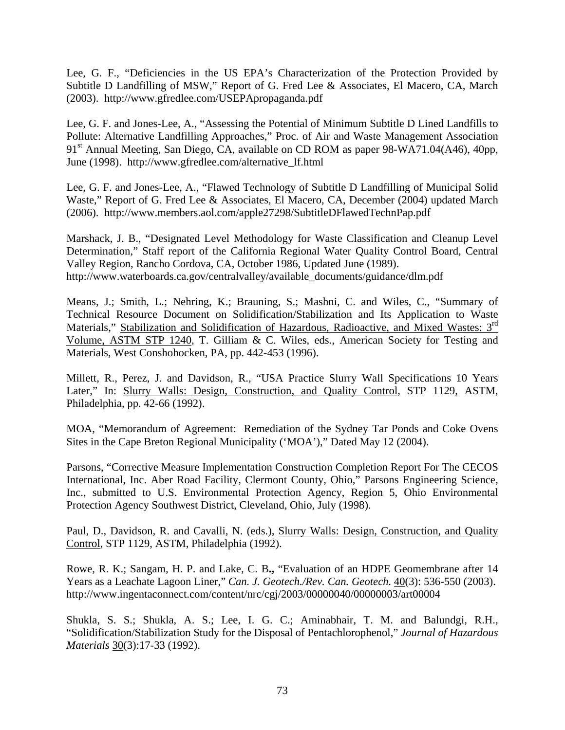Lee, G. F., "Deficiencies in the US EPA's Characterization of the Protection Provided by Subtitle D Landfilling of MSW," Report of G. Fred Lee & Associates, El Macero, CA, March (2003). http://www.gfredlee.com/USEPApropaganda.pdf

Lee, G. F. and Jones-Lee, A., "Assessing the Potential of Minimum Subtitle D Lined Landfills to Pollute: Alternative Landfilling Approaches," Proc. of Air and Waste Management Association 91<sup>st</sup> Annual Meeting, San Diego, CA, available on CD ROM as paper 98-WA71.04(A46), 40pp, June (1998). http://www.gfredlee.com/alternative\_lf.html

Lee, G. F. and Jones-Lee, A., "Flawed Technology of Subtitle D Landfilling of Municipal Solid Waste," Report of G. Fred Lee & Associates, El Macero, CA, December (2004) updated March (2006). http://www.members.aol.com/apple27298/SubtitleDFlawedTechnPap.pdf

Marshack, J. B., "Designated Level Methodology for Waste Classification and Cleanup Level Determination," Staff report of the California Regional Water Quality Control Board, Central Valley Region, Rancho Cordova, CA, October 1986, Updated June (1989). http://www.waterboards.ca.gov/centralvalley/available\_documents/guidance/dlm.pdf

Means, J.; Smith, L.; Nehring, K.; Brauning, S.; Mashni, C. and Wiles, C., "Summary of Technical Resource Document on Solidification/Stabilization and Its Application to Waste Materials," Stabilization and Solidification of Hazardous, Radioactive, and Mixed Wastes: 3<sup>rd</sup> Volume, ASTM STP 1240, T. Gilliam & C. Wiles, eds., American Society for Testing and Materials, West Conshohocken, PA, pp. 442-453 (1996).

Millett, R., Perez, J. and Davidson, R., "USA Practice Slurry Wall Specifications 10 Years Later," In: Slurry Walls: Design, Construction, and Quality Control, STP 1129, ASTM, Philadelphia, pp. 42-66 (1992).

MOA, "Memorandum of Agreement: Remediation of the Sydney Tar Ponds and Coke Ovens Sites in the Cape Breton Regional Municipality ('MOA')," Dated May 12 (2004).

Parsons, "Corrective Measure Implementation Construction Completion Report For The CECOS International, Inc. Aber Road Facility, Clermont County, Ohio," Parsons Engineering Science, Inc., submitted to U.S. Environmental Protection Agency, Region 5, Ohio Environmental Protection Agency Southwest District, Cleveland, Ohio, July (1998).

Paul, D., Davidson, R. and Cavalli, N. (eds.), Slurry Walls: Design, Construction, and Quality Control, STP 1129, ASTM, Philadelphia (1992).

Rowe, R. K.; Sangam, H. P. and Lake, C. B**.,** "Evaluation of an HDPE Geomembrane after 14 Years as a Leachate Lagoon Liner," *Can. J. Geotech./Rev. Can. Geotech.* 40(3): 536-550 (2003). http://www.ingentaconnect.com/content/nrc/cgj/2003/00000040/00000003/art00004

Shukla, S. S.; Shukla, A. S.; Lee, I. G. C.; Aminabhair, T. M. and Balundgi, R.H., "Solidification/Stabilization Study for the Disposal of Pentachlorophenol," *Journal of Hazardous Materials* 30(3):17-33 (1992).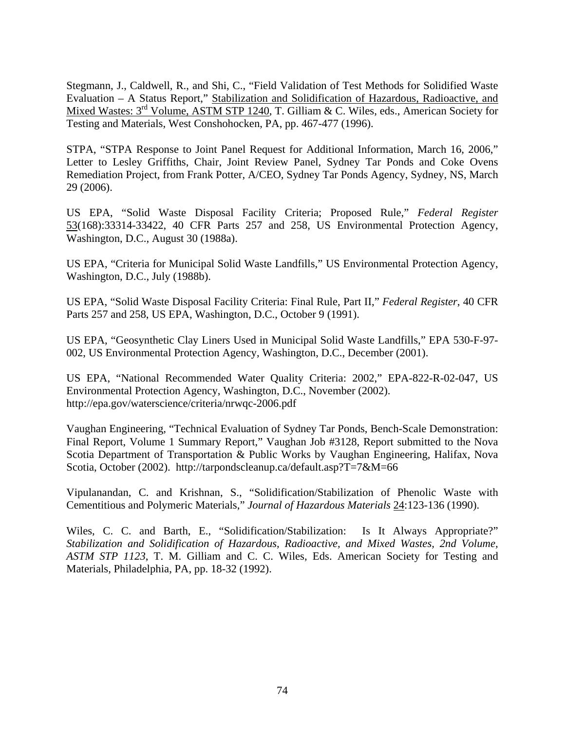Stegmann, J., Caldwell, R., and Shi, C., "Field Validation of Test Methods for Solidified Waste Evaluation – A Status Report," Stabilization and Solidification of Hazardous, Radioactive, and Mixed Wastes:  $3<sup>rd</sup>$  Volume, ASTM STP 1240, T. Gilliam & C. Wiles, eds., American Society for Testing and Materials, West Conshohocken, PA, pp. 467-477 (1996).

STPA, "STPA Response to Joint Panel Request for Additional Information, March 16, 2006," Letter to Lesley Griffiths, Chair, Joint Review Panel, Sydney Tar Ponds and Coke Ovens Remediation Project, from Frank Potter, A/CEO, Sydney Tar Ponds Agency, Sydney, NS, March 29 (2006).

US EPA, "Solid Waste Disposal Facility Criteria; Proposed Rule," *Federal Register*  53(168):33314-33422, 40 CFR Parts 257 and 258, US Environmental Protection Agency, Washington, D.C., August 30 (1988a).

US EPA, "Criteria for Municipal Solid Waste Landfills," US Environmental Protection Agency, Washington, D.C., July (1988b).

US EPA, "Solid Waste Disposal Facility Criteria: Final Rule, Part II," *Federal Register*, 40 CFR Parts 257 and 258, US EPA, Washington, D.C., October 9 (1991).

US EPA, "Geosynthetic Clay Liners Used in Municipal Solid Waste Landfills," EPA 530-F-97- 002, US Environmental Protection Agency, Washington, D.C., December (2001).

US EPA, "National Recommended Water Quality Criteria: 2002," EPA-822-R-02-047, US Environmental Protection Agency, Washington, D.C., November (2002). http://epa.gov/waterscience/criteria/nrwqc-2006.pdf

Vaughan Engineering, "Technical Evaluation of Sydney Tar Ponds, Bench-Scale Demonstration: Final Report, Volume 1 Summary Report," Vaughan Job #3128, Report submitted to the Nova Scotia Department of Transportation & Public Works by Vaughan Engineering, Halifax, Nova Scotia, October (2002). http://tarpondscleanup.ca/default.asp?T=7&M=66

Vipulanandan, C. and Krishnan, S., "Solidification/Stabilization of Phenolic Waste with Cementitious and Polymeric Materials," *Journal of Hazardous Materials* 24:123-136 (1990).

Wiles, C. C. and Barth, E., "Solidification/Stabilization: Is It Always Appropriate?" *Stabilization and Solidification of Hazardous, Radioactive, and Mixed Wastes, 2nd Volume, ASTM STP 1123*, T. M. Gilliam and C. C. Wiles, Eds. American Society for Testing and Materials, Philadelphia, PA, pp. 18-32 (1992).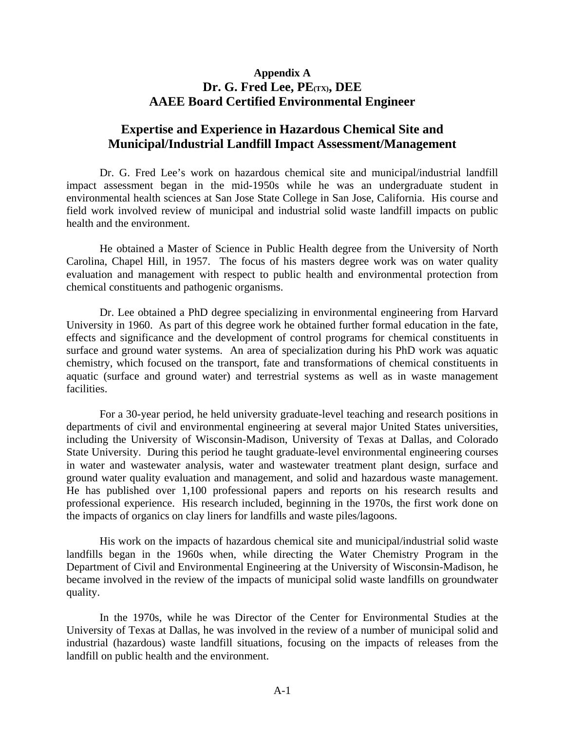# **Appendix A Dr. G. Fred Lee, PE(TX), DEE AAEE Board Certified Environmental Engineer**

# **Expertise and Experience in Hazardous Chemical Site and Municipal/Industrial Landfill Impact Assessment/Management**

Dr. G. Fred Lee's work on hazardous chemical site and municipal/industrial landfill impact assessment began in the mid-1950s while he was an undergraduate student in environmental health sciences at San Jose State College in San Jose, California. His course and field work involved review of municipal and industrial solid waste landfill impacts on public health and the environment.

 He obtained a Master of Science in Public Health degree from the University of North Carolina, Chapel Hill, in 1957. The focus of his masters degree work was on water quality evaluation and management with respect to public health and environmental protection from chemical constituents and pathogenic organisms.

 Dr. Lee obtained a PhD degree specializing in environmental engineering from Harvard University in 1960. As part of this degree work he obtained further formal education in the fate, effects and significance and the development of control programs for chemical constituents in surface and ground water systems. An area of specialization during his PhD work was aquatic chemistry, which focused on the transport, fate and transformations of chemical constituents in aquatic (surface and ground water) and terrestrial systems as well as in waste management facilities.

 For a 30-year period, he held university graduate-level teaching and research positions in departments of civil and environmental engineering at several major United States universities, including the University of Wisconsin-Madison, University of Texas at Dallas, and Colorado State University. During this period he taught graduate-level environmental engineering courses in water and wastewater analysis, water and wastewater treatment plant design, surface and ground water quality evaluation and management, and solid and hazardous waste management. He has published over 1,100 professional papers and reports on his research results and professional experience. His research included, beginning in the 1970s, the first work done on the impacts of organics on clay liners for landfills and waste piles/lagoons.

 His work on the impacts of hazardous chemical site and municipal/industrial solid waste landfills began in the 1960s when, while directing the Water Chemistry Program in the Department of Civil and Environmental Engineering at the University of Wisconsin-Madison, he became involved in the review of the impacts of municipal solid waste landfills on groundwater quality.

In the 1970s, while he was Director of the Center for Environmental Studies at the University of Texas at Dallas, he was involved in the review of a number of municipal solid and industrial (hazardous) waste landfill situations, focusing on the impacts of releases from the landfill on public health and the environment.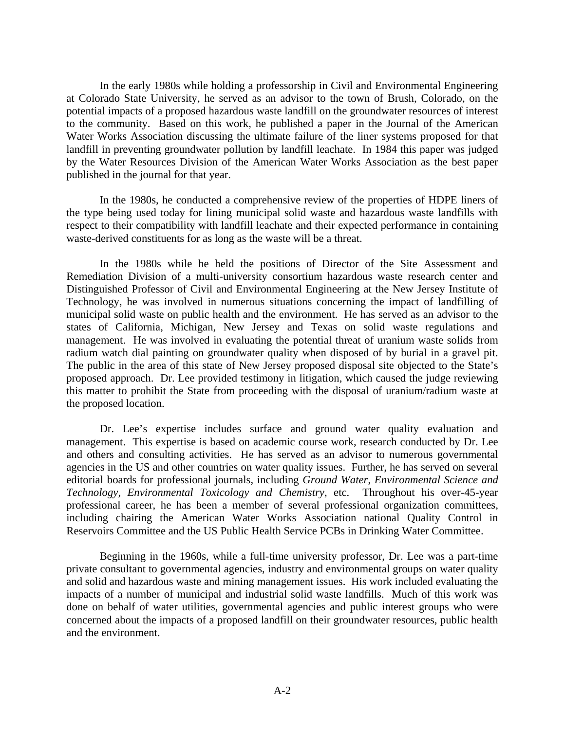In the early 1980s while holding a professorship in Civil and Environmental Engineering at Colorado State University, he served as an advisor to the town of Brush, Colorado, on the potential impacts of a proposed hazardous waste landfill on the groundwater resources of interest to the community. Based on this work, he published a paper in the Journal of the American Water Works Association discussing the ultimate failure of the liner systems proposed for that landfill in preventing groundwater pollution by landfill leachate. In 1984 this paper was judged by the Water Resources Division of the American Water Works Association as the best paper published in the journal for that year.

 In the 1980s, he conducted a comprehensive review of the properties of HDPE liners of the type being used today for lining municipal solid waste and hazardous waste landfills with respect to their compatibility with landfill leachate and their expected performance in containing waste-derived constituents for as long as the waste will be a threat.

 In the 1980s while he held the positions of Director of the Site Assessment and Remediation Division of a multi-university consortium hazardous waste research center and Distinguished Professor of Civil and Environmental Engineering at the New Jersey Institute of Technology, he was involved in numerous situations concerning the impact of landfilling of municipal solid waste on public health and the environment. He has served as an advisor to the states of California, Michigan, New Jersey and Texas on solid waste regulations and management. He was involved in evaluating the potential threat of uranium waste solids from radium watch dial painting on groundwater quality when disposed of by burial in a gravel pit. The public in the area of this state of New Jersey proposed disposal site objected to the State's proposed approach. Dr. Lee provided testimony in litigation, which caused the judge reviewing this matter to prohibit the State from proceeding with the disposal of uranium/radium waste at the proposed location.

 Dr. Lee's expertise includes surface and ground water quality evaluation and management. This expertise is based on academic course work, research conducted by Dr. Lee and others and consulting activities. He has served as an advisor to numerous governmental agencies in the US and other countries on water quality issues. Further, he has served on several editorial boards for professional journals, including *Ground Water*, *Environmental Science and Technology*, *Environmental Toxicology and Chemistry*, etc. Throughout his over-45-year professional career, he has been a member of several professional organization committees, including chairing the American Water Works Association national Quality Control in Reservoirs Committee and the US Public Health Service PCBs in Drinking Water Committee.

 Beginning in the 1960s, while a full-time university professor, Dr. Lee was a part-time private consultant to governmental agencies, industry and environmental groups on water quality and solid and hazardous waste and mining management issues. His work included evaluating the impacts of a number of municipal and industrial solid waste landfills. Much of this work was done on behalf of water utilities, governmental agencies and public interest groups who were concerned about the impacts of a proposed landfill on their groundwater resources, public health and the environment.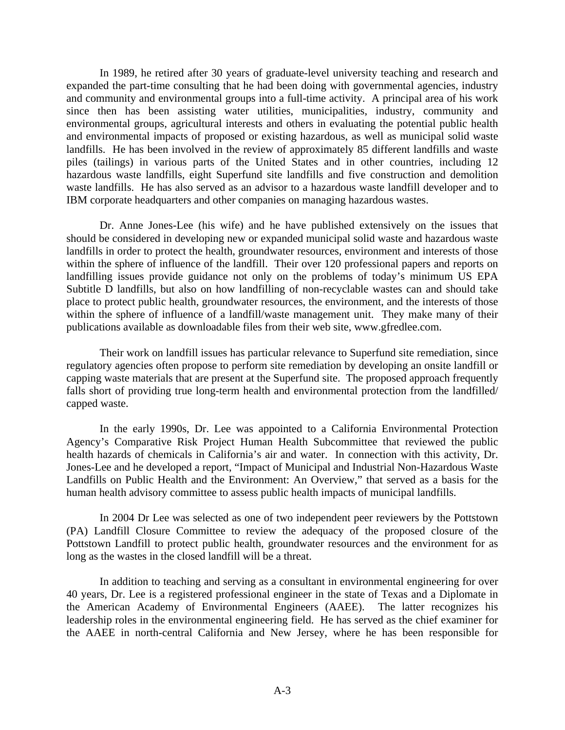In 1989, he retired after 30 years of graduate-level university teaching and research and expanded the part-time consulting that he had been doing with governmental agencies, industry and community and environmental groups into a full-time activity. A principal area of his work since then has been assisting water utilities, municipalities, industry, community and environmental groups, agricultural interests and others in evaluating the potential public health and environmental impacts of proposed or existing hazardous, as well as municipal solid waste landfills. He has been involved in the review of approximately 85 different landfills and waste piles (tailings) in various parts of the United States and in other countries, including 12 hazardous waste landfills, eight Superfund site landfills and five construction and demolition waste landfills. He has also served as an advisor to a hazardous waste landfill developer and to IBM corporate headquarters and other companies on managing hazardous wastes.

 Dr. Anne Jones-Lee (his wife) and he have published extensively on the issues that should be considered in developing new or expanded municipal solid waste and hazardous waste landfills in order to protect the health, groundwater resources, environment and interests of those within the sphere of influence of the landfill. Their over 120 professional papers and reports on landfilling issues provide guidance not only on the problems of today's minimum US EPA Subtitle D landfills, but also on how landfilling of non-recyclable wastes can and should take place to protect public health, groundwater resources, the environment, and the interests of those within the sphere of influence of a landfill/waste management unit. They make many of their publications available as downloadable files from their web site, www.gfredlee.com.

 Their work on landfill issues has particular relevance to Superfund site remediation, since regulatory agencies often propose to perform site remediation by developing an onsite landfill or capping waste materials that are present at the Superfund site. The proposed approach frequently falls short of providing true long-term health and environmental protection from the landfilled/ capped waste.

 In the early 1990s, Dr. Lee was appointed to a California Environmental Protection Agency's Comparative Risk Project Human Health Subcommittee that reviewed the public health hazards of chemicals in California's air and water. In connection with this activity, Dr. Jones-Lee and he developed a report, "Impact of Municipal and Industrial Non-Hazardous Waste Landfills on Public Health and the Environment: An Overview," that served as a basis for the human health advisory committee to assess public health impacts of municipal landfills.

 In 2004 Dr Lee was selected as one of two independent peer reviewers by the Pottstown (PA) Landfill Closure Committee to review the adequacy of the proposed closure of the Pottstown Landfill to protect public health, groundwater resources and the environment for as long as the wastes in the closed landfill will be a threat.

 In addition to teaching and serving as a consultant in environmental engineering for over 40 years, Dr. Lee is a registered professional engineer in the state of Texas and a Diplomate in the American Academy of Environmental Engineers (AAEE). The latter recognizes his leadership roles in the environmental engineering field. He has served as the chief examiner for the AAEE in north-central California and New Jersey, where he has been responsible for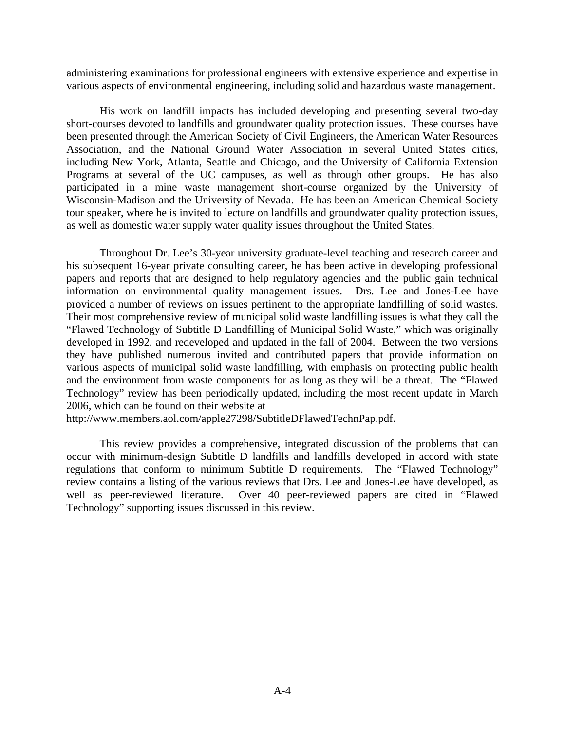administering examinations for professional engineers with extensive experience and expertise in various aspects of environmental engineering, including solid and hazardous waste management.

 His work on landfill impacts has included developing and presenting several two-day short-courses devoted to landfills and groundwater quality protection issues. These courses have been presented through the American Society of Civil Engineers, the American Water Resources Association, and the National Ground Water Association in several United States cities, including New York, Atlanta, Seattle and Chicago, and the University of California Extension Programs at several of the UC campuses, as well as through other groups. He has also participated in a mine waste management short-course organized by the University of Wisconsin-Madison and the University of Nevada. He has been an American Chemical Society tour speaker, where he is invited to lecture on landfills and groundwater quality protection issues, as well as domestic water supply water quality issues throughout the United States.

 Throughout Dr. Lee's 30-year university graduate-level teaching and research career and his subsequent 16-year private consulting career, he has been active in developing professional papers and reports that are designed to help regulatory agencies and the public gain technical information on environmental quality management issues. Drs. Lee and Jones-Lee have provided a number of reviews on issues pertinent to the appropriate landfilling of solid wastes. Their most comprehensive review of municipal solid waste landfilling issues is what they call the "Flawed Technology of Subtitle D Landfilling of Municipal Solid Waste," which was originally developed in 1992, and redeveloped and updated in the fall of 2004. Between the two versions they have published numerous invited and contributed papers that provide information on various aspects of municipal solid waste landfilling, with emphasis on protecting public health and the environment from waste components for as long as they will be a threat. The "Flawed Technology" review has been periodically updated, including the most recent update in March 2006, which can be found on their website at

http://www.members.aol.com/apple27298/SubtitleDFlawedTechnPap.pdf.

 This review provides a comprehensive, integrated discussion of the problems that can occur with minimum-design Subtitle D landfills and landfills developed in accord with state regulations that conform to minimum Subtitle D requirements. The "Flawed Technology" review contains a listing of the various reviews that Drs. Lee and Jones-Lee have developed, as well as peer-reviewed literature. Over 40 peer-reviewed papers are cited in "Flawed Technology" supporting issues discussed in this review.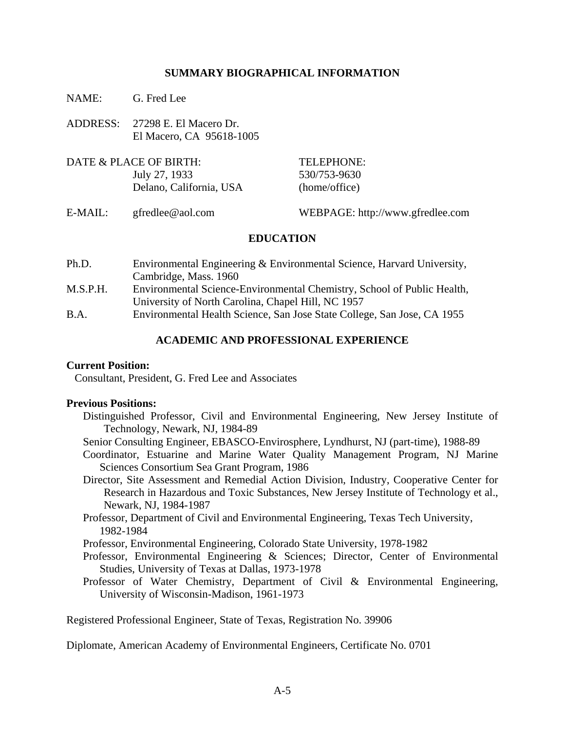#### **SUMMARY BIOGRAPHICAL INFORMATION**

- NAME: G. Fred Lee
- ADDRESS: 27298 E. El Macero Dr. El Macero, CA 95618-1005
- DATE & PLACE OF BIRTH: TELEPHONE: July 27, 1933 530/753-9630 Delano, California, USA (home/office)
- 

E-MAIL: gfredlee@aol.com WEBPAGE: http://www.gfredlee.com

### **EDUCATION**

- Ph.D. Environmental Engineering & Environmental Science, Harvard University, Cambridge, Mass. 1960 M.S.P.H. Environmental Science-Environmental Chemistry, School of Public Health, University of North Carolina, Chapel Hill, NC 1957
- B.A. Environmental Health Science, San Jose State College, San Jose, CA 1955

#### **ACADEMIC AND PROFESSIONAL EXPERIENCE**

#### **Current Position:**

Consultant, President, G. Fred Lee and Associates

#### **Previous Positions:**

- Distinguished Professor, Civil and Environmental Engineering, New Jersey Institute of Technology, Newark, NJ, 1984-89
- Senior Consulting Engineer, EBASCO-Envirosphere, Lyndhurst, NJ (part-time), 1988-89
- Coordinator, Estuarine and Marine Water Quality Management Program, NJ Marine Sciences Consortium Sea Grant Program, 1986
- Director, Site Assessment and Remedial Action Division, Industry, Cooperative Center for Research in Hazardous and Toxic Substances, New Jersey Institute of Technology et al., Newark, NJ, 1984-1987
- Professor, Department of Civil and Environmental Engineering, Texas Tech University, 1982-1984

Professor, Environmental Engineering, Colorado State University, 1978-1982

- Professor, Environmental Engineering & Sciences; Director, Center of Environmental Studies, University of Texas at Dallas, 1973-1978
- Professor of Water Chemistry, Department of Civil & Environmental Engineering, University of Wisconsin-Madison, 1961-1973

Registered Professional Engineer, State of Texas, Registration No. 39906

Diplomate, American Academy of Environmental Engineers, Certificate No. 0701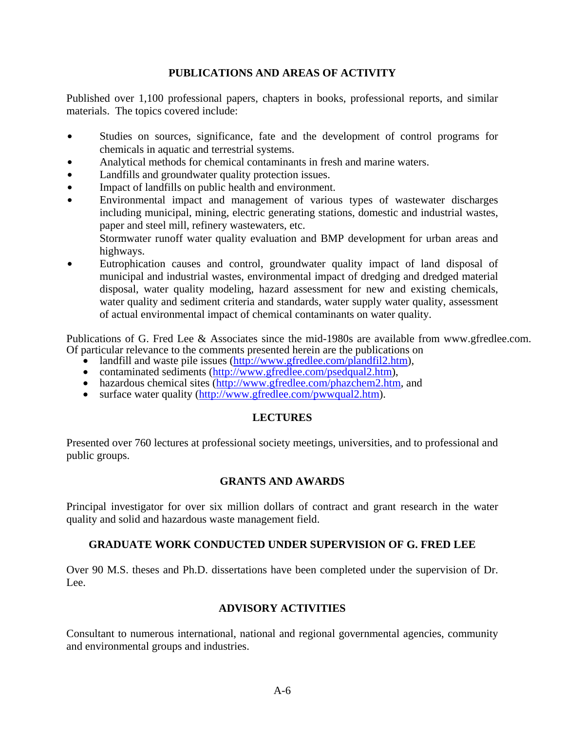## **PUBLICATIONS AND AREAS OF ACTIVITY**

Published over 1,100 professional papers, chapters in books, professional reports, and similar materials. The topics covered include:

- Studies on sources, significance, fate and the development of control programs for chemicals in aquatic and terrestrial systems.
- Analytical methods for chemical contaminants in fresh and marine waters.
- Landfills and groundwater quality protection issues.
- Impact of landfills on public health and environment.
- Environmental impact and management of various types of wastewater discharges including municipal, mining, electric generating stations, domestic and industrial wastes, paper and steel mill, refinery wastewaters, etc.

Stormwater runoff water quality evaluation and BMP development for urban areas and highways.

Eutrophication causes and control, groundwater quality impact of land disposal of municipal and industrial wastes, environmental impact of dredging and dredged material disposal, water quality modeling, hazard assessment for new and existing chemicals, water quality and sediment criteria and standards, water supply water quality, assessment of actual environmental impact of chemical contaminants on water quality.

Publications of G. Fred Lee & Associates since the mid-1980s are available from www.gfredlee.com. Of particular relevance to the comments presented herein are the publications on

- landfill and waste pile issues (http://www.gfredlee.com/plandfil2.htm),
- contaminated sediments (http://www.gfredlee.com/psedqual2.htm),
- hazardous chemical sites (http://www.gfredlee.com/phazchem2.htm, and
- surface water quality (http://www.gfredlee.com/pwwqual2.htm).

### **LECTURES**

Presented over 760 lectures at professional society meetings, universities, and to professional and public groups.

#### **GRANTS AND AWARDS**

Principal investigator for over six million dollars of contract and grant research in the water quality and solid and hazardous waste management field.

#### **GRADUATE WORK CONDUCTED UNDER SUPERVISION OF G. FRED LEE**

Over 90 M.S. theses and Ph.D. dissertations have been completed under the supervision of Dr. Lee.

#### **ADVISORY ACTIVITIES**

Consultant to numerous international, national and regional governmental agencies, community and environmental groups and industries.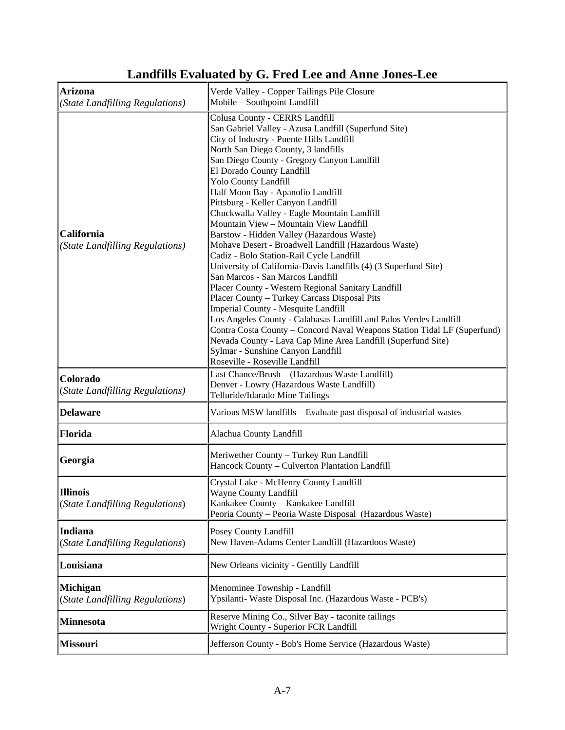| <b>Arizona</b><br>(State Landfilling Regulations)  | Verde Valley - Copper Tailings Pile Closure<br>Mobile - Southpoint Landfill                                                                                                                                                                                                                                                                                                                                                                                                                                                                                                                                                                                                                                                                                                                                                                                                                                                                                                                                                                                                                                                                          |
|----------------------------------------------------|------------------------------------------------------------------------------------------------------------------------------------------------------------------------------------------------------------------------------------------------------------------------------------------------------------------------------------------------------------------------------------------------------------------------------------------------------------------------------------------------------------------------------------------------------------------------------------------------------------------------------------------------------------------------------------------------------------------------------------------------------------------------------------------------------------------------------------------------------------------------------------------------------------------------------------------------------------------------------------------------------------------------------------------------------------------------------------------------------------------------------------------------------|
| California<br>(State Landfilling Regulations)      | Colusa County - CERRS Landfill<br>San Gabriel Valley - Azusa Landfill (Superfund Site)<br>City of Industry - Puente Hills Landfill<br>North San Diego County, 3 landfills<br>San Diego County - Gregory Canyon Landfill<br>El Dorado County Landfill<br><b>Yolo County Landfill</b><br>Half Moon Bay - Apanolio Landfill<br>Pittsburg - Keller Canyon Landfill<br>Chuckwalla Valley - Eagle Mountain Landfill<br>Mountain View - Mountain View Landfill<br>Barstow - Hidden Valley (Hazardous Waste)<br>Mohave Desert - Broadwell Landfill (Hazardous Waste)<br>Cadiz - Bolo Station-Rail Cycle Landfill<br>University of California-Davis Landfills (4) (3 Superfund Site)<br>San Marcos - San Marcos Landfill<br>Placer County - Western Regional Sanitary Landfill<br>Placer County - Turkey Carcass Disposal Pits<br>Imperial County - Mesquite Landfill<br>Los Angeles County - Calabasas Landfill and Palos Verdes Landfill<br>Contra Costa County - Concord Naval Weapons Station Tidal LF (Superfund)<br>Nevada County - Lava Cap Mine Area Landfill (Superfund Site)<br>Sylmar - Sunshine Canyon Landfill<br>Roseville - Roseville Landfill |
| Colorado<br>(State Landfilling Regulations)        | Last Chance/Brush - (Hazardous Waste Landfill)<br>Denver - Lowry (Hazardous Waste Landfill)<br>Telluride/Idarado Mine Tailings                                                                                                                                                                                                                                                                                                                                                                                                                                                                                                                                                                                                                                                                                                                                                                                                                                                                                                                                                                                                                       |
| <b>Delaware</b>                                    | Various MSW landfills – Evaluate past disposal of industrial wastes                                                                                                                                                                                                                                                                                                                                                                                                                                                                                                                                                                                                                                                                                                                                                                                                                                                                                                                                                                                                                                                                                  |
| Florida                                            | Alachua County Landfill                                                                                                                                                                                                                                                                                                                                                                                                                                                                                                                                                                                                                                                                                                                                                                                                                                                                                                                                                                                                                                                                                                                              |
| Georgia                                            | Meriwether County - Turkey Run Landfill<br>Hancock County - Culverton Plantation Landfill                                                                                                                                                                                                                                                                                                                                                                                                                                                                                                                                                                                                                                                                                                                                                                                                                                                                                                                                                                                                                                                            |
| <b>Illinois</b><br>(State Landfilling Regulations) | Crystal Lake - McHenry County Landfill<br>Wayne County Landfill<br>Kankakee County - Kankakee Landfill<br>Peoria County - Peoria Waste Disposal (Hazardous Waste)                                                                                                                                                                                                                                                                                                                                                                                                                                                                                                                                                                                                                                                                                                                                                                                                                                                                                                                                                                                    |
| <b>Indiana</b><br>(State Landfilling Regulations)  | Posey County Landfill<br>New Haven-Adams Center Landfill (Hazardous Waste)                                                                                                                                                                                                                                                                                                                                                                                                                                                                                                                                                                                                                                                                                                                                                                                                                                                                                                                                                                                                                                                                           |
| Louisiana                                          | New Orleans vicinity - Gentilly Landfill                                                                                                                                                                                                                                                                                                                                                                                                                                                                                                                                                                                                                                                                                                                                                                                                                                                                                                                                                                                                                                                                                                             |
| <b>Michigan</b><br>(State Landfilling Regulations) | Menominee Township - Landfill<br>Ypsilanti- Waste Disposal Inc. (Hazardous Waste - PCB's)                                                                                                                                                                                                                                                                                                                                                                                                                                                                                                                                                                                                                                                                                                                                                                                                                                                                                                                                                                                                                                                            |
| <b>Minnesota</b>                                   | Reserve Mining Co., Silver Bay - taconite tailings<br>Wright County - Superior FCR Landfill                                                                                                                                                                                                                                                                                                                                                                                                                                                                                                                                                                                                                                                                                                                                                                                                                                                                                                                                                                                                                                                          |
| <b>Missouri</b>                                    | Jefferson County - Bob's Home Service (Hazardous Waste)                                                                                                                                                                                                                                                                                                                                                                                                                                                                                                                                                                                                                                                                                                                                                                                                                                                                                                                                                                                                                                                                                              |

# **Landfills Evaluated by G. Fred Lee and Anne Jones-Lee**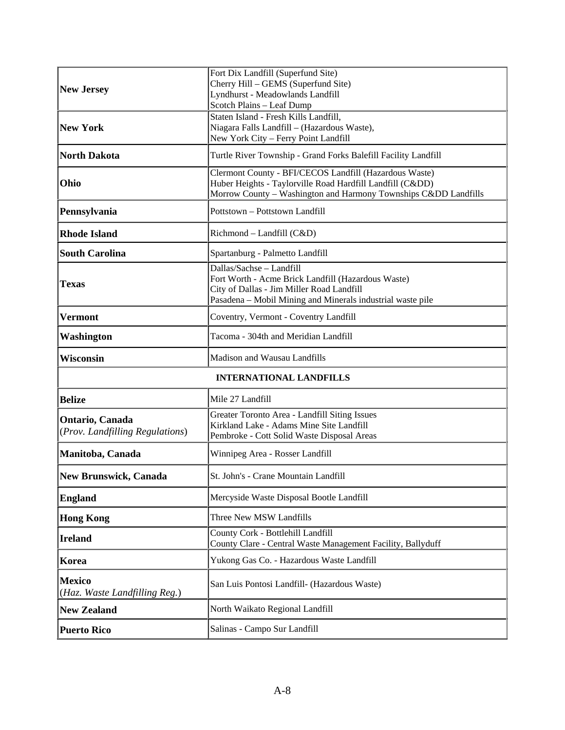| <b>New Jersey</b>                                  | Fort Dix Landfill (Superfund Site)<br>Cherry Hill - GEMS (Superfund Site)<br>Lyndhurst - Meadowlands Landfill<br>Scotch Plains - Leaf Dump                                              |
|----------------------------------------------------|-----------------------------------------------------------------------------------------------------------------------------------------------------------------------------------------|
| <b>New York</b>                                    | Staten Island - Fresh Kills Landfill,<br>Niagara Falls Landfill - (Hazardous Waste),<br>New York City - Ferry Point Landfill                                                            |
| <b>North Dakota</b>                                | Turtle River Township - Grand Forks Balefill Facility Landfill                                                                                                                          |
| Ohio                                               | Clermont County - BFI/CECOS Landfill (Hazardous Waste)<br>Huber Heights - Taylorville Road Hardfill Landfill (Cⅅ)<br>Morrow County - Washington and Harmony Townships Cⅅ Landfills      |
| Pennsylvania                                       | Pottstown - Pottstown Landfill                                                                                                                                                          |
| <b>Rhode Island</b>                                | Richmond – Landfill (C&D)                                                                                                                                                               |
| <b>South Carolina</b>                              | Spartanburg - Palmetto Landfill                                                                                                                                                         |
| Texas                                              | Dallas/Sachse-Landfill<br>Fort Worth - Acme Brick Landfill (Hazardous Waste)<br>City of Dallas - Jim Miller Road Landfill<br>Pasadena - Mobil Mining and Minerals industrial waste pile |
| Vermont                                            | Coventry, Vermont - Coventry Landfill                                                                                                                                                   |
| Washington                                         | Tacoma - 304th and Meridian Landfill                                                                                                                                                    |
| <b>Wisconsin</b>                                   | Madison and Wausau Landfills                                                                                                                                                            |
| <b>INTERNATIONAL LANDFILLS</b>                     |                                                                                                                                                                                         |
| <b>Belize</b>                                      | Mile 27 Landfill                                                                                                                                                                        |
| Ontario, Canada<br>(Prov. Landfilling Regulations) | Greater Toronto Area - Landfill Siting Issues<br>Kirkland Lake - Adams Mine Site Landfill<br>Pembroke - Cott Solid Waste Disposal Areas                                                 |
| Manitoba, Canada                                   | Winnipeg Area - Rosser Landfill                                                                                                                                                         |
| New Brunswick, Canada                              | St. John's - Crane Mountain Landfill                                                                                                                                                    |
| <b>England</b>                                     | Mercyside Waste Disposal Bootle Landfill                                                                                                                                                |
| <b>Hong Kong</b>                                   | Three New MSW Landfills                                                                                                                                                                 |
| <b>Ireland</b>                                     | County Cork - Bottlehill Landfill<br>County Clare - Central Waste Management Facility, Ballyduff                                                                                        |
| Korea                                              | Yukong Gas Co. - Hazardous Waste Landfill                                                                                                                                               |
| <b>Mexico</b><br>(Haz. Waste Landfilling Reg.)     | San Luis Pontosi Landfill- (Hazardous Waste)                                                                                                                                            |
| <b>New Zealand</b>                                 | North Waikato Regional Landfill                                                                                                                                                         |
| <b>Puerto Rico</b>                                 | Salinas - Campo Sur Landfill                                                                                                                                                            |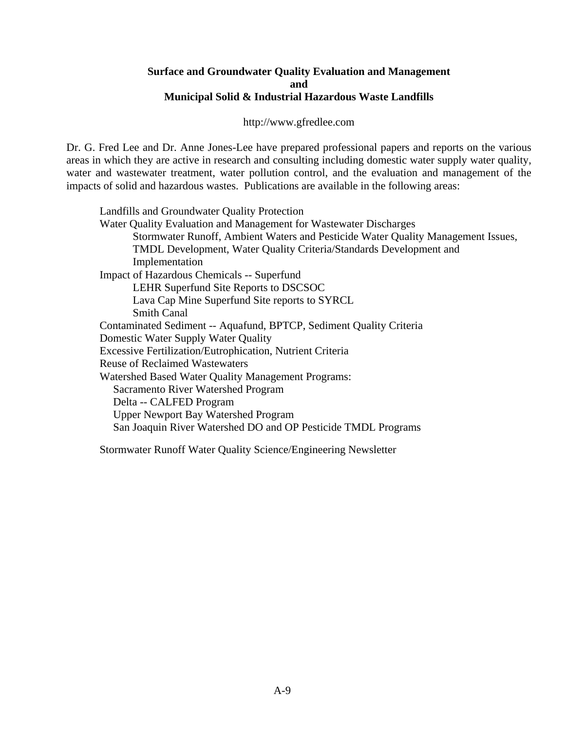#### **Surface and Groundwater Quality Evaluation and Management and Municipal Solid & Industrial Hazardous Waste Landfills**

http://www.gfredlee.com

Dr. G. Fred Lee and Dr. Anne Jones-Lee have prepared professional papers and reports on the various areas in which they are active in research and consulting including domestic water supply water quality, water and wastewater treatment, water pollution control, and the evaluation and management of the impacts of solid and hazardous wastes. Publications are available in the following areas:

Landfills and Groundwater Quality Protection Water Quality Evaluation and Management for Wastewater Discharges Stormwater Runoff, Ambient Waters and Pesticide Water Quality Management Issues, TMDL Development, Water Quality Criteria/Standards Development and Implementation Impact of Hazardous Chemicals -- Superfund LEHR Superfund Site Reports to DSCSOC Lava Cap Mine Superfund Site reports to SYRCL Smith Canal Contaminated Sediment -- Aquafund, BPTCP, Sediment Quality Criteria Domestic Water Supply Water Quality Excessive Fertilization/Eutrophication, Nutrient Criteria Reuse of Reclaimed Wastewaters Watershed Based Water Quality Management Programs: Sacramento River Watershed Program Delta -- CALFED Program Upper Newport Bay Watershed Program San Joaquin River Watershed DO and OP Pesticide TMDL Programs

Stormwater Runoff Water Quality Science/Engineering Newsletter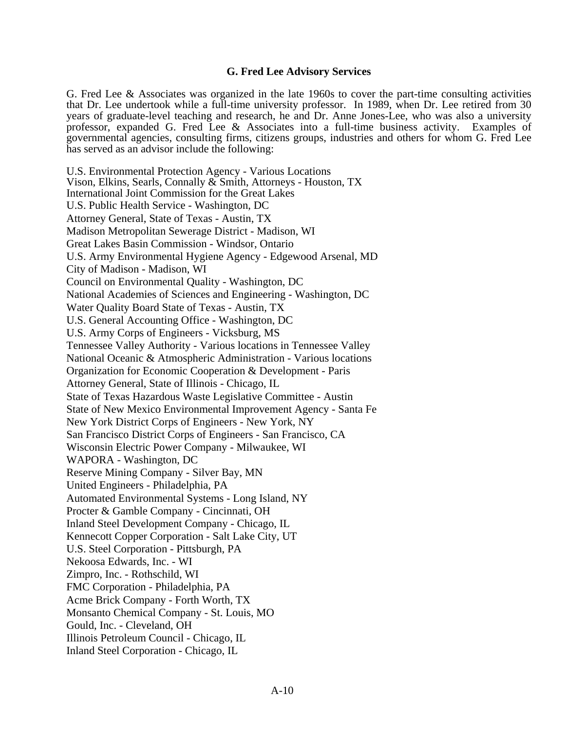#### **G. Fred Lee Advisory Services**

G. Fred Lee & Associates was organized in the late 1960s to cover the part-time consulting activities that Dr. Lee undertook while a full-time university professor. In 1989, when Dr. Lee retired from 30 years of graduate-level teaching and research, he and Dr. Anne Jones-Lee, who was also a university professor, expanded G. Fred Lee & Associates into a full-time business activity. Examples of governmental agencies, consulting firms, citizens groups, industries and others for whom G. Fred Lee has served as an advisor include the following:

U.S. Environmental Protection Agency - Various Locations Vison, Elkins, Searls, Connally & Smith, Attorneys - Houston, TX International Joint Commission for the Great Lakes U.S. Public Health Service - Washington, DC Attorney General, State of Texas - Austin, TX Madison Metropolitan Sewerage District - Madison, WI Great Lakes Basin Commission - Windsor, Ontario U.S. Army Environmental Hygiene Agency - Edgewood Arsenal, MD City of Madison - Madison, WI Council on Environmental Quality - Washington, DC National Academies of Sciences and Engineering - Washington, DC Water Quality Board State of Texas - Austin, TX U.S. General Accounting Office - Washington, DC U.S. Army Corps of Engineers - Vicksburg, MS Tennessee Valley Authority - Various locations in Tennessee Valley National Oceanic & Atmospheric Administration - Various locations Organization for Economic Cooperation & Development - Paris Attorney General, State of Illinois - Chicago, IL State of Texas Hazardous Waste Legislative Committee - Austin State of New Mexico Environmental Improvement Agency - Santa Fe New York District Corps of Engineers - New York, NY San Francisco District Corps of Engineers - San Francisco, CA Wisconsin Electric Power Company - Milwaukee, WI WAPORA - Washington, DC Reserve Mining Company - Silver Bay, MN United Engineers - Philadelphia, PA Automated Environmental Systems - Long Island, NY Procter & Gamble Company - Cincinnati, OH Inland Steel Development Company - Chicago, IL Kennecott Copper Corporation - Salt Lake City, UT U.S. Steel Corporation - Pittsburgh, PA Nekoosa Edwards, Inc. - WI Zimpro, Inc. - Rothschild, WI FMC Corporation - Philadelphia, PA Acme Brick Company - Forth Worth, TX Monsanto Chemical Company - St. Louis, MO Gould, Inc. - Cleveland, OH Illinois Petroleum Council - Chicago, IL Inland Steel Corporation - Chicago, IL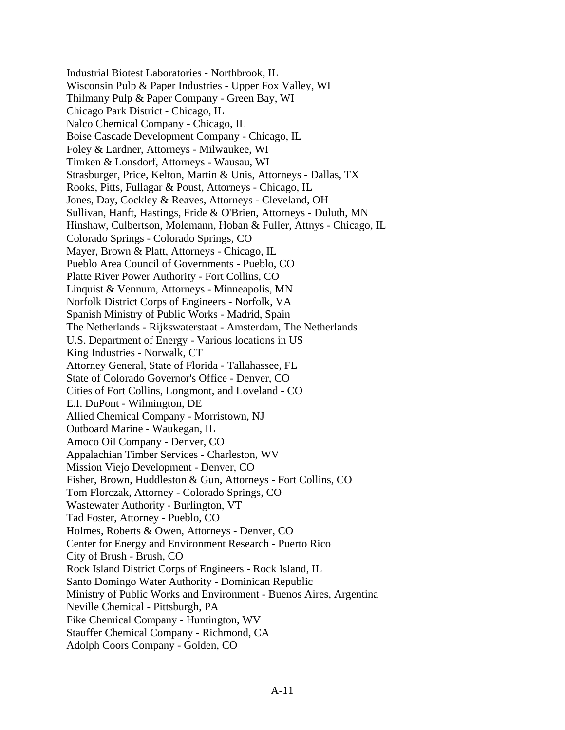Industrial Biotest Laboratories - Northbrook, IL Wisconsin Pulp & Paper Industries - Upper Fox Valley, WI Thilmany Pulp & Paper Company - Green Bay, WI Chicago Park District - Chicago, IL Nalco Chemical Company - Chicago, IL Boise Cascade Development Company - Chicago, IL Foley & Lardner, Attorneys - Milwaukee, WI Timken & Lonsdorf, Attorneys - Wausau, WI Strasburger, Price, Kelton, Martin & Unis, Attorneys - Dallas, TX Rooks, Pitts, Fullagar & Poust, Attorneys - Chicago, IL Jones, Day, Cockley & Reaves, Attorneys - Cleveland, OH Sullivan, Hanft, Hastings, Fride & O'Brien, Attorneys - Duluth, MN Hinshaw, Culbertson, Molemann, Hoban & Fuller, Attnys - Chicago, IL Colorado Springs - Colorado Springs, CO Mayer, Brown & Platt, Attorneys - Chicago, IL Pueblo Area Council of Governments - Pueblo, CO Platte River Power Authority - Fort Collins, CO Linquist & Vennum, Attorneys - Minneapolis, MN Norfolk District Corps of Engineers - Norfolk, VA Spanish Ministry of Public Works - Madrid, Spain The Netherlands - Rijkswaterstaat - Amsterdam, The Netherlands U.S. Department of Energy - Various locations in US King Industries - Norwalk, CT Attorney General, State of Florida - Tallahassee, FL State of Colorado Governor's Office - Denver, CO Cities of Fort Collins, Longmont, and Loveland - CO E.I. DuPont - Wilmington, DE Allied Chemical Company - Morristown, NJ Outboard Marine - Waukegan, IL Amoco Oil Company - Denver, CO Appalachian Timber Services - Charleston, WV Mission Viejo Development - Denver, CO Fisher, Brown, Huddleston & Gun, Attorneys - Fort Collins, CO Tom Florczak, Attorney - Colorado Springs, CO Wastewater Authority - Burlington, VT Tad Foster, Attorney - Pueblo, CO Holmes, Roberts & Owen, Attorneys - Denver, CO Center for Energy and Environment Research - Puerto Rico City of Brush - Brush, CO Rock Island District Corps of Engineers - Rock Island, IL Santo Domingo Water Authority - Dominican Republic Ministry of Public Works and Environment - Buenos Aires, Argentina Neville Chemical - Pittsburgh, PA Fike Chemical Company - Huntington, WV Stauffer Chemical Company - Richmond, CA Adolph Coors Company - Golden, CO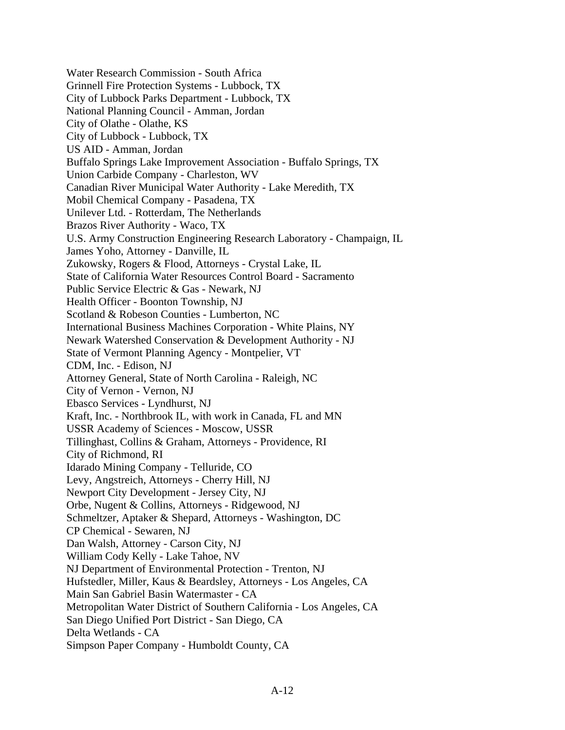Water Research Commission - South Africa Grinnell Fire Protection Systems - Lubbock, TX City of Lubbock Parks Department - Lubbock, TX National Planning Council - Amman, Jordan City of Olathe - Olathe, KS City of Lubbock - Lubbock, TX US AID - Amman, Jordan Buffalo Springs Lake Improvement Association - Buffalo Springs, TX Union Carbide Company - Charleston, WV Canadian River Municipal Water Authority - Lake Meredith, TX Mobil Chemical Company - Pasadena, TX Unilever Ltd. - Rotterdam, The Netherlands Brazos River Authority - Waco, TX U.S. Army Construction Engineering Research Laboratory - Champaign, IL James Yoho, Attorney - Danville, IL Zukowsky, Rogers & Flood, Attorneys - Crystal Lake, IL State of California Water Resources Control Board - Sacramento Public Service Electric & Gas - Newark, NJ Health Officer - Boonton Township, NJ Scotland & Robeson Counties - Lumberton, NC International Business Machines Corporation - White Plains, NY Newark Watershed Conservation & Development Authority - NJ State of Vermont Planning Agency - Montpelier, VT CDM, Inc. - Edison, NJ Attorney General, State of North Carolina - Raleigh, NC City of Vernon - Vernon, NJ Ebasco Services - Lyndhurst, NJ Kraft, Inc. - Northbrook IL, with work in Canada, FL and MN USSR Academy of Sciences - Moscow, USSR Tillinghast, Collins & Graham, Attorneys - Providence, RI City of Richmond, RI Idarado Mining Company - Telluride, CO Levy, Angstreich, Attorneys - Cherry Hill, NJ Newport City Development - Jersey City, NJ Orbe, Nugent & Collins, Attorneys - Ridgewood, NJ Schmeltzer, Aptaker & Shepard, Attorneys - Washington, DC CP Chemical - Sewaren, NJ Dan Walsh, Attorney - Carson City, NJ William Cody Kelly - Lake Tahoe, NV NJ Department of Environmental Protection - Trenton, NJ Hufstedler, Miller, Kaus & Beardsley, Attorneys - Los Angeles, CA Main San Gabriel Basin Watermaster - CA Metropolitan Water District of Southern California - Los Angeles, CA San Diego Unified Port District - San Diego, CA Delta Wetlands - CA Simpson Paper Company - Humboldt County, CA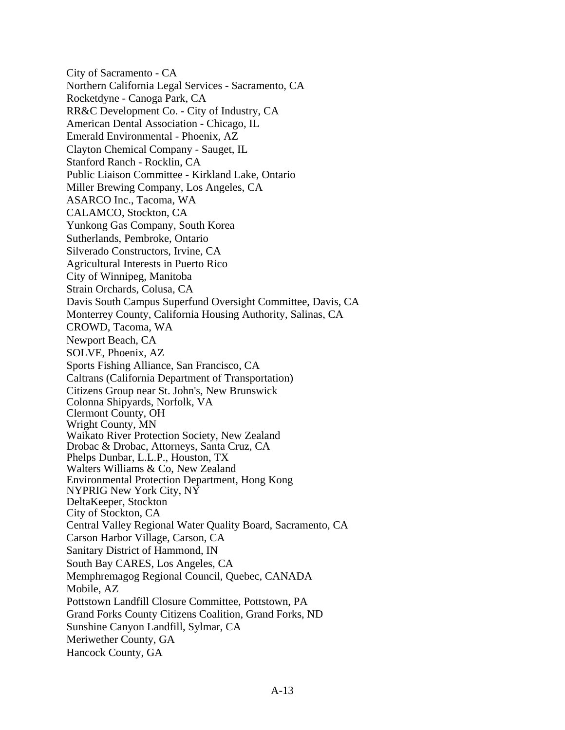City of Sacramento - CA Northern California Legal Services - Sacramento, CA Rocketdyne - Canoga Park, CA RR&C Development Co. - City of Industry, CA American Dental Association - Chicago, IL Emerald Environmental - Phoenix, AZ Clayton Chemical Company - Sauget, IL Stanford Ranch - Rocklin, CA Public Liaison Committee - Kirkland Lake, Ontario Miller Brewing Company, Los Angeles, CA ASARCO Inc., Tacoma, WA CALAMCO, Stockton, CA Yunkong Gas Company, South Korea Sutherlands, Pembroke, Ontario Silverado Constructors, Irvine, CA Agricultural Interests in Puerto Rico City of Winnipeg, Manitoba Strain Orchards, Colusa, CA Davis South Campus Superfund Oversight Committee, Davis, CA Monterrey County, California Housing Authority, Salinas, CA CROWD, Tacoma, WA Newport Beach, CA SOLVE, Phoenix, AZ Sports Fishing Alliance, San Francisco, CA Caltrans (California Department of Transportation) Citizens Group near St. John's, New Brunswick Colonna Shipyards, Norfolk, VA Clermont County, OH Wright County, MN Waikato River Protection Society, New Zealand Drobac & Drobac, Attorneys, Santa Cruz, CA Phelps Dunbar, L.L.P., Houston, TX Walters Williams & Co, New Zealand Environmental Protection Department, Hong Kong NYPRIG New York City, NY DeltaKeeper, Stockton City of Stockton, CA Central Valley Regional Water Quality Board, Sacramento, CA Carson Harbor Village, Carson, CA Sanitary District of Hammond, IN South Bay CARES, Los Angeles, CA Memphremagog Regional Council, Quebec, CANADA Mobile, AZ Pottstown Landfill Closure Committee, Pottstown, PA Grand Forks County Citizens Coalition, Grand Forks, ND Sunshine Canyon Landfill, Sylmar, CA Meriwether County, GA Hancock County, GA